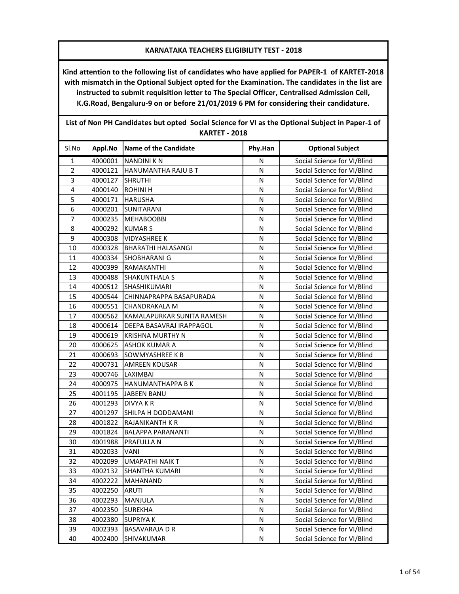**Kind attention to the following list of candidates who have applied for PAPER-1 of KARTET-2018 with mismatch in the Optional Subject opted for the Examination. The candidates in the list are instructed to submit requisition letter to The Special Officer, Centralised Admission Cell, K.G.Road, Bengaluru-9 on or before 21/01/2019 6 PM for considering their candidature.**

| List of Non in Candidates but opted "social science for vilas the Optional subject in Faper-1 of<br><b>KARTET - 2018</b> |         |                              |              |                             |
|--------------------------------------------------------------------------------------------------------------------------|---------|------------------------------|--------------|-----------------------------|
| Sl.No                                                                                                                    | Appl.No | <b>Name of the Candidate</b> | Phy.Han      | <b>Optional Subject</b>     |
| $\mathbf 1$                                                                                                              | 4000001 | <b>NANDINI K N</b>           | Ν            | Social Science for VI/Blind |
| $\overline{c}$                                                                                                           | 4000121 | HANUMANTHA RAJU B T          | N            | Social Science for VI/Blind |
| 3                                                                                                                        | 4000127 | <b>SHRUTHI</b>               | N            | Social Science for VI/Blind |
| 4                                                                                                                        | 4000140 | <b>ROHINI H</b>              | N            | Social Science for VI/Blind |
| 5                                                                                                                        | 4000171 | <b>HARUSHA</b>               | N            | Social Science for VI/Blind |
| 6                                                                                                                        | 4000201 | <b>SUNITARANI</b>            | N            | Social Science for VI/Blind |
| $\overline{7}$                                                                                                           | 4000235 | <b>MEHABOOBBI</b>            | N            | Social Science for VI/Blind |
| 8                                                                                                                        | 4000292 | <b>KUMARS</b>                | N            | Social Science for VI/Blind |
| 9                                                                                                                        | 4000308 | <b>VIDYASHREE K</b>          | N            | Social Science for VI/Blind |
| 10                                                                                                                       | 4000328 | BHARATHI HALASANGI           | N            | Social Science for VI/Blind |
| 11                                                                                                                       | 4000334 | SHOBHARANI G                 | N            | Social Science for VI/Blind |
| 12                                                                                                                       | 4000399 | RAMAKANTHI                   | N            | Social Science for VI/Blind |
| 13                                                                                                                       | 4000488 | SHAKUNTHALA S                | N            | Social Science for VI/Blind |
| 14                                                                                                                       | 4000512 | SHASHIKUMARI                 | N            | Social Science for VI/Blind |
| 15                                                                                                                       | 4000544 | CHINNAPRAPPA BASAPURADA      | N            | Social Science for VI/Blind |
| 16                                                                                                                       | 4000551 | CHANDRAKALA M                | N            | Social Science for VI/Blind |
| 17                                                                                                                       | 4000562 | KAMALAPURKAR SUNITA RAMESH   | N            | Social Science for VI/Blind |
| 18                                                                                                                       | 4000614 | DEEPA BASAVRAJ IRAPPAGOL     | N            | Social Science for VI/Blind |
| 19                                                                                                                       | 4000619 | <b>KRISHNA MURTHY N</b>      | N            | Social Science for VI/Blind |
| 20                                                                                                                       | 4000625 | ASHOK KUMAR A                | N            | Social Science for VI/Blind |
| 21                                                                                                                       | 4000693 | <b>SOWMYASHREE K B</b>       | N            | Social Science for VI/Blind |
| 22                                                                                                                       | 4000731 | <b>AMREEN KOUSAR</b>         | N            | Social Science for VI/Blind |
| 23                                                                                                                       | 4000746 | LAXIMBAI                     | N            | Social Science for VI/Blind |
| 24                                                                                                                       | 4000975 | <b>HANUMANTHAPPA B K</b>     | N            | Social Science for VI/Blind |
| 25                                                                                                                       | 4001195 | <b>JABEEN BANU</b>           | N            | Social Science for VI/Blind |
| 26                                                                                                                       | 4001293 | <b>DIVYAKR</b>               | N            | Social Science for VI/Blind |
| 27                                                                                                                       | 4001297 | SHILPA H DODDAMANI           | N            | Social Science for VI/Blind |
| 28                                                                                                                       | 4001822 | RAJANIKANTH K R              | N            | Social Science for VI/Blind |
| 29                                                                                                                       | 4001824 | <b>BALAPPA PARANANTI</b>     | N            | Social Science for VI/Blind |
| 30                                                                                                                       | 4001988 | PRAFULLA N                   | N            | Social Science for VI/Blind |
| 31                                                                                                                       | 4002033 | <b>VANI</b>                  | N            | Social Science for VI/Blind |
| 32                                                                                                                       |         | 4002099 UMAPATHI NAIK T      | $\mathsf{N}$ | Social Science for VI/Blind |
| 33                                                                                                                       | 4002132 | SHANTHA KUMARI               | N            | Social Science for VI/Blind |
| 34                                                                                                                       | 4002222 | MAHANAND                     | N            | Social Science for VI/Blind |
| 35                                                                                                                       | 4002250 | <b>ARUTI</b>                 | N            | Social Science for VI/Blind |
| 36                                                                                                                       | 4002293 | MANJULA                      | N            | Social Science for VI/Blind |
| 37                                                                                                                       | 4002350 | <b>SUREKHA</b>               | N            | Social Science for VI/Blind |
| 38                                                                                                                       | 4002380 | <b>SUPRIYAK</b>              | N            | Social Science for VI/Blind |
| 39                                                                                                                       | 4002393 | <b>BASAVARAJA D R</b>        | N            | Social Science for VI/Blind |
| 40                                                                                                                       | 4002400 | SHIVAKUMAR                   | N            | Social Science for VI/Blind |

**List of Non PH Candidates but opted Social Science for VI as the Optional Subject in Paper-1 of**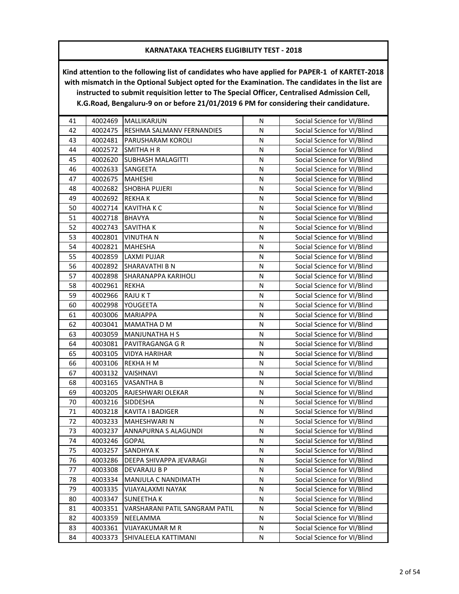| 41 | 4002469 | MALLIKARJUN                    | N | Social Science for VI/Blind |
|----|---------|--------------------------------|---|-----------------------------|
| 42 | 4002475 | RESHMA SALMANV FERNANDIES      | N | Social Science for VI/Blind |
| 43 | 4002481 | PARUSHARAM KOROLI              | N | Social Science for VI/Blind |
| 44 | 4002572 | SMITHA H R                     | N | Social Science for VI/Blind |
| 45 | 4002620 | <b>SUBHASH MALAGITTI</b>       | N | Social Science for VI/Blind |
| 46 | 4002633 | SANGEETA                       | N | Social Science for VI/Blind |
| 47 | 4002675 | <b>MAHESHI</b>                 | N | Social Science for VI/Blind |
| 48 | 4002682 | <b>SHOBHA PUJERI</b>           | N | Social Science for VI/Blind |
| 49 | 4002692 | <b>REKHAK</b>                  | N | Social Science for VI/Blind |
| 50 | 4002714 | <b>KAVITHA K C</b>             | N | Social Science for VI/Blind |
| 51 | 4002718 | <b>BHAVYA</b>                  | N | Social Science for VI/Blind |
| 52 | 4002743 | SAVITHA K                      | N | Social Science for VI/Blind |
| 53 | 4002801 | VINUTHA N                      | N | Social Science for VI/Blind |
| 54 | 4002821 | MAHESHA                        | N | Social Science for VI/Blind |
| 55 | 4002859 | LAXMI PUJAR                    | N | Social Science for VI/Blind |
| 56 | 4002892 | SHARAVATHI B N                 | N | Social Science for VI/Blind |
| 57 | 4002898 | SHARANAPPA KARIHOLI            | N | Social Science for VI/Blind |
| 58 | 4002961 | <b>REKHA</b>                   | N | Social Science for VI/Blind |
| 59 | 4002966 | <b>RAJUKT</b>                  | N | Social Science for VI/Blind |
| 60 | 4002998 | YOUGEETA                       | N | Social Science for VI/Blind |
| 61 | 4003006 | <b>MARIAPPA</b>                | N | Social Science for VI/Blind |
| 62 | 4003041 | MAMATHA D M                    | N | Social Science for VI/Blind |
| 63 | 4003059 | <b>MANJUNATHA H S</b>          | N | Social Science for VI/Blind |
| 64 | 4003081 | PAVITRAGANGA G R               | N | Social Science for VI/Blind |
| 65 | 4003105 | <b>VIDYA HARIHAR</b>           | N | Social Science for VI/Blind |
| 66 | 4003106 | REKHA H M                      | N | Social Science for VI/Blind |
| 67 | 4003132 | VAISHNAVI                      | N | Social Science for VI/Blind |
| 68 | 4003165 | <b>VASANTHA B</b>              | N | Social Science for VI/Blind |
| 69 | 4003205 | RAJESHWARI OLEKAR              | N | Social Science for VI/Blind |
| 70 | 4003216 | SIDDESHA                       | N | Social Science for VI/Blind |
| 71 | 4003218 | KAVITA I BADIGER               | N | Social Science for VI/Blind |
| 72 | 4003233 | MAHESHWARI N                   | N | Social Science for VI/Blind |
| 73 | 4003237 | <b>ANNAPURNA S ALAGUNDI</b>    | N | Social Science for VI/Blind |
| 74 | 4003246 | <b>GOPAL</b>                   | N | Social Science for VI/Blind |
| 75 | 4003257 | SANDHYA K                      | Ν | Social Science for VI/Blind |
| 76 | 4003286 | DEEPA SHIVAPPA JEVARAGI        | N | Social Science for VI/Blind |
| 77 | 4003308 | DEVARAJU B P                   | N | Social Science for VI/Blind |
| 78 | 4003334 | MANJULA C NANDIMATH            | N | Social Science for VI/Blind |
| 79 | 4003335 | VIJAYALAXMI NAYAK              | N | Social Science for VI/Blind |
| 80 | 4003347 | <b>SUNEETHAK</b>               | Ν | Social Science for VI/Blind |
| 81 | 4003351 | VARSHARANI PATIL SANGRAM PATIL | N | Social Science for VI/Blind |
| 82 | 4003359 | NEELAMMA                       | Ν | Social Science for VI/Blind |
| 83 | 4003361 | VIJAYAKUMAR M R                | N | Social Science for VI/Blind |
| 84 | 4003373 | SHIVALEELA KATTIMANI           | N | Social Science for VI/Blind |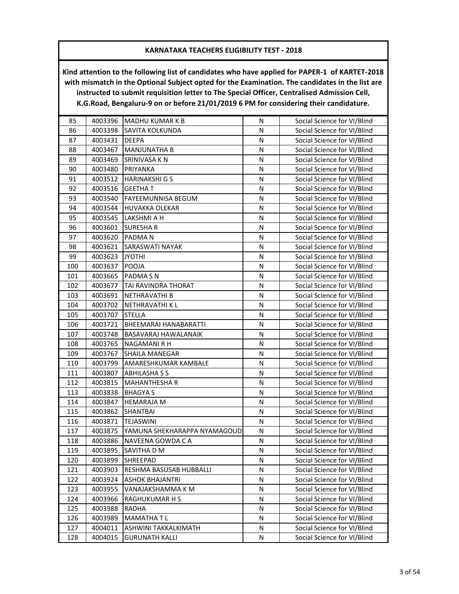| 85  | 4003396 | <b>MADHU KUMAR K B</b>       | N         | Social Science for VI/Blind |
|-----|---------|------------------------------|-----------|-----------------------------|
| 86  | 4003398 | SAVITA KOLKUNDA              | N         | Social Science for VI/Blind |
| 87  | 4003431 | <b>DEEPA</b>                 | N         | Social Science for VI/Blind |
| 88  | 4003467 | MANJUNATHA B                 | N         | Social Science for VI/Blind |
| 89  | 4003469 | SRINIVASA K N                | N         | Social Science for VI/Blind |
| 90  | 4003480 | PRIYANKA                     | N         | Social Science for VI/Blind |
| 91  | 4003512 | <b>HARINAKSHI G S</b>        | N         | Social Science for VI/Blind |
| 92  | 4003516 | <b>GEETHAT</b>               | N         | Social Science for VI/Blind |
| 93  | 4003540 | FAYEEMUNNISA BEGUM           | N         | Social Science for VI/Blind |
| 94  | 4003544 | <b>HUVAKKA OLEKAR</b>        | N         | Social Science for VI/Blind |
| 95  | 4003545 | LAKSHMI A H                  | ${\sf N}$ | Social Science for VI/Blind |
| 96  | 4003601 | SURESHA R                    | N         | Social Science for VI/Blind |
| 97  | 4003620 | PADMA <sub>N</sub>           | N         | Social Science for VI/Blind |
| 98  | 4003621 | <b>SARASWATI NAYAK</b>       | N         | Social Science for VI/Blind |
| 99  | 4003623 | <b>JYOTHI</b>                | N         | Social Science for VI/Blind |
| 100 | 4003637 | POOJA                        | N         | Social Science for VI/Blind |
| 101 | 4003665 | PADMA SN                     | N         | Social Science for VI/Blind |
| 102 | 4003677 | TAI RAVINDRA THORAT          | N         | Social Science for VI/Blind |
| 103 | 4003691 | NETHRAVATHI B                | N         | Social Science for VI/Blind |
| 104 | 4003702 | <b>NETHRAVATHI K L</b>       | N         | Social Science for VI/Blind |
| 105 | 4003707 | <b>STELLA</b>                | N         | Social Science for VI/Blind |
| 106 | 4003721 | BHEEMARAI HANABARATTI        | N         | Social Science for VI/Blind |
| 107 | 4003748 | BASAVARAJ HAWALANAIK         | N         | Social Science for VI/Blind |
| 108 | 4003765 | NAGAMANI R H                 | N         | Social Science for VI/Blind |
| 109 | 4003767 | SHAILA MANEGAR               | N         | Social Science for VI/Blind |
| 110 | 4003799 | AMARESHKUMAR KAMBALE         | N         | Social Science for VI/Blind |
| 111 | 4003807 | <b>ABHILASHA S S</b>         | N         | Social Science for VI/Blind |
| 112 | 4003815 | <b>MAHANTHESHA R</b>         | N         | Social Science for VI/Blind |
| 113 | 4003838 | <b>BHAGYA S</b>              | N         | Social Science for VI/Blind |
| 114 | 4003847 | <b>HEMARAJA M</b>            | N         | Social Science for VI/Blind |
| 115 | 4003862 | <b>SHANTBAI</b>              | N         | Social Science for VI/Blind |
| 116 | 4003871 | <b>TEJASWINI</b>             | N         | Social Science for VI/Blind |
| 117 | 4003875 | YAMUNA SHEKHARAPPA NYAMAGOUD | N         | Social Science for VI/Blind |
| 118 | 4003886 | NAVEENA GOWDA CA             | N         | Social Science for VI/Blind |
| 119 | 4003895 | SAVITHA D M                  | N         | Social Science for VI/Blind |
| 120 | 4003899 | <b>SHREEPAD</b>              | N         | Social Science for VI/Blind |
| 121 | 4003903 | RESHMA BASUSAB HUBBALLI      | N         | Social Science for VI/Blind |
| 122 | 4003924 | <b>ASHOK BHAJANTRI</b>       | N         | Social Science for VI/Blind |
| 123 | 4003955 | VANAJAKSHAMMA K M            | Ν         | Social Science for VI/Blind |
| 124 | 4003966 | RAGHUKUMAR H S               | N         | Social Science for VI/Blind |
| 125 | 4003988 | <b>RADHA</b>                 | Ν         | Social Science for VI/Blind |
| 126 | 4003989 | MAMATHA T L                  | Ν         | Social Science for VI/Blind |
| 127 | 4004011 | ASHWINI TAKKALKIMATH         | N         | Social Science for VI/Blind |
| 128 | 4004015 | <b>GURUNATH KALLI</b>        | N         | Social Science for VI/Blind |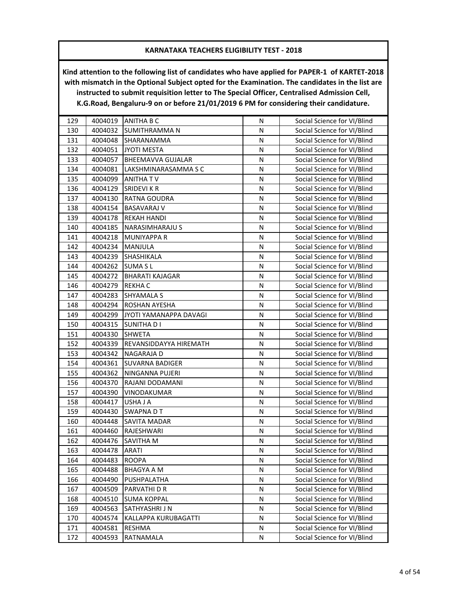| 129 | 4004019 | <b>ANITHA B C</b>      | N         | Social Science for VI/Blind |
|-----|---------|------------------------|-----------|-----------------------------|
| 130 | 4004032 | <b>SUMITHRAMMAN</b>    | N         | Social Science for VI/Blind |
| 131 | 4004048 | SHARANAMMA             | N         | Social Science for VI/Blind |
| 132 | 4004051 | <b>JYOTI MESTA</b>     | N         | Social Science for VI/Blind |
| 133 | 4004057 | BHEEMAVVA GUJALAR      | N         | Social Science for VI/Blind |
| 134 | 4004081 | LAKSHMINARASAMMA S C   | N         | Social Science for VI/Blind |
| 135 | 4004099 | ANITHA TV              | N         | Social Science for VI/Blind |
| 136 | 4004129 | <b>SRIDEVI K R</b>     | N         | Social Science for VI/Blind |
| 137 | 4004130 | RATNA GOUDRA           | N         | Social Science for VI/Blind |
| 138 | 4004154 | <b>BASAVARAJ V</b>     | N         | Social Science for VI/Blind |
| 139 | 4004178 | <b>REKAH HANDI</b>     | ${\sf N}$ | Social Science for VI/Blind |
| 140 | 4004185 | <b>NARASIMHARAJU S</b> | N         | Social Science for VI/Blind |
| 141 | 4004218 | <b>MUNIYAPPA R</b>     | N         | Social Science for VI/Blind |
| 142 | 4004234 | MANJULA                | N         | Social Science for VI/Blind |
| 143 | 4004239 | SHASHIKALA             | N         | Social Science for VI/Blind |
| 144 | 4004262 | <b>SUMA SL</b>         | N         | Social Science for VI/Blind |
| 145 | 4004272 | <b>BHARATI KAJAGAR</b> | N         | Social Science for VI/Blind |
| 146 | 4004279 | REKHA C                | N         | Social Science for VI/Blind |
| 147 | 4004283 | SHYAMALA S             | N         | Social Science for VI/Blind |
| 148 | 4004294 | <b>ROSHAN AYESHA</b>   | N         | Social Science for VI/Blind |
| 149 | 4004299 | JYOTI YAMANAPPA DAVAGI | N         | Social Science for VI/Blind |
| 150 | 4004315 | <b>SUNITHA D I</b>     | N         | Social Science for VI/Blind |
| 151 | 4004330 | <b>SHWETA</b>          | N         | Social Science for VI/Blind |
| 152 | 4004339 | REVANSIDDAYYA HIREMATH | N         | Social Science for VI/Blind |
| 153 | 4004342 | NAGARAJA D             | N         | Social Science for VI/Blind |
| 154 | 4004361 | <b>SUVARNA BADIGER</b> | N         | Social Science for VI/Blind |
| 155 | 4004362 | NINGANNA PUJERI        | N         | Social Science for VI/Blind |
| 156 | 4004370 | RAJANI DODAMANI        | N         | Social Science for VI/Blind |
| 157 | 4004390 | VINODAKUMAR            | N         | Social Science for VI/Blind |
| 158 | 4004417 | USHA J A               | N         | Social Science for VI/Blind |
| 159 | 4004430 | SWAPNA D T             | N         | Social Science for VI/Blind |
| 160 | 4004448 | SAVITA MADAR           | N         | Social Science for VI/Blind |
| 161 | 4004460 | RAJESHWARI             | N         | Social Science for VI/Blind |
| 162 | 4004476 | SAVITHA M              | N         | Social Science for VI/Blind |
| 163 | 4004478 | <b>ARATI</b>           | N         | Social Science for VI/Blind |
| 164 | 4004483 | <b>ROOPA</b>           | N         | Social Science for VI/Blind |
| 165 | 4004488 | <b>BHAGYA A M</b>      | N         | Social Science for VI/Blind |
| 166 | 4004490 | PUSHPALATHA            | N         | Social Science for VI/Blind |
| 167 | 4004509 | PARVATHI D R           | N         | Social Science for VI/Blind |
| 168 | 4004510 | <b>SUMA KOPPAL</b>     | Ν         | Social Science for VI/Blind |
| 169 | 4004563 | SATHYASHRI J N         | Ν         | Social Science for VI/Blind |
| 170 | 4004574 | KALLAPPA KURUBAGATTI   | N         | Social Science for VI/Blind |
| 171 | 4004581 | RESHMA                 | N         | Social Science for VI/Blind |
| 172 | 4004593 | RATNAMALA              | N         | Social Science for VI/Blind |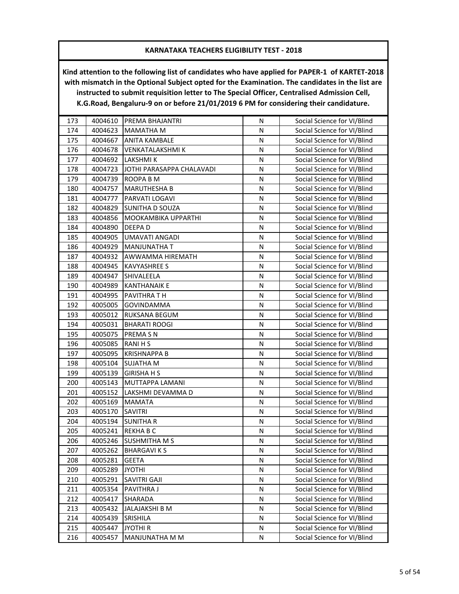| 173 | 4004610 | PREMA BHAJANTRI           | N | Social Science for VI/Blind |
|-----|---------|---------------------------|---|-----------------------------|
| 174 | 4004623 | <b>MAMATHA M</b>          | N | Social Science for VI/Blind |
| 175 | 4004667 | <b>ANITA KAMBALE</b>      | N | Social Science for VI/Blind |
| 176 | 4004678 | VENKATALAKSHMI K          | N | Social Science for VI/Blind |
| 177 | 4004692 | LAKSHMI K                 | N | Social Science for VI/Blind |
| 178 | 4004723 | JOTHI PARASAPPA CHALAVADI | N | Social Science for VI/Blind |
| 179 | 4004739 | ROOPA B M                 | N | Social Science for VI/Blind |
| 180 | 4004757 | <b>MARUTHESHA B</b>       | N | Social Science for VI/Blind |
| 181 | 4004777 | PARVATI LOGAVI            | N | Social Science for VI/Blind |
| 182 | 4004829 | SUNITHA D SOUZA           | N | Social Science for VI/Blind |
| 183 | 4004856 | MOOKAMBIKA UPPARTHI       | N | Social Science for VI/Blind |
| 184 | 4004890 | DEEPA D                   | N | Social Science for VI/Blind |
| 185 | 4004905 | UMAVATI ANGADI            | N | Social Science for VI/Blind |
| 186 | 4004929 | <b>MANJUNATHA T</b>       | N | Social Science for VI/Blind |
| 187 | 4004932 | AWWAMMA HIREMATH          | N | Social Science for VI/Blind |
| 188 | 4004945 | <b>KAVYASHREE S</b>       | N | Social Science for VI/Blind |
| 189 | 4004947 | SHIVALEELA                | N | Social Science for VI/Blind |
| 190 | 4004989 | <b>KANTHANAIK E</b>       | N | Social Science for VI/Blind |
| 191 | 4004995 | PAVITHRA T H              | N | Social Science for VI/Blind |
| 192 | 4005005 | GOVINDAMMA                | N | Social Science for VI/Blind |
| 193 | 4005012 | RUKSANA BEGUM             | Ν | Social Science for VI/Blind |
| 194 | 4005031 | <b>BHARATI ROOGI</b>      | N | Social Science for VI/Blind |
| 195 | 4005075 | PREMA SN                  | N | Social Science for VI/Blind |
| 196 | 4005085 | <b>RANIHS</b>             | N | Social Science for VI/Blind |
| 197 | 4005095 | <b>KRISHNAPPA B</b>       | N | Social Science for VI/Blind |
| 198 | 4005104 | SUJATHA M                 | N | Social Science for VI/Blind |
| 199 | 4005139 | <b>GIRISHA H S</b>        | N | Social Science for VI/Blind |
| 200 | 4005143 | MUTTAPPA LAMANI           | N | Social Science for VI/Blind |
| 201 | 4005152 | LAKSHMI DEVAMMA D         | N | Social Science for VI/Blind |
| 202 | 4005169 | <b>MAMATA</b>             | N | Social Science for VI/Blind |
| 203 | 4005170 | SAVITRI                   | N | Social Science for VI/Blind |
| 204 | 4005194 | <b>SUNITHA R</b>          | N | Social Science for VI/Blind |
| 205 | 4005241 | REKHA B C                 | N | Social Science for VI/Blind |
| 206 | 4005246 | <b>SUSHMITHA M S</b>      | Ν | Social Science for VI/Blind |
| 207 | 4005262 | <b>BHARGAVIKS</b>         | N | Social Science for VI/Blind |
| 208 | 4005281 | <b>GEETA</b>              | N | Social Science for VI/Blind |
| 209 | 4005289 | <b>JYOTHI</b>             | N | Social Science for VI/Blind |
| 210 | 4005291 | SAVITRI GAJI              | N | Social Science for VI/Blind |
| 211 | 4005354 | PAVITHRA J                | Ν | Social Science for VI/Blind |
| 212 | 4005417 | <b>SHARADA</b>            | N | Social Science for VI/Blind |
| 213 | 4005432 | JALAJAKSHI B M            | N | Social Science for VI/Blind |
| 214 | 4005439 | <b>SRISHILA</b>           | N | Social Science for VI/Blind |
| 215 | 4005447 | <b>JYOTHI R</b>           | N | Social Science for VI/Blind |
| 216 | 4005457 | MANJUNATHA M M            | N | Social Science for VI/Blind |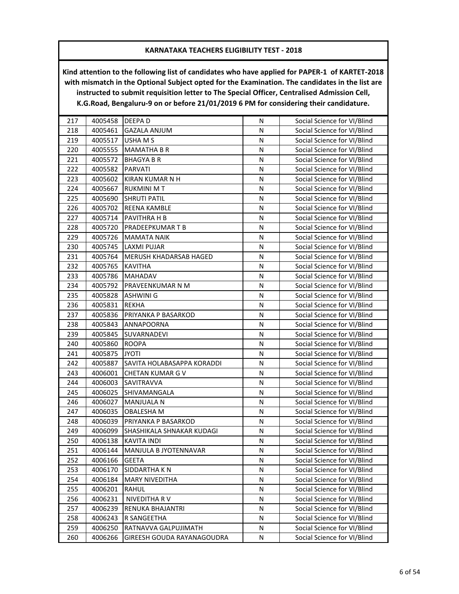| 217 | 4005458 | DEEPA D                    | N         | Social Science for VI/Blind |
|-----|---------|----------------------------|-----------|-----------------------------|
| 218 | 4005461 | <b>GAZALA ANJUM</b>        | N         | Social Science for VI/Blind |
| 219 | 4005517 | USHA M S                   | N         | Social Science for VI/Blind |
| 220 | 4005555 | <b>MAMATHA B R</b>         | N         | Social Science for VI/Blind |
| 221 | 4005572 | <b>BHAGYA B R</b>          | N         | Social Science for VI/Blind |
| 222 | 4005582 | PARVATI                    | N         | Social Science for VI/Blind |
| 223 | 4005602 | KIRAN KUMAR N H            | N         | Social Science for VI/Blind |
| 224 | 4005667 | <b>RUKMINI MT</b>          | N         | Social Science for VI/Blind |
| 225 | 4005690 | <b>SHRUTI PATIL</b>        | N         | Social Science for VI/Blind |
| 226 | 4005702 | REENA KAMBLE               | N         | Social Science for VI/Blind |
| 227 | 4005714 | PAVITHRA H B               | ${\sf N}$ | Social Science for VI/Blind |
| 228 | 4005720 | PRADEEPKUMAR T B           | ${\sf N}$ | Social Science for VI/Blind |
| 229 | 4005726 | <b>MAMATA NAIK</b>         | N         | Social Science for VI/Blind |
| 230 | 4005745 | <b>LAXMI PUJAR</b>         | N         | Social Science for VI/Blind |
| 231 | 4005764 | MERUSH KHADARSAB HAGED     | N         | Social Science for VI/Blind |
| 232 | 4005765 | <b>KAVITHA</b>             | N         | Social Science for VI/Blind |
| 233 | 4005786 | <b>MAHADAV</b>             | N         | Social Science for VI/Blind |
| 234 | 4005792 | PRAVEENKUMAR N M           | N         | Social Science for VI/Blind |
| 235 | 4005828 | ASHWINI G                  | ${\sf N}$ | Social Science for VI/Blind |
| 236 | 4005831 | <b>REKHA</b>               | N         | Social Science for VI/Blind |
| 237 | 4005836 | PRIYANKA P BASARKOD        | ${\sf N}$ | Social Science for VI/Blind |
| 238 | 4005843 | ANNAPOORNA                 | N         | Social Science for VI/Blind |
| 239 | 4005845 | SUVARNADEVI                | N         | Social Science for VI/Blind |
| 240 | 4005860 | <b>ROOPA</b>               | N         | Social Science for VI/Blind |
| 241 | 4005875 | <b>JYOTI</b>               | ${\sf N}$ | Social Science for VI/Blind |
| 242 | 4005887 | SAVITA HOLABASAPPA KORADDI | N         | Social Science for VI/Blind |
| 243 | 4006001 | CHETAN KUMAR G V           | N         | Social Science for VI/Blind |
| 244 | 4006003 | SAVITRAVVA                 | N         | Social Science for VI/Blind |
| 245 | 4006025 | SHIVAMANGALA               | N         | Social Science for VI/Blind |
| 246 | 4006027 | MANJUALA N                 | N         | Social Science for VI/Blind |
| 247 | 4006035 | <b>OBALESHA M</b>          | N         | Social Science for VI/Blind |
| 248 | 4006039 | PRIYANKA P BASARKOD        | ${\sf N}$ | Social Science for VI/Blind |
| 249 | 4006099 | SHASHIKALA SHNAKAR KUDAGI  | N         | Social Science for VI/Blind |
| 250 | 4006138 | <b>KAVITA INDI</b>         | N         | Social Science for VI/Blind |
| 251 | 4006144 | MANJULA B JYOTENNAVAR      | N         | Social Science for VI/Blind |
| 252 | 4006166 | <b>GEETA</b>               | N         | Social Science for VI/Blind |
| 253 | 4006170 | SIDDARTHA K N              | N         | Social Science for VI/Blind |
| 254 | 4006184 | <b>MARY NIVEDITHA</b>      | ${\sf N}$ | Social Science for VI/Blind |
| 255 | 4006201 | RAHUL                      | N         | Social Science for VI/Blind |
| 256 | 4006231 | NIVEDITHA RV               | N         | Social Science for VI/Blind |
| 257 | 4006239 | RENUKA BHAJANTRI           | N         | Social Science for VI/Blind |
| 258 | 4006243 | R SANGEETHA                | Ν         | Social Science for VI/Blind |
| 259 | 4006250 | RATNAVVA GALPUJIMATH       | N         | Social Science for VI/Blind |
| 260 | 4006266 | GIREESH GOUDA RAYANAGOUDRA | N         | Social Science for VI/Blind |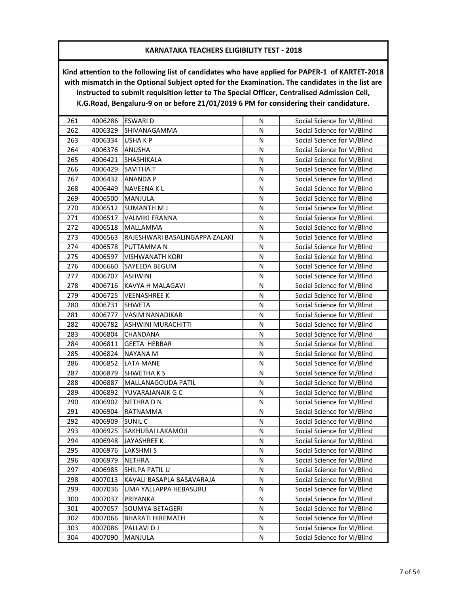| 261 | 4006286 | <b>ESWARI D</b>                | N         | Social Science for VI/Blind |
|-----|---------|--------------------------------|-----------|-----------------------------|
| 262 | 4006329 | SHIVANAGAMMA                   | N         | Social Science for VI/Blind |
| 263 | 4006334 | USHAKP                         | N         | Social Science for VI/Blind |
| 264 | 4006376 | ANUSHA                         | N         | Social Science for VI/Blind |
| 265 | 4006421 | SHASHIKALA                     | N         | Social Science for VI/Blind |
| 266 | 4006429 | SAVITHA.T                      | Ν         | Social Science for VI/Blind |
| 267 | 4006432 | <b>ANANDA P</b>                | N         | Social Science for VI/Blind |
| 268 | 4006449 | NAVEENA K L                    | N         | Social Science for VI/Blind |
| 269 | 4006500 | MANJULA                        | N         | Social Science for VI/Blind |
| 270 | 4006512 | <b>SUMANTH M J</b>             | N         | Social Science for VI/Blind |
| 271 | 4006517 | <b>VALMIKI ERANNA</b>          | N         | Social Science for VI/Blind |
| 272 | 4006518 | MALLAMMA                       | N         | Social Science for VI/Blind |
| 273 | 4006563 | RAJESHWARI BASALINGAPPA ZALAKI | N         | Social Science for VI/Blind |
| 274 | 4006578 | PUTTAMMA N                     | N         | Social Science for VI/Blind |
| 275 | 4006597 | <b>VISHWANATH KORI</b>         | N         | Social Science for VI/Blind |
| 276 | 4006660 | SAYEEDA BEGUM                  | N         | Social Science for VI/Blind |
| 277 | 4006707 | <b>ASHWINI</b>                 | N         | Social Science for VI/Blind |
| 278 | 4006716 | KAVYA H MALAGAVI               | N         | Social Science for VI/Blind |
| 279 | 4006725 | VEENASHREE K                   | N         | Social Science for VI/Blind |
| 280 | 4006731 | <b>SHWETA</b>                  | N         | Social Science for VI/Blind |
| 281 | 4006777 | <b>VASIM NANADIKAR</b>         | N         | Social Science for VI/Blind |
| 282 | 4006782 | <b>ASHWINI MURACHITTI</b>      | N         | Social Science for VI/Blind |
| 283 | 4006804 | CHANDANA                       | N         | Social Science for VI/Blind |
| 284 | 4006811 | <b>GEETA HEBBAR</b>            | N         | Social Science for VI/Blind |
| 285 | 4006824 | NAYANA M                       | N         | Social Science for VI/Blind |
| 286 | 4006852 | LATA MANE                      | N         | Social Science for VI/Blind |
| 287 | 4006879 | <b>SHWETHAKS</b>               | N         | Social Science for VI/Blind |
| 288 | 4006887 | MALLANAGOUDA PATIL             | N         | Social Science for VI/Blind |
| 289 | 4006892 | YUVARAJANAIK G C               | N         | Social Science for VI/Blind |
| 290 | 4006902 | NETHRA D N                     | N         | Social Science for VI/Blind |
| 291 | 4006904 | RATNAMMA                       | ${\sf N}$ | Social Science for VI/Blind |
| 292 | 4006909 | SUNIL C                        | N         | Social Science for VI/Blind |
| 293 | 4006925 | SAKHUBAI LAKAMOJI              | N         | Social Science for VI/Blind |
| 294 | 4006948 | <b>JAYASHREE K</b>             | N         | Social Science for VI/Blind |
| 295 | 4006976 | <b>LAKSHMIS</b>                | N         | Social Science for VI/Blind |
| 296 | 4006979 | <b>NETHRA</b>                  | N         | Social Science for VI/Blind |
| 297 | 4006985 | SHILPA PATIL U                 | N         | Social Science for VI/Blind |
| 298 | 4007013 | KAVALI BASAPLA BASAVARAJA      | Ν         | Social Science for VI/Blind |
| 299 | 4007036 | UMA YALLAPPA HEBASURU          | Ν         | Social Science for VI/Blind |
| 300 | 4007037 | PRIYANKA                       | Ν         | Social Science for VI/Blind |
| 301 | 4007057 | <b>SOUMYA BETAGERI</b>         | N         | Social Science for VI/Blind |
| 302 | 4007066 | <b>BHARATI HIREMATH</b>        | N         | Social Science for VI/Blind |
| 303 | 4007086 | PALLAVI D J                    | N         | Social Science for VI/Blind |
| 304 | 4007090 | MANJULA                        | N         | Social Science for VI/Blind |
|     |         |                                |           |                             |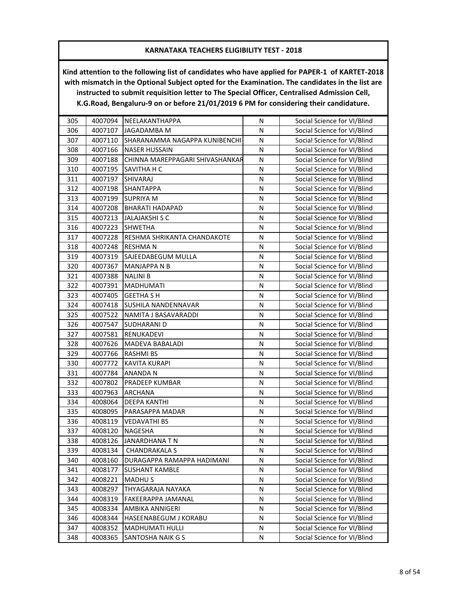| 305 | 4007094 | NEELAKANTHAPPA                  | N         | Social Science for VI/Blind |
|-----|---------|---------------------------------|-----------|-----------------------------|
| 306 | 4007107 | JAGADAMBA M                     | N         | Social Science for VI/Blind |
| 307 | 4007110 | SHARANAMMA NAGAPPA KUNIBENCHI   | N         | Social Science for VI/Blind |
| 308 | 4007166 | <b>NASER HUSSAIN</b>            | N         | Social Science for VI/Blind |
| 309 | 4007188 | CHINNA MAREPPAGARI SHIVASHANKAR | N         | Social Science for VI/Blind |
| 310 | 4007195 | SAVITHA H C                     | N         | Social Science for VI/Blind |
| 311 | 4007197 | SHIVARAJ                        | Ν         | Social Science for VI/Blind |
| 312 | 4007198 | <b>SHANTAPPA</b>                | N         | Social Science for VI/Blind |
| 313 | 4007199 | <b>SUPRIYA M</b>                | N         | Social Science for VI/Blind |
| 314 | 4007208 | <b>BHARATI HADAPAD</b>          | N         | Social Science for VI/Blind |
| 315 | 4007213 | <b>JALAJAKSHI S C</b>           | N         | Social Science for VI/Blind |
| 316 | 4007223 | <b>SHWETHA</b>                  | N         | Social Science for VI/Blind |
| 317 | 4007228 | RESHMA SHRIKANTA CHANDAKOTE     | N         | Social Science for VI/Blind |
| 318 | 4007248 | <b>RESHMAN</b>                  | N         | Social Science for VI/Blind |
| 319 | 4007319 | SAJEEDABEGUM MULLA              | N         | Social Science for VI/Blind |
| 320 | 4007367 | <b>MANJAPPA N B</b>             | N         | Social Science for VI/Blind |
| 321 | 4007388 | <b>NALINI B</b>                 | N         | Social Science for VI/Blind |
| 322 | 4007391 | <b>MADHUMATI</b>                | ${\sf N}$ | Social Science for VI/Blind |
| 323 | 4007405 | <b>GEETHA S H</b>               | N         | Social Science for VI/Blind |
| 324 | 4007418 | <b>SUSHILA NANDENNAVAR</b>      | N         | Social Science for VI/Blind |
| 325 | 4007522 | NAMITA J BASAVARADDI            | N         | Social Science for VI/Blind |
| 326 | 4007547 | SUDHARANI D                     | N         | Social Science for VI/Blind |
| 327 | 4007581 | RENUKADEVI                      | N         | Social Science for VI/Blind |
| 328 | 4007626 | MADEVA BABALADI                 | N         | Social Science for VI/Blind |
| 329 | 4007766 | <b>RASHMI BS</b>                | N         | Social Science for VI/Blind |
| 330 | 4007772 | <b>KAVITA KURAPI</b>            | N         | Social Science for VI/Blind |
| 331 | 4007784 | <b>ANANDAN</b>                  | N         | Social Science for VI/Blind |
| 332 | 4007802 | PRADEEP KUMBAR                  | N         | Social Science for VI/Blind |
| 333 | 4007963 | ARCHANA                         | N         | Social Science for VI/Blind |
| 334 | 4008064 | <b>DEEPA KANTHI</b>             | N         | Social Science for VI/Blind |
| 335 | 4008095 | PARASAPPA MADAR                 | ${\sf N}$ | Social Science for VI/Blind |
| 336 | 4008119 | <b>VEDAVATHI BS</b>             | N         | Social Science for VI/Blind |
| 337 | 4008120 | NAGESHA                         | N         | Social Science for VI/Blind |
| 338 | 4008126 | <b>JANARDHANA T N</b>           | N         | Social Science for VI/Blind |
| 339 | 4008134 | <b>CHANDRAKALA S</b>            | N         | Social Science for VI/Blind |
| 340 | 4008160 | DURAGAPPA RAMAPPA HADIMANI      | N         | Social Science for VI/Blind |
| 341 | 4008177 | <b>SUSHANT KAMBLE</b>           | N         | Social Science for VI/Blind |
| 342 | 4008221 | <b>MADHUS</b>                   | N         | Social Science for VI/Blind |
| 343 | 4008297 | THYAGARAJA NAYAKA               | Ν         | Social Science for VI/Blind |
| 344 | 4008319 | FAKEERAPPA JAMANAL              | N         | Social Science for VI/Blind |
| 345 | 4008334 | AMBIKA ANNIGERI                 | Ν         | Social Science for VI/Blind |
| 346 | 4008344 | HASEENABEGUM J KORABU           | N         | Social Science for VI/Blind |
| 347 | 4008352 | MADHUMATI HULLI                 | N         | Social Science for VI/Blind |
| 348 | 4008365 | <b>SANTOSHA NAIK G S</b>        | N         | Social Science for VI/Blind |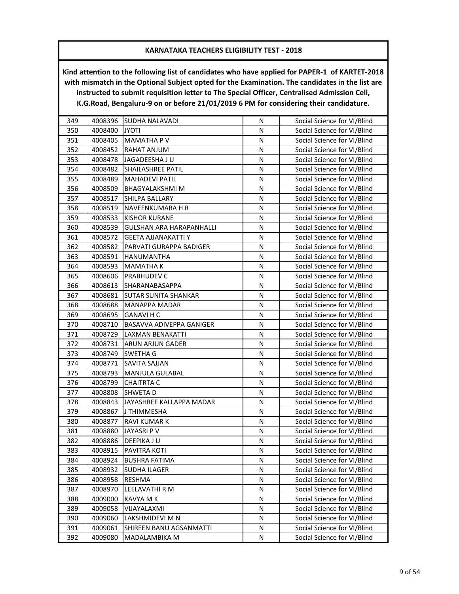| 349 | 4008396 | SUDHA NALAVADI              | N | Social Science for VI/Blind |
|-----|---------|-----------------------------|---|-----------------------------|
| 350 | 4008400 | <b>JYOTI</b>                | N | Social Science for VI/Blind |
| 351 | 4008405 | <b>MAMATHA PV</b>           | N | Social Science for VI/Blind |
| 352 | 4008452 | RAHAT ANJUM                 | N | Social Science for VI/Blind |
| 353 | 4008478 | JAGADEESHA JU               | N | Social Science for VI/Blind |
| 354 | 4008482 | SHAILASHREE PATIL           | N | Social Science for VI/Blind |
| 355 | 4008489 | <b>MAHADEVI PATIL</b>       | N | Social Science for VI/Blind |
| 356 | 4008509 | BHAGYALAKSHMI M             | N | Social Science for VI/Blind |
| 357 | 4008517 | SHILPA BALLARY              | N | Social Science for VI/Blind |
| 358 | 4008519 | NAVEENKUMARA H R            | N | Social Science for VI/Blind |
| 359 | 4008533 | <b>KISHOR KURANE</b>        | N | Social Science for VI/Blind |
| 360 | 4008539 | GULSHAN ARA HARAPANHALLI    | N | Social Science for VI/Blind |
| 361 | 4008572 | <b>GEETA AJJANAKATTI Y</b>  | N | Social Science for VI/Blind |
| 362 | 4008582 | PARVATI GURAPPA BADIGER     | Ν | Social Science for VI/Blind |
| 363 | 4008591 | <b>HANUMANTHA</b>           | N | Social Science for VI/Blind |
| 364 | 4008593 | <b>MAMATHAK</b>             | N | Social Science for VI/Blind |
| 365 | 4008606 | PRABHUDEV C                 | N | Social Science for VI/Blind |
| 366 | 4008613 | SHARANABASAPPA              | N | Social Science for VI/Blind |
| 367 | 4008681 | <b>SUTAR SUNITA SHANKAR</b> | N | Social Science for VI/Blind |
| 368 | 4008688 | MANAPPA MADAR               | N | Social Science for VI/Blind |
| 369 | 4008695 | <b>GANAVI H C</b>           | Ν | Social Science for VI/Blind |
| 370 | 4008710 | BASAVVA ADIVEPPA GANIGER    | N | Social Science for VI/Blind |
| 371 | 4008729 | <b>LAXMAN BENAKATTI</b>     | N | Social Science for VI/Blind |
| 372 | 4008731 | ARUN ARJUN GADER            | N | Social Science for VI/Blind |
| 373 | 4008749 | <b>SWETHA G</b>             | N | Social Science for VI/Blind |
| 374 | 4008771 | SAVITA SAJJAN               | N | Social Science for VI/Blind |
| 375 | 4008793 | MANJULA GULABAL             | Ν | Social Science for VI/Blind |
| 376 | 4008799 | <b>CHAITRTA C</b>           | N | Social Science for VI/Blind |
| 377 | 4008808 | <b>SHWETAD</b>              | N | Social Science for VI/Blind |
| 378 | 4008843 | JAYASHREE KALLAPPA MADAR    | N | Social Science for VI/Blind |
| 379 | 4008867 | J THIMMESHA                 | N | Social Science for VI/Blind |
| 380 | 4008877 | RAVI KUMAR K                | N | Social Science for VI/Blind |
| 381 | 4008880 | JAYASRI P V                 | N | Social Science for VI/Blind |
| 382 | 4008886 | DEEPIKA JU                  | Ν | Social Science for VI/Blind |
| 383 | 4008915 | PAVITRA KOTI                | N | Social Science for VI/Blind |
| 384 | 4008924 | <b>BUSHRA FATIMA</b>        | N | Social Science for VI/Blind |
| 385 | 4008932 | <b>SUDHA ILAGER</b>         | N | Social Science for VI/Blind |
| 386 | 4008958 | RESHMA                      | N | Social Science for VI/Blind |
| 387 | 4008970 | LEELAVATHI R M              | N | Social Science for VI/Blind |
| 388 | 4009000 | KAVYA M K                   | N | Social Science for VI/Blind |
| 389 | 4009058 | VIJAYALAXMI                 | N | Social Science for VI/Blind |
| 390 | 4009060 | LAKSHMIDEVI M N             | Ν | Social Science for VI/Blind |
| 391 | 4009061 | SHIREEN BANU AGSANMATTI     | Ν | Social Science for VI/Blind |
| 392 | 4009080 | MADALAMBIKA M               | N | Social Science for VI/Blind |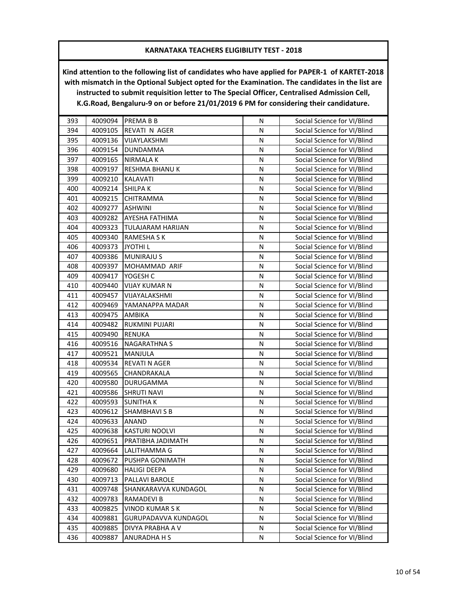| 393 | 4009094 | <b>PREMABB</b>       | N | Social Science for VI/Blind |
|-----|---------|----------------------|---|-----------------------------|
| 394 | 4009105 | REVATI N AGER        | N | Social Science for VI/Blind |
| 395 | 4009136 | VIJAYLAKSHMI         | N | Social Science for VI/Blind |
| 396 | 4009154 | DUNDAMMA             | N | Social Science for VI/Blind |
| 397 | 4009165 | <b>NIRMALAK</b>      | N | Social Science for VI/Blind |
| 398 | 4009197 | RESHMA BHANU K       | N | Social Science for VI/Blind |
| 399 | 4009210 | KALAVATI             | N | Social Science for VI/Blind |
| 400 | 4009214 | <b>SHILPAK</b>       | N | Social Science for VI/Blind |
| 401 | 4009215 | CHITRAMMA            | N | Social Science for VI/Blind |
| 402 | 4009277 | <b>ASHWINI</b>       | N | Social Science for VI/Blind |
| 403 | 4009282 | AYESHA FATHIMA       | N | Social Science for VI/Blind |
| 404 | 4009323 | TULAJARAM HARIJAN    | N | Social Science for VI/Blind |
| 405 | 4009340 | RAMESHA S K          | N | Social Science for VI/Blind |
| 406 | 4009373 | <b>JYOTHIL</b>       | N | Social Science for VI/Blind |
| 407 | 4009386 | <b>MUNIRAJU S</b>    | N | Social Science for VI/Blind |
| 408 | 4009397 | MOHAMMAD ARIF        | N | Social Science for VI/Blind |
| 409 | 4009417 | YOGESH C             | N | Social Science for VI/Blind |
| 410 | 4009440 | VIJAY KUMAR N        | N | Social Science for VI/Blind |
| 411 | 4009457 | VIJAYALAKSHMI        | N | Social Science for VI/Blind |
| 412 | 4009469 | YAMANAPPA MADAR      | N | Social Science for VI/Blind |
| 413 | 4009475 | AMBIKA               | N | Social Science for VI/Blind |
| 414 | 4009482 | RUKMINI PUJARI       | N | Social Science for VI/Blind |
| 415 | 4009490 | <b>RENUKA</b>        | N | Social Science for VI/Blind |
| 416 | 4009516 | <b>NAGARATHNA S</b>  | N | Social Science for VI/Blind |
| 417 | 4009521 | MANJULA              | N | Social Science for VI/Blind |
| 418 | 4009534 | REVATI N AGER        | N | Social Science for VI/Blind |
| 419 | 4009565 | CHANDRAKALA          | N | Social Science for VI/Blind |
| 420 | 4009580 | DURUGAMMA            | N | Social Science for VI/Blind |
| 421 | 4009586 | <b>SHRUTI NAVI</b>   | N | Social Science for VI/Blind |
| 422 | 4009593 | <b>SUNITHAK</b>      | N | Social Science for VI/Blind |
| 423 | 4009612 | <b>SHAMBHAVI S B</b> | N | Social Science for VI/Blind |
| 424 | 4009633 | ANAND                | N | Social Science for VI/Blind |
| 425 | 4009638 | KASTURI NOOLVI       | N | Social Science for VI/Blind |
| 426 | 4009651 | PRATIBHA JADIMATH    | Ν | Social Science for VI/Blind |
| 427 | 4009664 | LALITHAMMA G         | N | Social Science for VI/Blind |
| 428 | 4009672 | PUSHPA GONIMATH      | N | Social Science for VI/Blind |
| 429 | 4009680 | <b>HALIGI DEEPA</b>  | N | Social Science for VI/Blind |
| 430 | 4009713 | PALLAVI BAROLE       | Ν | Social Science for VI/Blind |
| 431 | 4009748 | SHANKARAVVA KUNDAGOL | Ν | Social Science for VI/Blind |
| 432 | 4009783 | RAMADEVI B           | N | Social Science for VI/Blind |
| 433 | 4009825 | <b>VINOD KUMARSK</b> | N | Social Science for VI/Blind |
| 434 | 4009881 | GURUPADAVVA KUNDAGOL | N | Social Science for VI/Blind |
| 435 | 4009885 | DIVYA PRABHA A V     | N | Social Science for VI/Blind |
| 436 | 4009887 | ANURADHA H S         | N | Social Science for VI/Blind |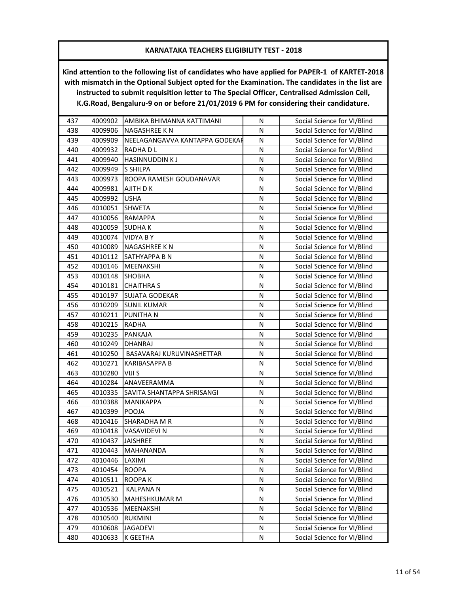| 437 | 4009902 | AMBIKA BHIMANNA KATTIMANI      | N         | Social Science for VI/Blind |
|-----|---------|--------------------------------|-----------|-----------------------------|
| 438 | 4009906 | NAGASHREE K N                  | N         | Social Science for VI/Blind |
| 439 | 4009909 | NEELAGANGAVVA KANTAPPA GODEKAF | N         | Social Science for VI/Blind |
| 440 | 4009932 | RADHA D L                      | N         | Social Science for VI/Blind |
| 441 | 4009940 | <b>HASINNUDDIN KJ</b>          | ${\sf N}$ | Social Science for VI/Blind |
| 442 | 4009949 | S SHILPA                       | N         | Social Science for VI/Blind |
| 443 | 4009973 | ROOPA RAMESH GOUDANAVAR        | N         | Social Science for VI/Blind |
| 444 | 4009981 | AJITH D K                      | N         | Social Science for VI/Blind |
| 445 | 4009992 | <b>USHA</b>                    | N         | Social Science for VI/Blind |
| 446 | 4010051 | <b>SHWETA</b>                  | N         | Social Science for VI/Blind |
| 447 | 4010056 | <b>RAMAPPA</b>                 | N         | Social Science for VI/Blind |
| 448 | 4010059 | SUDHA K                        | N         | Social Science for VI/Blind |
| 449 | 4010074 | <b>VIDYA BY</b>                | N         | Social Science for VI/Blind |
| 450 | 4010089 | NAGASHREE K N                  | N         | Social Science for VI/Blind |
| 451 | 4010112 | SATHYAPPA B N                  | N         | Social Science for VI/Blind |
| 452 | 4010146 | <b>MEENAKSHI</b>               | N         | Social Science for VI/Blind |
| 453 | 4010148 | <b>SHOBHA</b>                  | N         | Social Science for VI/Blind |
| 454 | 4010181 | <b>CHAITHRA S</b>              | N         | Social Science for VI/Blind |
| 455 | 4010197 | <b>SUJATA GODEKAR</b>          | N         | Social Science for VI/Blind |
| 456 | 4010209 | <b>SUNIL KUMAR</b>             | N         | Social Science for VI/Blind |
| 457 | 4010211 | PUNITHA N                      | N         | Social Science for VI/Blind |
| 458 | 4010215 | <b>RADHA</b>                   | N         | Social Science for VI/Blind |
| 459 | 4010235 | PANKAJA                        | N         | Social Science for VI/Blind |
| 460 | 4010249 | <b>DHANRAJ</b>                 | ${\sf N}$ | Social Science for VI/Blind |
| 461 | 4010250 | BASAVARAJ KURUVINASHETTAR      | N         | Social Science for VI/Blind |
| 462 | 4010271 | KARIBASAPPA B                  | N         | Social Science for VI/Blind |
| 463 | 4010280 | VIJI S                         | N         | Social Science for VI/Blind |
| 464 | 4010284 | ANAVEERAMMA                    | N         | Social Science for VI/Blind |
| 465 | 4010335 | SAVITA SHANTAPPA SHRISANGI     | N         | Social Science for VI/Blind |
| 466 | 4010388 | MANIKAPPA                      | N         | Social Science for VI/Blind |
| 467 | 4010399 | POOJA                          | N         | Social Science for VI/Blind |
| 468 | 4010416 | SHARADHA M R                   | N         | Social Science for VI/Blind |
| 469 | 4010418 | VASAVIDEVI N                   | N         | Social Science for VI/Blind |
| 470 | 4010437 | <b>JAISHREE</b>                | N         | Social Science for VI/Blind |
| 471 | 4010443 | MAHANANDA                      | N         | Social Science for VI/Blind |
| 472 | 4010446 | LAXIMI                         | N         | Social Science for VI/Blind |
| 473 | 4010454 | <b>ROOPA</b>                   | N         | Social Science for VI/Blind |
| 474 | 4010511 | ROOPA K                        | N         | Social Science for VI/Blind |
| 475 | 4010521 | <b>KALPANA N</b>               | N         | Social Science for VI/Blind |
| 476 | 4010530 | MAHESHKUMAR M                  | Ν         | Social Science for VI/Blind |
| 477 | 4010536 | MEENAKSHI                      | N         | Social Science for VI/Blind |
| 478 | 4010540 | <b>RUKMINI</b>                 | N         | Social Science for VI/Blind |
| 479 | 4010608 | <b>JAGADEVI</b>                | N         | Social Science for VI/Blind |
| 480 | 4010633 | K GEETHA                       | N         | Social Science for VI/Blind |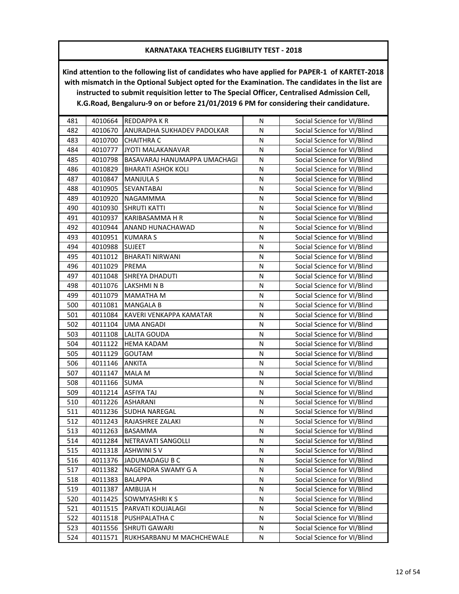| 481 | 4010664 | <b>REDDAPPAKR</b>            | N | Social Science for VI/Blind |
|-----|---------|------------------------------|---|-----------------------------|
| 482 | 4010670 | ANURADHA SUKHADEV PADOLKAR   | N | Social Science for VI/Blind |
| 483 | 4010700 | <b>CHAITHRA C</b>            | N | Social Science for VI/Blind |
| 484 | 4010777 | JYOTI MALAKANAVAR            | N | Social Science for VI/Blind |
| 485 | 4010798 | BASAVARAJ HANUMAPPA UMACHAGI | N | Social Science for VI/Blind |
| 486 | 4010829 | <b>BHARATI ASHOK KOLI</b>    | N | Social Science for VI/Blind |
| 487 | 4010847 | <b>MANJULA S</b>             | N | Social Science for VI/Blind |
| 488 | 4010905 | <b>SEVANTABAI</b>            | N | Social Science for VI/Blind |
| 489 | 4010920 | NAGAMMMA                     | N | Social Science for VI/Blind |
| 490 | 4010930 | <b>SHRUTI KATTI</b>          | N | Social Science for VI/Blind |
| 491 | 4010937 | KARIBASAMMA H R              | N | Social Science for VI/Blind |
| 492 | 4010944 | ANAND HUNACHAWAD             | N | Social Science for VI/Blind |
| 493 | 4010951 | <b>KUMARA S</b>              | Ν | Social Science for VI/Blind |
| 494 | 4010988 | <b>SUJEET</b>                | N | Social Science for VI/Blind |
| 495 | 4011012 | <b>BHARATI NIRWANI</b>       | N | Social Science for VI/Blind |
| 496 | 4011029 | PREMA                        | N | Social Science for VI/Blind |
| 497 | 4011048 | SHREYA DHADUTI               | N | Social Science for VI/Blind |
| 498 | 4011076 | LAKSHMINB                    | N | Social Science for VI/Blind |
| 499 | 4011079 | MAMATHA M                    | N | Social Science for VI/Blind |
| 500 | 4011081 | <b>MANGALA B</b>             | N | Social Science for VI/Blind |
| 501 | 4011084 | KAVERI VENKAPPA KAMATAR      | Ν | Social Science for VI/Blind |
| 502 | 4011104 | <b>UMA ANGADI</b>            | N | Social Science for VI/Blind |
| 503 | 4011108 | <b>LALITA GOUDA</b>          | N | Social Science for VI/Blind |
| 504 | 4011122 | <b>HEMA KADAM</b>            | N | Social Science for VI/Blind |
| 505 | 4011129 | GOUTAM                       | N | Social Science for VI/Blind |
| 506 | 4011146 | ANKITA                       | N | Social Science for VI/Blind |
| 507 | 4011147 | MALA M                       | N | Social Science for VI/Blind |
| 508 | 4011166 | <b>SUMA</b>                  | N | Social Science for VI/Blind |
| 509 | 4011214 | <b>ASFIYA TAJ</b>            | N | Social Science for VI/Blind |
| 510 | 4011226 | <b>ASHARANI</b>              | N | Social Science for VI/Blind |
| 511 | 4011236 | SUDHA NAREGAL                | N | Social Science for VI/Blind |
| 512 | 4011243 | RAJASHREE ZALAKI             | N | Social Science for VI/Blind |
| 513 | 4011263 | BASAMMA                      | N | Social Science for VI/Blind |
| 514 | 4011284 | NETRAVATI SANGOLLI           | Ν | Social Science for VI/Blind |
| 515 | 4011318 | <b>ASHWINI SV</b>            | N | Social Science for VI/Blind |
| 516 | 4011376 | JADUMADAGU B C               | N | Social Science for VI/Blind |
| 517 | 4011382 | NAGENDRA SWAMY G A           | N | Social Science for VI/Blind |
| 518 | 4011383 | <b>BALAPPA</b>               | N | Social Science for VI/Blind |
| 519 | 4011387 | AMBUJA H                     | Ν | Social Science for VI/Blind |
| 520 | 4011425 | SOWMYASHRIKS                 | N | Social Science for VI/Blind |
| 521 | 4011515 | PARVATI KOUJALAGI            | N | Social Science for VI/Blind |
| 522 | 4011518 | PUSHPALATHA C                | N | Social Science for VI/Blind |
| 523 | 4011556 | <b>SHRUTI GAWARI</b>         | N | Social Science for VI/Blind |
| 524 | 4011571 | RUKHSARBANU M MACHCHEWALE    | N | Social Science for VI/Blind |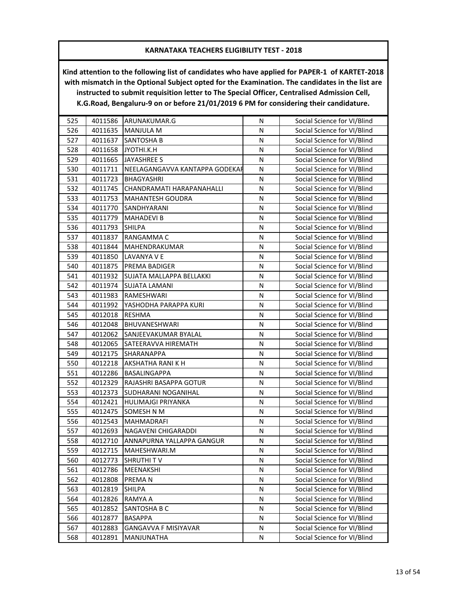| 525 | 4011586 | ARUNAKUMAR.G                   | N | Social Science for VI/Blind |
|-----|---------|--------------------------------|---|-----------------------------|
| 526 | 4011635 | <b>MANJULA M</b>               | N | Social Science for VI/Blind |
| 527 | 4011637 | <b>SANTOSHA B</b>              | N | Social Science for VI/Blind |
| 528 | 4011658 | JYOTHI.K.H                     | N | Social Science for VI/Blind |
| 529 | 4011665 | <b>JAYASHREE S</b>             | N | Social Science for VI/Blind |
| 530 | 4011711 | NEELAGANGAVVA KANTAPPA GODEKAF | N | Social Science for VI/Blind |
| 531 | 4011723 | BHAGYASHRI                     | N | Social Science for VI/Blind |
| 532 | 4011745 | CHANDRAMATI HARAPANAHALLI      | N | Social Science for VI/Blind |
| 533 | 4011753 | <b>MAHANTESH GOUDRA</b>        | N | Social Science for VI/Blind |
| 534 | 4011770 | SANDHYARANI                    | N | Social Science for VI/Blind |
| 535 | 4011779 | <b>MAHADEVI B</b>              | N | Social Science for VI/Blind |
| 536 | 4011793 | <b>SHILPA</b>                  | N | Social Science for VI/Blind |
| 537 | 4011837 | RANGAMMA C                     | N | Social Science for VI/Blind |
| 538 | 4011844 | MAHENDRAKUMAR                  | N | Social Science for VI/Blind |
| 539 | 4011850 | LAVANYA V E                    | N | Social Science for VI/Blind |
| 540 | 4011875 | PREMA BADIGER                  | N | Social Science for VI/Blind |
| 541 | 4011932 | SUJATA MALLAPPA BELLAKKI       | N | Social Science for VI/Blind |
| 542 | 4011974 | <b>SUJATA LAMANI</b>           | N | Social Science for VI/Blind |
| 543 | 4011983 | RAMESHWARI                     | N | Social Science for VI/Blind |
| 544 | 4011992 | YASHODHA PARAPPA KURI          | N | Social Science for VI/Blind |
| 545 | 4012018 | <b>RESHMA</b>                  | Ν | Social Science for VI/Blind |
| 546 | 4012048 | BHUVANESHWARI                  | N | Social Science for VI/Blind |
| 547 | 4012062 | SANJEEVAKUMAR BYALAL           | N | Social Science for VI/Blind |
| 548 | 4012065 | SATEERAVVA HIREMATH            | N | Social Science for VI/Blind |
| 549 | 4012175 | SHARANAPPA                     | N | Social Science for VI/Blind |
| 550 | 4012218 | AKSHATHA RANI K H              | N | Social Science for VI/Blind |
| 551 | 4012286 | BASALINGAPPA                   | N | Social Science for VI/Blind |
| 552 | 4012329 | RAJASHRI BASAPPA GOTUR         | N | Social Science for VI/Blind |
| 553 | 4012373 | SUDHARANI NOGANIHAL            | N | Social Science for VI/Blind |
| 554 | 4012421 | HULIMAJGI PRIYANKA             | N | Social Science for VI/Blind |
| 555 | 4012475 | SOMESH N M                     | N | Social Science for VI/Blind |
| 556 | 4012543 | MAHMADRAFI                     | N | Social Science for VI/Blind |
| 557 | 4012693 | NAGAVENI CHIGARADDI            | N | Social Science for VI/Blind |
| 558 | 4012710 | ANNAPURNA YALLAPPA GANGUR      | Ν | Social Science for VI/Blind |
| 559 | 4012715 | MAHESHWARI.M                   | N | Social Science for VI/Blind |
| 560 | 4012773 | <b>SHRUTHIT V</b>              | N | Social Science for VI/Blind |
| 561 | 4012786 | MEENAKSHI                      | N | Social Science for VI/Blind |
| 562 | 4012808 | PREMAN                         | N | Social Science for VI/Blind |
| 563 | 4012819 | SHILPA                         | Ν | Social Science for VI/Blind |
| 564 | 4012826 | RAMYA A                        | N | Social Science for VI/Blind |
| 565 | 4012852 | SANTOSHA B C                   | N | Social Science for VI/Blind |
| 566 | 4012877 | <b>BASAPPA</b>                 | N | Social Science for VI/Blind |
| 567 | 4012883 | GANGAVVA F MISIYAVAR           | N | Social Science for VI/Blind |
| 568 | 4012891 | MANJUNATHA                     | N | Social Science for VI/Blind |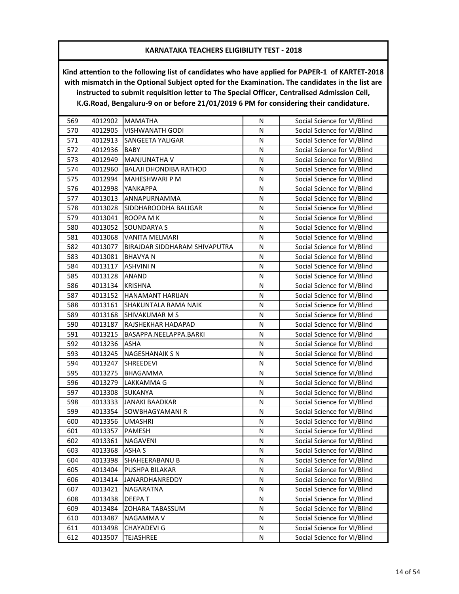| 569 | 4012902 | <b>MAMATHA</b>                | N         | Social Science for VI/Blind |
|-----|---------|-------------------------------|-----------|-----------------------------|
| 570 | 4012905 | <b>VISHWANATH GODI</b>        | N         | Social Science for VI/Blind |
| 571 | 4012913 | <b>SANGEETA YALIGAR</b>       | N         | Social Science for VI/Blind |
| 572 | 4012936 | <b>BABY</b>                   | N         | Social Science for VI/Blind |
| 573 | 4012949 | <b>MANJUNATHA V</b>           | N         | Social Science for VI/Blind |
| 574 | 4012960 | <b>BALAJI DHONDIBA RATHOD</b> | N         | Social Science for VI/Blind |
| 575 | 4012994 | MAHESHWARI P M                | N         | Social Science for VI/Blind |
| 576 | 4012998 | YANKAPPA                      | N         | Social Science for VI/Blind |
| 577 | 4013013 | ANNAPURNAMMA                  | N         | Social Science for VI/Blind |
| 578 | 4013028 | SIDDHAROODHA BALIGAR          | N         | Social Science for VI/Blind |
| 579 | 4013041 | ROOPA M K                     | N         | Social Science for VI/Blind |
| 580 | 4013052 | SOUNDARYA S                   | N         | Social Science for VI/Blind |
| 581 | 4013068 | <b>VANITA MELMARI</b>         | N         | Social Science for VI/Blind |
| 582 | 4013077 | BIRAJDAR SIDDHARAM SHIVAPUTRA | N         | Social Science for VI/Blind |
| 583 | 4013081 | <b>BHAVYAN</b>                | N         | Social Science for VI/Blind |
| 584 | 4013117 | <b>ASHVINI N</b>              | N         | Social Science for VI/Blind |
| 585 | 4013128 | ANAND                         | N         | Social Science for VI/Blind |
| 586 | 4013134 | <b>KRISHNA</b>                | N         | Social Science for VI/Blind |
| 587 | 4013152 | HANAMANT HARIJAN              | N         | Social Science for VI/Blind |
| 588 | 4013161 | SHAKUNTALA RAMA NAIK          | N         | Social Science for VI/Blind |
| 589 | 4013168 | SHIVAKUMAR M S                | N         | Social Science for VI/Blind |
| 590 | 4013187 | RAJSHEKHAR HADAPAD            | N         | Social Science for VI/Blind |
| 591 | 4013215 | BASAPPA.NEELAPPA.BARKI        | N         | Social Science for VI/Blind |
| 592 | 4013236 | <b>ASHA</b>                   | ${\sf N}$ | Social Science for VI/Blind |
| 593 | 4013245 | NAGESHANAIK S N               | N         | Social Science for VI/Blind |
| 594 | 4013247 | <b>SHREEDEVI</b>              | N         | Social Science for VI/Blind |
| 595 | 4013275 | BHAGAMMA                      | N         | Social Science for VI/Blind |
| 596 | 4013279 | LAKKAMMA G                    | N         | Social Science for VI/Blind |
| 597 | 4013308 | <b>SUKANYA</b>                | N         | Social Science for VI/Blind |
| 598 | 4013333 | <b>JANAKI BAADKAR</b>         | N         | Social Science for VI/Blind |
| 599 | 4013354 | SOWBHAGYAMANI R               | N         | Social Science for VI/Blind |
| 600 | 4013356 | <b>UMASHRI</b>                | N         | Social Science for VI/Blind |
| 601 | 4013357 | <b>PAMESH</b>                 | N         | Social Science for VI/Blind |
| 602 | 4013361 | NAGAVENI                      | N         | Social Science for VI/Blind |
| 603 | 4013368 | <b>ASHA S</b>                 | N         | Social Science for VI/Blind |
| 604 | 4013398 | SHAHEERABANU B                | N         | Social Science for VI/Blind |
| 605 | 4013404 | PUSHPA BILAKAR                | Ν         | Social Science for VI/Blind |
| 606 | 4013414 | JANARDHANREDDY                | N         | Social Science for VI/Blind |
| 607 | 4013421 | NAGARATNA                     | N         | Social Science for VI/Blind |
| 608 | 4013438 | <b>DEEPAT</b>                 | Ν         | Social Science for VI/Blind |
| 609 | 4013484 | ZOHARA TABASSUM               | Ν         | Social Science for VI/Blind |
| 610 | 4013487 | NAGAMMA V                     | N         | Social Science for VI/Blind |
| 611 | 4013498 | CHAYADEVI G                   | N         | Social Science for VI/Blind |
| 612 | 4013507 | <b>TEJASHREE</b>              | N         | Social Science for VI/Blind |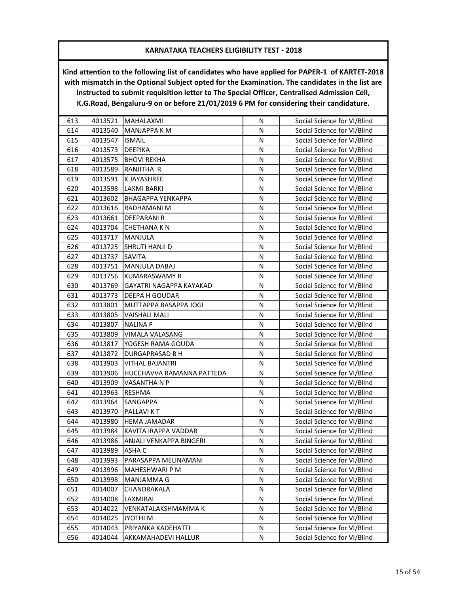| 613 | 4013521 | MAHALAXMI                 | N         | Social Science for VI/Blind |
|-----|---------|---------------------------|-----------|-----------------------------|
| 614 | 4013540 | MANJAPPA K M              | N         | Social Science for VI/Blind |
| 615 | 4013547 | <b>ISMAIL</b>             | N         | Social Science for VI/Blind |
| 616 | 4013573 | <b>DEEPIKA</b>            | N         | Social Science for VI/Blind |
| 617 | 4013575 | <b>BHOVI REKHA</b>        | N         | Social Science for VI/Blind |
| 618 | 4013589 | RANJITHA R                | N         | Social Science for VI/Blind |
| 619 | 4013591 | K JAYASHREE               | N         | Social Science for VI/Blind |
| 620 | 4013598 | LAXMI BARKI               | N         | Social Science for VI/Blind |
| 621 | 4013602 | <b>BHAGAPPA YENKAPPA</b>  | N         | Social Science for VI/Blind |
| 622 | 4013616 | RADHAMANI M               | N         | Social Science for VI/Blind |
| 623 | 4013661 | DEEPARANI R               | ${\sf N}$ | Social Science for VI/Blind |
| 624 | 4013704 | CHETHANA K N              | N         | Social Science for VI/Blind |
| 625 | 4013717 | MANJULA                   | Ν         | Social Science for VI/Blind |
| 626 | 4013725 | SHRUTI HANJI D            | N         | Social Science for VI/Blind |
| 627 | 4013737 | <b>SAVITA</b>             | N         | Social Science for VI/Blind |
| 628 | 4013751 | <b>MANJULA DABAJ</b>      | N         | Social Science for VI/Blind |
| 629 | 4013756 | <b>KUMARASWAMY R</b>      | N         | Social Science for VI/Blind |
| 630 | 4013769 | GAYATRI NAGAPPA KAYAKAD   | N         | Social Science for VI/Blind |
| 631 | 4013773 | <b>DEEPA H GOUDAR</b>     | N         | Social Science for VI/Blind |
| 632 | 4013801 | MUTTAPPA BASAPPA JOGI     | N         | Social Science for VI/Blind |
| 633 | 4013805 | <b>VAISHALI MALI</b>      | N         | Social Science for VI/Blind |
| 634 | 4013807 | <b>NALINA P</b>           | N         | Social Science for VI/Blind |
| 635 | 4013809 | VIMALA VALASANG           | N         | Social Science for VI/Blind |
| 636 | 4013817 | YOGESH RAMA GOUDA         | N         | Social Science for VI/Blind |
| 637 | 4013872 | DURGAPRASAD B H           | N         | Social Science for VI/Blind |
| 638 | 4013903 | <b>VITHAL BAJANTRI</b>    | N         | Social Science for VI/Blind |
| 639 | 4013906 | HUCCHAVVA RAMANNA PATTEDA | N         | Social Science for VI/Blind |
| 640 | 4013909 | VASANTHA N P              | N         | Social Science for VI/Blind |
| 641 | 4013963 | RESHMA                    | N         | Social Science for VI/Blind |
| 642 | 4013964 | SANGAPPA                  | N         | Social Science for VI/Blind |
| 643 | 4013970 | PALLAVI KT                | ${\sf N}$ | Social Science for VI/Blind |
| 644 | 4013980 | <b>HEMA JAMADAR</b>       | N         | Social Science for VI/Blind |
| 645 | 4013984 | KAVITA IRAPPA VADDAR      | N         | Social Science for VI/Blind |
| 646 | 4013986 | ANJALI VENKAPPA BINGERI   | N         | Social Science for VI/Blind |
| 647 | 4013989 | ASHA C                    | N         | Social Science for VI/Blind |
| 648 | 4013993 | PARASAPPA MELINAMANI      | N         | Social Science for VI/Blind |
| 649 | 4013996 | MAHESHWARI P M            | N         | Social Science for VI/Blind |
| 650 | 4013998 | MANJAMMA G                | N         | Social Science for VI/Blind |
| 651 | 4014007 | CHANDRAKALA               | Ν         | Social Science for VI/Blind |
| 652 | 4014008 | LAXMIBAI                  | N         | Social Science for VI/Blind |
| 653 | 4014022 | VENKATALAKSHMAMMA K       | N         | Social Science for VI/Blind |
| 654 | 4014025 | <b>N IHTOYL</b>           | N         | Social Science for VI/Blind |
| 655 | 4014043 | PRIYANKA KADEHATTI        | N         | Social Science for VI/Blind |
| 656 | 4014044 | AKKAMAHADEVI HALLUR       | N         | Social Science for VI/Blind |
|     |         |                           |           |                             |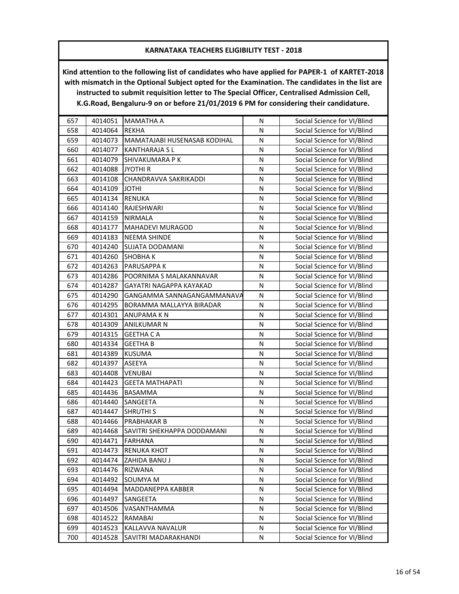| 657 | 4014051 | <b>MAMATHA A</b>             | N | Social Science for VI/Blind |
|-----|---------|------------------------------|---|-----------------------------|
| 658 | 4014064 | <b>REKHA</b>                 | N | Social Science for VI/Blind |
| 659 | 4014073 | MAMATAJABI HUSENASAB KODIHAL | N | Social Science for VI/Blind |
| 660 | 4014077 | <b>KANTHARAJA SL</b>         | N | Social Science for VI/Blind |
| 661 | 4014079 | SHIVAKUMARA P K              | N | Social Science for VI/Blind |
| 662 | 4014088 | <b>JYOTHI R</b>              | N | Social Science for VI/Blind |
| 663 | 4014108 | CHANDRAVVA SAKRIKADDI        | N | Social Science for VI/Blind |
| 664 | 4014109 | <b>IHTOL</b>                 | N | Social Science for VI/Blind |
| 665 | 4014134 | <b>RENUKA</b>                | N | Social Science for VI/Blind |
| 666 | 4014140 | <b>RAJESHWARI</b>            | N | Social Science for VI/Blind |
| 667 | 4014159 | <b>NIRMALA</b>               | N | Social Science for VI/Blind |
| 668 | 4014177 | MAHADEVI MURAGOD             | N | Social Science for VI/Blind |
| 669 | 4014183 | <b>NEEMA SHINDE</b>          | Ν | Social Science for VI/Blind |
| 670 | 4014240 | <b>SUJATA DODAMANI</b>       | N | Social Science for VI/Blind |
| 671 | 4014260 | <b>SHOBHAK</b>               | N | Social Science for VI/Blind |
| 672 | 4014263 | PARUSAPPA K                  | N | Social Science for VI/Blind |
| 673 | 4014286 | POORNIMA S MALAKANNAVAR      | N | Social Science for VI/Blind |
| 674 | 4014287 | GAYATRI NAGAPPA KAYAKAD      | N | Social Science for VI/Blind |
| 675 | 4014290 | GANGAMMA SANNAGANGAMMANAVA   | N | Social Science for VI/Blind |
| 676 | 4014295 | BORAMMA MALLAYYA BIRADAR     | N | Social Science for VI/Blind |
| 677 | 4014301 | ANUPAMA K N                  | N | Social Science for VI/Blind |
| 678 | 4014309 | <b>ANILKUMAR N</b>           | N | Social Science for VI/Blind |
| 679 | 4014315 | <b>GEETHA CA</b>             | N | Social Science for VI/Blind |
| 680 | 4014334 | <b>GEETHA B</b>              | N | Social Science for VI/Blind |
| 681 | 4014389 | <b>KUSUMA</b>                | N | Social Science for VI/Blind |
| 682 | 4014397 | ASEEYA                       | N | Social Science for VI/Blind |
| 683 | 4014408 | <b>VENUBAI</b>               | N | Social Science for VI/Blind |
| 684 | 4014423 | <b>GEETA MATHAPATI</b>       | N | Social Science for VI/Blind |
| 685 | 4014436 | BASAMMA                      | N | Social Science for VI/Blind |
| 686 | 4014440 | SANGEETA                     | N | Social Science for VI/Blind |
| 687 | 4014447 | <b>SHRUTHI S</b>             | N | Social Science for VI/Blind |
| 688 | 4014466 | PRABHAKAR B                  | N | Social Science for VI/Blind |
| 689 | 4014468 | SAVITRI SHEKHAPPA DODDAMANI  | N | Social Science for VI/Blind |
| 690 | 4014471 | <b>FARHANA</b>               | Ν | Social Science for VI/Blind |
| 691 | 4014473 | <b>RENUKA KHOT</b>           | N | Social Science for VI/Blind |
| 692 | 4014474 | ZAHIDA BANU J                | N | Social Science for VI/Blind |
| 693 | 4014476 | RIZWANA                      | N | Social Science for VI/Blind |
| 694 | 4014492 | SOUMYA M                     | Ν | Social Science for VI/Blind |
| 695 | 4014494 | MADDANEPPA KABBER            | Ν | Social Science for VI/Blind |
| 696 | 4014497 | SANGEETA                     | N | Social Science for VI/Blind |
| 697 | 4014506 | VASANTHAMMA                  | N | Social Science for VI/Blind |
| 698 | 4014522 | RAMABAI                      | N | Social Science for VI/Blind |
| 699 | 4014523 | KALLAVVA NAVALUR             | N | Social Science for VI/Blind |
| 700 | 4014528 | SAVITRI MADARAKHANDI         | N | Social Science for VI/Blind |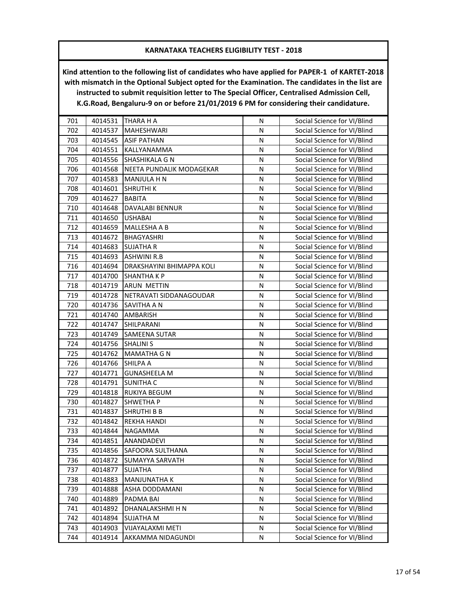| 701 | 4014531 | THARA H A                 | N | Social Science for VI/Blind |
|-----|---------|---------------------------|---|-----------------------------|
| 702 | 4014537 | MAHESHWARI                | N | Social Science for VI/Blind |
| 703 | 4014545 | <b>ASIF PATHAN</b>        | N | Social Science for VI/Blind |
| 704 | 4014551 | KALLYANAMMA               | N | Social Science for VI/Blind |
| 705 | 4014556 | SHASHIKALA G N            | N | Social Science for VI/Blind |
| 706 | 4014568 | NEETA PUNDALIK MODAGEKAR  | N | Social Science for VI/Blind |
| 707 | 4014583 | MANJULA H N               | N | Social Science for VI/Blind |
| 708 | 4014601 | <b>SHRUTHIK</b>           | N | Social Science for VI/Blind |
| 709 | 4014627 | <b>BABITA</b>             | N | Social Science for VI/Blind |
| 710 | 4014648 | DAVALABI BENNUR           | N | Social Science for VI/Blind |
| 711 | 4014650 | <b>USHABAI</b>            | N | Social Science for VI/Blind |
| 712 | 4014659 | MALLESHA A B              | N | Social Science for VI/Blind |
| 713 | 4014672 | BHAGYASHRI                | N | Social Science for VI/Blind |
| 714 | 4014683 | <b>SUJATHA R</b>          | N | Social Science for VI/Blind |
| 715 | 4014693 | <b>ASHWINI R.B</b>        | N | Social Science for VI/Blind |
| 716 | 4014694 | DRAKSHAYINI BHIMAPPA KOLI | N | Social Science for VI/Blind |
| 717 | 4014700 | SHANTHA K P               | N | Social Science for VI/Blind |
| 718 | 4014719 | <b>ARUN METTIN</b>        | N | Social Science for VI/Blind |
| 719 | 4014728 | NETRAVATI SIDDANAGOUDAR   | N | Social Science for VI/Blind |
| 720 | 4014736 | SAVITHA A N               | N | Social Science for VI/Blind |
| 721 | 4014740 | AMBARISH                  | N | Social Science for VI/Blind |
| 722 | 4014747 | SHILPARANI                | N | Social Science for VI/Blind |
| 723 | 4014749 | SAMEENA SUTAR             | N | Social Science for VI/Blind |
| 724 | 4014756 | <b>SHALINI S</b>          | N | Social Science for VI/Blind |
| 725 | 4014762 | <b>MAMATHA G N</b>        | N | Social Science for VI/Blind |
| 726 | 4014766 | SHILPA A                  | N | Social Science for VI/Blind |
| 727 | 4014771 | <b>GUNASHEELA M</b>       | N | Social Science for VI/Blind |
| 728 | 4014791 | <b>SUNITHA C</b>          | N | Social Science for VI/Blind |
| 729 | 4014818 | RUKIYA BEGUM              | N | Social Science for VI/Blind |
| 730 | 4014827 | SHWETHA P                 | N | Social Science for VI/Blind |
| 731 | 4014837 | <b>SHRUTHI B B</b>        | N | Social Science for VI/Blind |
| 732 | 4014842 | REKHA HANDI               | N | Social Science for VI/Blind |
| 733 | 4014844 | NAGAMMA                   | N | Social Science for VI/Blind |
| 734 | 4014851 | ANANDADEVI                | Ν | Social Science for VI/Blind |
| 735 | 4014856 | SAFOORA SULTHANA          | N | Social Science for VI/Blind |
| 736 | 4014872 | <b>SUMAYYA SARVATH</b>    | N | Social Science for VI/Blind |
| 737 | 4014877 | <b>SUJATHA</b>            | N | Social Science for VI/Blind |
| 738 | 4014883 | MANJUNATHA K              | N | Social Science for VI/Blind |
| 739 | 4014888 | ASHA DODDAMANI            | Ν | Social Science for VI/Blind |
| 740 | 4014889 | PADMA BAI                 | Ν | Social Science for VI/Blind |
| 741 | 4014892 | DHANALAKSHMI H N          | N | Social Science for VI/Blind |
| 742 | 4014894 | <b>SUJATHA M</b>          | N | Social Science for VI/Blind |
| 743 | 4014903 | VIJAYALAXMI METI          | N | Social Science for VI/Blind |
| 744 | 4014914 | AKKAMMA NIDAGUNDI         | N | Social Science for VI/Blind |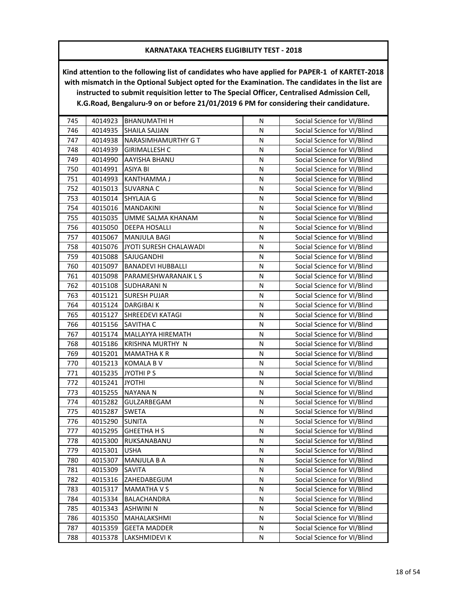| 745 | 4014923 | <b>BHANUMATHI H</b>      | N | Social Science for VI/Blind |
|-----|---------|--------------------------|---|-----------------------------|
| 746 | 4014935 | <b>SHAILA SAJJAN</b>     | N | Social Science for VI/Blind |
| 747 | 4014938 | NARASIMHAMURTHY G T      | N | Social Science for VI/Blind |
| 748 | 4014939 | <b>GIRIMALLESH C</b>     | N | Social Science for VI/Blind |
| 749 | 4014990 | AAYISHA BHANU            | N | Social Science for VI/Blind |
| 750 | 4014991 | ASIYA BI                 | N | Social Science for VI/Blind |
| 751 | 4014993 | KANTHAMMA J              | N | Social Science for VI/Blind |
| 752 | 4015013 | <b>SUVARNA C</b>         | N | Social Science for VI/Blind |
| 753 | 4015014 | SHYLAJA G                | N | Social Science for VI/Blind |
| 754 | 4015016 | <b>MANDAKINI</b>         | N | Social Science for VI/Blind |
| 755 | 4015035 | UMME SALMA KHANAM        | N | Social Science for VI/Blind |
| 756 | 4015050 | DEEPA HOSALLI            | N | Social Science for VI/Blind |
| 757 | 4015067 | MANJULA BAGI             | N | Social Science for VI/Blind |
| 758 | 4015076 | JYOTI SURESH CHALAWADI   | N | Social Science for VI/Blind |
| 759 | 4015088 | SAJUGANDHI               | N | Social Science for VI/Blind |
| 760 | 4015097 | <b>BANADEVI HUBBALLI</b> | N | Social Science for VI/Blind |
| 761 | 4015098 | PARAMESHWARANAIK L S     | N | Social Science for VI/Blind |
| 762 | 4015108 | <b>SUDHARANIN</b>        | N | Social Science for VI/Blind |
| 763 | 4015121 | <b>SURESH PUJAR</b>      | N | Social Science for VI/Blind |
| 764 | 4015124 | <b>DARGIBAI K</b>        | N | Social Science for VI/Blind |
| 765 | 4015127 | <b>SHREEDEVI KATAGI</b>  | N | Social Science for VI/Blind |
| 766 | 4015156 | <b>SAVITHA C</b>         | N | Social Science for VI/Blind |
| 767 | 4015174 | MALLAYYA HIREMATH        | N | Social Science for VI/Blind |
| 768 | 4015186 | KRISHNA MURTHY N         | N | Social Science for VI/Blind |
| 769 | 4015201 | <b>MAMATHAKR</b>         | N | Social Science for VI/Blind |
| 770 | 4015213 | KOMALA B V               | N | Social Science for VI/Blind |
| 771 | 4015235 | JYOTHI P S               | N | Social Science for VI/Blind |
| 772 | 4015241 | <b>JYOTHI</b>            | N | Social Science for VI/Blind |
| 773 | 4015255 | <b>NAYANA N</b>          | N | Social Science for VI/Blind |
| 774 | 4015282 | GULZARBEGAM              | N | Social Science for VI/Blind |
| 775 | 4015287 | <b>SWETA</b>             | N | Social Science for VI/Blind |
| 776 | 4015290 | <b>SUNITA</b>            | N | Social Science for VI/Blind |
| 777 | 4015295 | <b>GHEETHA H S</b>       | N | Social Science for VI/Blind |
| 778 | 4015300 | RUKSANABANU              | Ν | Social Science for VI/Blind |
| 779 | 4015301 | <b>USHA</b>              | N | Social Science for VI/Blind |
| 780 | 4015307 | MANJULA B A              | N | Social Science for VI/Blind |
| 781 | 4015309 | SAVITA                   | N | Social Science for VI/Blind |
| 782 | 4015316 | ZAHEDABEGUM              | N | Social Science for VI/Blind |
| 783 | 4015317 | <b>MAMATHA V S</b>       | Ν | Social Science for VI/Blind |
| 784 | 4015334 | BALACHANDRA              | N | Social Science for VI/Blind |
| 785 | 4015343 | <b>ASHWINI N</b>         | N | Social Science for VI/Blind |
| 786 | 4015350 | MAHALAKSHMI              | N | Social Science for VI/Blind |
| 787 | 4015359 | <b>GEETA MADDER</b>      | N | Social Science for VI/Blind |
| 788 | 4015378 | LAKSHMIDEVI K            | N | Social Science for VI/Blind |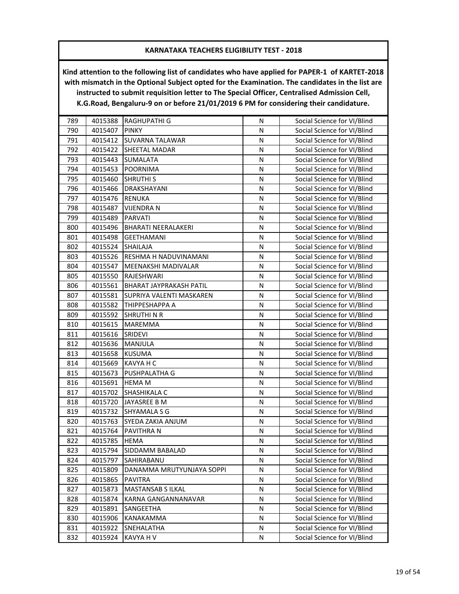| 789 | 4015388 | RAGHUPATHI G               | N         | Social Science for VI/Blind |
|-----|---------|----------------------------|-----------|-----------------------------|
| 790 | 4015407 | <b>PINKY</b>               | N         | Social Science for VI/Blind |
| 791 | 4015412 | <b>SUVARNA TALAWAR</b>     | N         | Social Science for VI/Blind |
| 792 | 4015422 | SHEETAL MADAR              | N         | Social Science for VI/Blind |
| 793 | 4015443 | SUMALATA                   | N         | Social Science for VI/Blind |
| 794 | 4015453 | <b>POORNIMA</b>            | N         | Social Science for VI/Blind |
| 795 | 4015460 | <b>SHRUTHI S</b>           | N         | Social Science for VI/Blind |
| 796 | 4015466 | DRAKSHAYANI                | N         | Social Science for VI/Blind |
| 797 | 4015476 | <b>RENUKA</b>              | N         | Social Science for VI/Blind |
| 798 | 4015487 | <b>VIJENDRA N</b>          | N         | Social Science for VI/Blind |
| 799 | 4015489 | <b>PARVATI</b>             | N         | Social Science for VI/Blind |
| 800 | 4015496 | <b>BHARATI NEERALAKERI</b> | N         | Social Science for VI/Blind |
| 801 | 4015498 | <b>GEETHAMANI</b>          | N         | Social Science for VI/Blind |
| 802 | 4015524 | SHAILAJA                   | N         | Social Science for VI/Blind |
| 803 | 4015526 | RESHMA H NADUVINAMANI      | N         | Social Science for VI/Blind |
| 804 | 4015547 | MEENAKSHI MADIVALAR        | N         | Social Science for VI/Blind |
| 805 | 4015550 | RAJESHWARI                 | N         | Social Science for VI/Blind |
| 806 | 4015561 | BHARAT JAYPRAKASH PATIL    | N         | Social Science for VI/Blind |
| 807 | 4015581 | SUPRIYA VALENTI MASKAREN   | N         | Social Science for VI/Blind |
| 808 | 4015582 | <b>ТНІРРЕЅНАРРА А</b>      | ${\sf N}$ | Social Science for VI/Blind |
| 809 | 4015592 | SHRUTHI N R                | N         | Social Science for VI/Blind |
| 810 | 4015615 | <b>MAREMMA</b>             | N         | Social Science for VI/Blind |
| 811 | 4015616 | SRIDEVI                    | N         | Social Science for VI/Blind |
| 812 | 4015636 | MANJULA                    | N         | Social Science for VI/Blind |
| 813 | 4015658 | <b>KUSUMA</b>              | N         | Social Science for VI/Blind |
| 814 | 4015669 | KAVYA H C                  | N         | Social Science for VI/Blind |
| 815 | 4015673 | PUSHPALATHA G              | N         | Social Science for VI/Blind |
| 816 | 4015691 | <b>HEMA M</b>              | N         | Social Science for VI/Blind |
| 817 | 4015702 | SHASHIKALA C               | N         | Social Science for VI/Blind |
| 818 | 4015720 | JAYASREE B M               | N         | Social Science for VI/Blind |
| 819 | 4015732 | <b>SHYAMALA S G</b>        | N         | Social Science for VI/Blind |
| 820 | 4015763 | SYEDA ZAKIA ANJUM          | N         | Social Science for VI/Blind |
| 821 | 4015764 | PAVITHRA N                 | ${\sf N}$ | Social Science for VI/Blind |
| 822 | 4015785 | <b>HEMA</b>                | N         | Social Science for VI/Blind |
| 823 | 4015794 | <b>SIDDAMM BABALAD</b>     | N         | Social Science for VI/Blind |
| 824 | 4015797 | SAHIRABANU                 | N         | Social Science for VI/Blind |
| 825 | 4015809 | DANAMMA MRUTYUNJAYA SOPPI  | Ν         | Social Science for VI/Blind |
| 826 | 4015865 | <b>PAVITRA</b>             | N         | Social Science for VI/Blind |
| 827 | 4015873 | <b>MASTANSAB S ILKAL</b>   | N         | Social Science for VI/Blind |
| 828 | 4015874 | KARNA GANGANNANAVAR        | Ν         | Social Science for VI/Blind |
| 829 | 4015891 | SANGEETHA                  | Ν         | Social Science for VI/Blind |
| 830 | 4015906 | KANAKAMMA                  | Ν         | Social Science for VI/Blind |
| 831 | 4015922 | SNEHALATHA                 | Ν         | Social Science for VI/Blind |
| 832 | 4015924 | KAVYA H V                  | N         | Social Science for VI/Blind |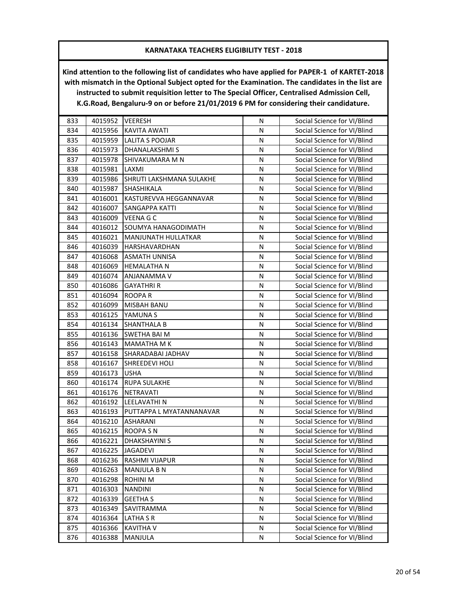| 833 | 4015952 | <b>VEERESH</b>           | N | Social Science for VI/Blind |
|-----|---------|--------------------------|---|-----------------------------|
| 834 | 4015956 | <b>KAVITA AWATI</b>      | N | Social Science for VI/Blind |
| 835 | 4015959 | <b>LALITA S POOJAR</b>   | N | Social Science for VI/Blind |
| 836 | 4015973 | DHANALAKSHMI S           | N | Social Science for VI/Blind |
| 837 | 4015978 | SHIVAKUMARA M N          | N | Social Science for VI/Blind |
| 838 | 4015981 | LAXMI                    | N | Social Science for VI/Blind |
| 839 | 4015986 | SHRUTI LAKSHMANA SULAKHE | N | Social Science for VI/Blind |
| 840 | 4015987 | <b>SHASHIKALA</b>        | N | Social Science for VI/Blind |
| 841 | 4016001 | KASTUREVVA HEGGANNAVAR   | N | Social Science for VI/Blind |
| 842 | 4016007 | <b>SANGAPPA KATTI</b>    | N | Social Science for VI/Blind |
| 843 | 4016009 | <b>VEENA G C</b>         | N | Social Science for VI/Blind |
| 844 | 4016012 | SOUMYA HANAGODIMATH      | N | Social Science for VI/Blind |
| 845 | 4016021 | MANJUNATH HULLATKAR      | Ν | Social Science for VI/Blind |
| 846 | 4016039 | HARSHAVARDHAN            | N | Social Science for VI/Blind |
| 847 | 4016068 | <b>ASMATH UNNISA</b>     | N | Social Science for VI/Blind |
| 848 | 4016069 | <b>HEMALATHAN</b>        | N | Social Science for VI/Blind |
| 849 | 4016074 | ANJANAMMA V              | N | Social Science for VI/Blind |
| 850 | 4016086 | <b>GAYATHRIR</b>         | N | Social Science for VI/Blind |
| 851 | 4016094 | ROOPA R                  | N | Social Science for VI/Blind |
| 852 | 4016099 | MISBAH BANU              | N | Social Science for VI/Blind |
| 853 | 4016125 | YAMUNA S                 | Ν | Social Science for VI/Blind |
| 854 | 4016134 | <b>SHANTHALA B</b>       | N | Social Science for VI/Blind |
| 855 | 4016136 | SWETHA BAI M             | N | Social Science for VI/Blind |
| 856 | 4016143 | <b>MAMATHA M K</b>       | N | Social Science for VI/Blind |
| 857 | 4016158 | SHARADABAI JADHAV        | N | Social Science for VI/Blind |
| 858 | 4016167 | SHREEDEVI HOLI           | N | Social Science for VI/Blind |
| 859 | 4016173 | <b>USHA</b>              | N | Social Science for VI/Blind |
| 860 | 4016174 | <b>RUPA SULAKHE</b>      | N | Social Science for VI/Blind |
| 861 | 4016176 | NETRAVATI                | N | Social Science for VI/Blind |
| 862 | 4016192 | LEELAVATHI N             | N | Social Science for VI/Blind |
| 863 | 4016193 | PUTTAPPA L MYATANNANAVAR | N | Social Science for VI/Blind |
| 864 | 4016210 | ASHARANI                 | N | Social Science for VI/Blind |
| 865 | 4016215 | ROOPA SN                 | N | Social Science for VI/Blind |
| 866 | 4016221 | <b>DHAKSHAYINI S</b>     | Ν | Social Science for VI/Blind |
| 867 | 4016225 | JAGADEVI                 | N | Social Science for VI/Blind |
| 868 | 4016236 | <b>RASHMI VIJAPUR</b>    | N | Social Science for VI/Blind |
| 869 | 4016263 | MANJULA B N              | N | Social Science for VI/Blind |
| 870 | 4016298 | <b>ROHINI M</b>          | N | Social Science for VI/Blind |
| 871 | 4016303 | <b>NANDINI</b>           | Ν | Social Science for VI/Blind |
| 872 | 4016339 | <b>GEETHA S</b>          | N | Social Science for VI/Blind |
| 873 | 4016349 | SAVITRAMMA               | N | Social Science for VI/Blind |
| 874 | 4016364 | <b>LATHA S R</b>         | N | Social Science for VI/Blind |
| 875 | 4016366 | <b>KAVITHA V</b>         | N | Social Science for VI/Blind |
| 876 | 4016388 | MANJULA                  | N | Social Science for VI/Blind |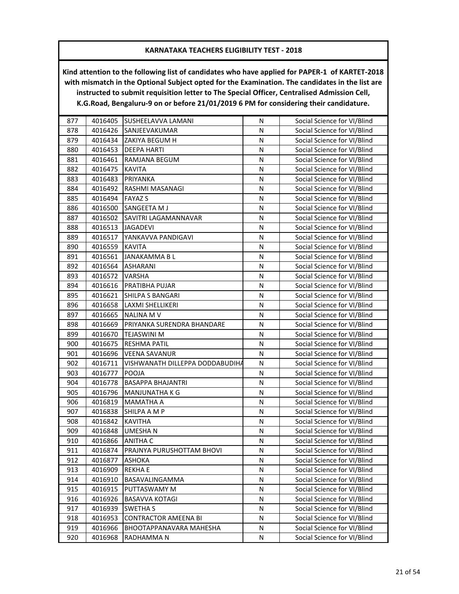| 877 | 4016405 | SUSHEELAVVA LAMANI              | N         | Social Science for VI/Blind |
|-----|---------|---------------------------------|-----------|-----------------------------|
| 878 | 4016426 | SANJEEVAKUMAR                   | N         | Social Science for VI/Blind |
| 879 | 4016434 | ZAKIYA BEGUM H                  | N         | Social Science for VI/Blind |
| 880 | 4016453 | <b>DEEPA HARTI</b>              | N         | Social Science for VI/Blind |
| 881 | 4016461 | RAMJANA BEGUM                   | N         | Social Science for VI/Blind |
| 882 | 4016475 | <b>KAVITA</b>                   | N         | Social Science for VI/Blind |
| 883 | 4016483 | PRIYANKA                        | N         | Social Science for VI/Blind |
| 884 | 4016492 | RASHMI MASANAGI                 | N         | Social Science for VI/Blind |
| 885 | 4016494 | <b>FAYAZ S</b>                  | N         | Social Science for VI/Blind |
| 886 | 4016500 | SANGEETA M J                    | N         | Social Science for VI/Blind |
| 887 | 4016502 | SAVITRI LAGAMANNAVAR            | N         | Social Science for VI/Blind |
| 888 | 4016513 | <b>JAGADEVI</b>                 | ${\sf N}$ | Social Science for VI/Blind |
| 889 | 4016517 | YANKAVVA PANDIGAVI              | N         | Social Science for VI/Blind |
| 890 | 4016559 | <b>KAVITA</b>                   | N         | Social Science for VI/Blind |
| 891 | 4016561 | JANAKAMMA B L                   | N         | Social Science for VI/Blind |
| 892 | 4016564 | ASHARANI                        | N         | Social Science for VI/Blind |
| 893 | 4016572 | VARSHA                          | N         | Social Science for VI/Blind |
| 894 | 4016616 | PRATIBHA PUJAR                  | ${\sf N}$ | Social Science for VI/Blind |
| 895 | 4016621 | SHILPA S BANGARI                | N         | Social Science for VI/Blind |
| 896 | 4016658 | LAXMI SHELLIKERI                | N         | Social Science for VI/Blind |
| 897 | 4016665 | <b>NALINA MV</b>                | ${\sf N}$ | Social Science for VI/Blind |
| 898 | 4016669 | PRIYANKA SURENDRA BHANDARE      | N         | Social Science for VI/Blind |
| 899 | 4016670 | TEJASWINI M                     | N         | Social Science for VI/Blind |
| 900 | 4016675 | RESHMA PATIL                    | N         | Social Science for VI/Blind |
| 901 | 4016696 | <b>VEENA SAVANUR</b>            | ${\sf N}$ | Social Science for VI/Blind |
| 902 | 4016711 | VISHWANATH DILLEPPA DODDABUDIHA | N         | Social Science for VI/Blind |
| 903 | 4016777 | POOJA                           | N         | Social Science for VI/Blind |
| 904 | 4016778 | <b>BASAPPA BHAJANTRI</b>        | N         | Social Science for VI/Blind |
| 905 | 4016796 | MANJUNATHA K G                  | N         | Social Science for VI/Blind |
| 906 | 4016819 | MAMATHA A                       | N         | Social Science for VI/Blind |
| 907 | 4016838 | SHILPA A M P                    | ${\sf N}$ | Social Science for VI/Blind |
| 908 | 4016842 | <b>KAVITHA</b>                  | N         | Social Science for VI/Blind |
| 909 | 4016848 | <b>UMESHAN</b>                  | N         | Social Science for VI/Blind |
| 910 | 4016866 | <b>ANITHA C</b>                 | N         | Social Science for VI/Blind |
| 911 | 4016874 | PRAJNYA PURUSHOTTAM BHOVI       | N         | Social Science for VI/Blind |
| 912 | 4016877 | ASHOKA                          | N         | Social Science for VI/Blind |
| 913 | 4016909 | <b>REKHAE</b>                   | N         | Social Science for VI/Blind |
| 914 | 4016910 | BASAVALINGAMMA                  | N         | Social Science for VI/Blind |
| 915 | 4016915 | PUTTASWAMY M                    | N         | Social Science for VI/Blind |
| 916 | 4016926 | <b>BASAVVA KOTAGI</b>           | N         | Social Science for VI/Blind |
| 917 | 4016939 | <b>SWETHA S</b>                 | N         | Social Science for VI/Blind |
| 918 | 4016953 | CONTRACTOR AMEENA BI            | Ν         | Social Science for VI/Blind |
| 919 | 4016966 | <b>BHOOTAPPANAVARA MAHESHA</b>  | N         | Social Science for VI/Blind |
| 920 | 4016968 | RADHAMMA N                      | N         | Social Science for VI/Blind |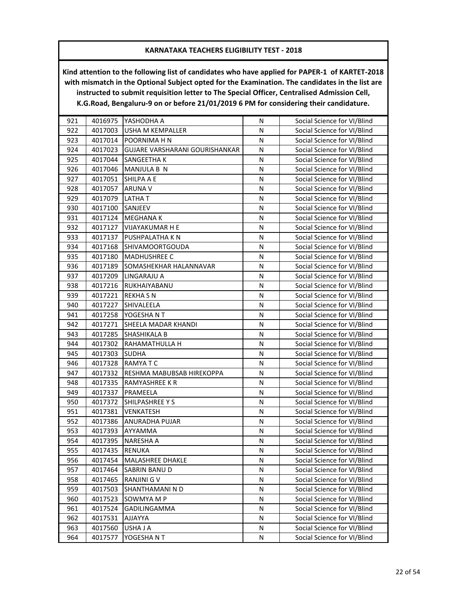| 921 | 4016975 | YASHODHA A                     | N         | Social Science for VI/Blind |
|-----|---------|--------------------------------|-----------|-----------------------------|
| 922 | 4017003 | <b>USHA M KEMPALLER</b>        | N         | Social Science for VI/Blind |
| 923 | 4017014 | POORNIMA H N                   | N         | Social Science for VI/Blind |
| 924 | 4017023 | GUJARE VARSHARANI GOURISHANKAR | N         | Social Science for VI/Blind |
| 925 | 4017044 | SANGEETHA K                    | N         | Social Science for VI/Blind |
| 926 | 4017046 | MANJULA B N                    | ${\sf N}$ | Social Science for VI/Blind |
| 927 | 4017051 | SHILPA A E                     | N         | Social Science for VI/Blind |
| 928 | 4017057 | <b>ARUNA V</b>                 | N         | Social Science for VI/Blind |
| 929 | 4017079 | <b>LATHAT</b>                  | ${\sf N}$ | Social Science for VI/Blind |
| 930 | 4017100 | SANJEEV                        | N         | Social Science for VI/Blind |
| 931 | 4017124 | <b>MEGHANA K</b>               | N         | Social Science for VI/Blind |
| 932 | 4017127 | VIJAYAKUMAR H E                | N         | Social Science for VI/Blind |
| 933 | 4017137 | PUSHPALATHA K N                | N         | Social Science for VI/Blind |
| 934 | 4017168 | <b>SHIVAMOORTGOUDA</b>         | N         | Social Science for VI/Blind |
| 935 | 4017180 | <b>MADHUSHREE C</b>            | N         | Social Science for VI/Blind |
| 936 | 4017189 | SOMASHEKHAR HALANNAVAR         | N         | Social Science for VI/Blind |
| 937 | 4017209 | LINGARAJU A                    | N         | Social Science for VI/Blind |
| 938 | 4017216 | RUKHAIYABANU                   | N         | Social Science for VI/Blind |
| 939 | 4017221 | <b>REKHASN</b>                 | N         | Social Science for VI/Blind |
| 940 | 4017227 | SHIVALEELA                     | Ν         | Social Science for VI/Blind |
| 941 | 4017258 | YOGESHA N T                    | N         | Social Science for VI/Blind |
| 942 | 4017271 | SHEELA MADAR KHANDI            | N         | Social Science for VI/Blind |
| 943 | 4017285 | SHASHIKALA B                   | N         | Social Science for VI/Blind |
| 944 | 4017302 | RAHAMATHULLA H                 | N         | Social Science for VI/Blind |
| 945 | 4017303 | <b>SUDHA</b>                   | N         | Social Science for VI/Blind |
| 946 | 4017328 | RAMYATC                        | ${\sf N}$ | Social Science for VI/Blind |
| 947 | 4017332 | RESHMA MABUBSAB HIREKOPPA      | N         | Social Science for VI/Blind |
| 948 | 4017335 | RAMYASHREE K R                 | N         | Social Science for VI/Blind |
| 949 | 4017337 | PRAMEELA                       | N         | Social Science for VI/Blind |
| 950 | 4017372 | SHILPASHREE Y S                | N         | Social Science for VI/Blind |
| 951 | 4017381 | VENKATESH                      | N         | Social Science for VI/Blind |
| 952 | 4017386 | ANURADHA PUJAR                 | N         | Social Science for VI/Blind |
| 953 | 4017393 | AYYAMMA                        | N         | Social Science for VI/Blind |
| 954 | 4017395 | <b>NARESHA A</b>               | N         | Social Science for VI/Blind |
| 955 | 4017435 | RENUKA                         | N         | Social Science for VI/Blind |
| 956 | 4017454 | <b>MALASHREE DHAKLE</b>        | N         | Social Science for VI/Blind |
| 957 | 4017464 | SABRIN BANU D                  | N         | Social Science for VI/Blind |
| 958 | 4017465 | <b>RANJINI G V</b>             | N         | Social Science for VI/Blind |
| 959 | 4017503 | SHANTHAMANI N D                | N         | Social Science for VI/Blind |
| 960 | 4017523 | SOWMYA M P                     | Ν         | Social Science for VI/Blind |
| 961 | 4017524 | GADILINGAMMA                   | Ν         | Social Science for VI/Blind |
| 962 | 4017531 | AJJAYYA                        | N         | Social Science for VI/Blind |
| 963 | 4017560 | USHA J A                       | N         | Social Science for VI/Blind |
| 964 | 4017577 | YOGESHA N T                    | N         | Social Science for VI/Blind |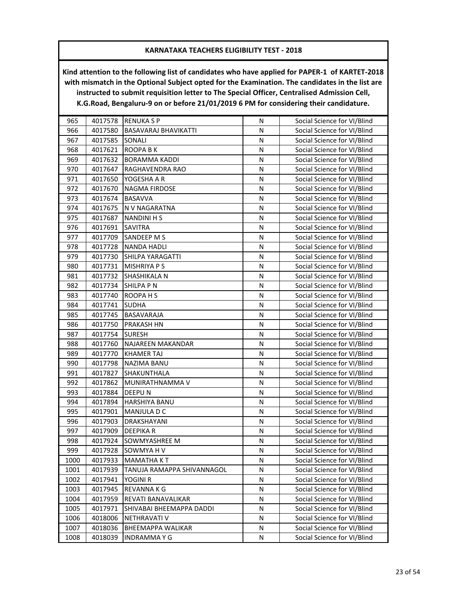| 965  | 4017578 | <b>RENUKA S P</b>           | N         | Social Science for VI/Blind |
|------|---------|-----------------------------|-----------|-----------------------------|
| 966  | 4017580 | <b>BASAVARAJ BHAVIKATTI</b> | ${\sf N}$ | Social Science for VI/Blind |
| 967  | 4017585 | SONALI                      | N         | Social Science for VI/Blind |
| 968  | 4017621 | <b>ROOPA BK</b>             | N         | Social Science for VI/Blind |
| 969  | 4017632 | <b>BORAMMA KADDI</b>        | ${\sf N}$ | Social Science for VI/Blind |
| 970  | 4017647 | RAGHAVENDRA RAO             | N         | Social Science for VI/Blind |
| 971  | 4017650 | YOGESHA A R                 | N         | Social Science for VI/Blind |
| 972  | 4017670 | <b>NAGMA FIRDOSE</b>        | N         | Social Science for VI/Blind |
| 973  | 4017674 | <b>BASAVVA</b>              | ${\sf N}$ | Social Science for VI/Blind |
| 974  | 4017675 | N V NAGARATNA               | ${\sf N}$ | Social Science for VI/Blind |
| 975  | 4017687 | <b>NANDINI H S</b>          | N         | Social Science for VI/Blind |
| 976  | 4017691 | <b>SAVITRA</b>              | ${\sf N}$ | Social Science for VI/Blind |
| 977  | 4017709 | SANDEEP M S                 | N         | Social Science for VI/Blind |
| 978  | 4017728 | <b>NANDA HADLI</b>          | N         | Social Science for VI/Blind |
| 979  | 4017730 | SHILPA YARAGATTI            | N         | Social Science for VI/Blind |
| 980  | 4017731 | <b>MISHRIYA P S</b>         | N         | Social Science for VI/Blind |
| 981  | 4017732 | <b>SHASHIKALA N</b>         | N         | Social Science for VI/Blind |
| 982  | 4017734 | <b>SHILPA P N</b>           | ${\sf N}$ | Social Science for VI/Blind |
| 983  | 4017740 | ROOPA H S                   | N         | Social Science for VI/Blind |
| 984  | 4017741 | <b>SUDHA</b>                | N         | Social Science for VI/Blind |
| 985  | 4017745 | <b>BASAVARAJA</b>           | ${\sf N}$ | Social Science for VI/Blind |
| 986  | 4017750 | <b>PRAKASH HN</b>           | ${\sf N}$ | Social Science for VI/Blind |
| 987  | 4017754 | <b>SURESH</b>               | N         | Social Science for VI/Blind |
| 988  | 4017760 | NAJAREEN MAKANDAR           | N         | Social Science for VI/Blind |
| 989  | 4017770 | <b>KHAMER TAJ</b>           | N         | Social Science for VI/Blind |
| 990  | 4017798 | <b>NAZIMA BANU</b>          | N         | Social Science for VI/Blind |
| 991  | 4017827 | SHAKUNTHALA                 | N         | Social Science for VI/Blind |
| 992  | 4017862 | MUNIRATHNAMMA V             | N         | Social Science for VI/Blind |
| 993  | 4017884 | DEEPU N                     | N         | Social Science for VI/Blind |
| 994  | 4017894 | HARSHIYA BANU               | N         | Social Science for VI/Blind |
| 995  | 4017901 | MANJULA D C                 | ${\sf N}$ | Social Science for VI/Blind |
| 996  | 4017903 | DRAKSHAYANI                 | N         | Social Science for VI/Blind |
| 997  | 4017909 | <b>DEEPIKAR</b>             | N         | Social Science for VI/Blind |
| 998  | 4017924 | SOWMYASHREE M               | ${\sf N}$ | Social Science for VI/Blind |
| 999  | 4017928 | SOWMYA H V                  | N         | Social Science for VI/Blind |
| 1000 | 4017933 | <b>MAMATHA KT</b>           | N         | Social Science for VI/Blind |
| 1001 | 4017939 | TANUJA RAMAPPA SHIVANNAGOL  | Ν         | Social Science for VI/Blind |
| 1002 | 4017941 | YOGINI R                    | N         | Social Science for VI/Blind |
| 1003 | 4017945 | REVANNA K G                 | N         | Social Science for VI/Blind |
| 1004 | 4017959 | REVATI BANAVALIKAR          | N         | Social Science for VI/Blind |
| 1005 | 4017971 | SHIVABAI BHEEMAPPA DADDI    | N         | Social Science for VI/Blind |
| 1006 | 4018006 | <b>NETHRAVATI V</b>         | N         | Social Science for VI/Blind |
| 1007 | 4018036 | <b>BHEEMAPPA WALIKAR</b>    | N         | Social Science for VI/Blind |
| 1008 | 4018039 | <b>INDRAMMAYG</b>           | N         | Social Science for VI/Blind |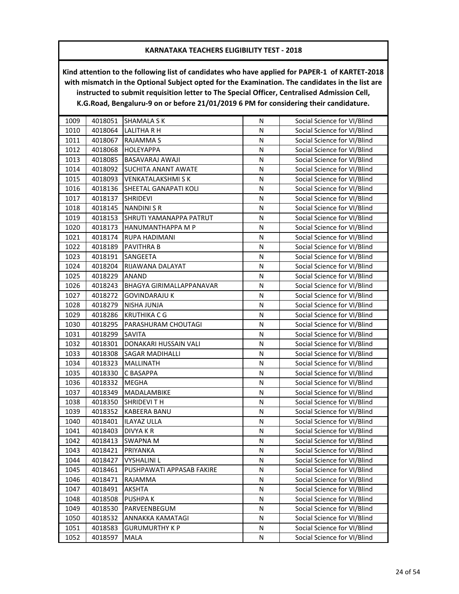| 1009 | 4018051 | <b>SHAMALA S K</b>           | N         | Social Science for VI/Blind |
|------|---------|------------------------------|-----------|-----------------------------|
| 1010 | 4018064 | <b>LALITHA R H</b>           | N         | Social Science for VI/Blind |
| 1011 | 4018067 | RAJAMMA S                    | N         | Social Science for VI/Blind |
| 1012 | 4018068 | <b>HOLEYAPPA</b>             | N         | Social Science for VI/Blind |
| 1013 | 4018085 | BASAVARAJ AWAJI              | N         | Social Science for VI/Blind |
| 1014 | 4018092 | <b>SUCHITA ANANT AWATE</b>   | N         | Social Science for VI/Blind |
| 1015 | 4018093 | VENKATALAKSHMI S K           | N         | Social Science for VI/Blind |
| 1016 | 4018136 | <b>SHEETAL GANAPATI KOLI</b> | N         | Social Science for VI/Blind |
| 1017 | 4018137 | <b>SHRIDEVI</b>              | ${\sf N}$ | Social Science for VI/Blind |
| 1018 | 4018145 | <b>NANDINI S R</b>           | N         | Social Science for VI/Blind |
| 1019 | 4018153 | SHRUTI YAMANAPPA PATRUT      | N         | Social Science for VI/Blind |
| 1020 | 4018173 | HANUMANTHAPPA M P            | N         | Social Science for VI/Blind |
| 1021 | 4018174 | RUPA HADIMANI                | N         | Social Science for VI/Blind |
| 1022 | 4018189 | PAVITHRA B                   | N         | Social Science for VI/Blind |
| 1023 | 4018191 | SANGEETA                     | N         | Social Science for VI/Blind |
| 1024 | 4018204 | RIJAWANA DALAYAT             | N         | Social Science for VI/Blind |
| 1025 | 4018229 | ANAND                        | N         | Social Science for VI/Blind |
| 1026 | 4018243 | BHAGYA GIRIMALLAPPANAVAR     | N         | Social Science for VI/Blind |
| 1027 | 4018272 | <b>GOVINDARAJU K</b>         | N         | Social Science for VI/Blind |
| 1028 | 4018279 | NISHA JUNJA                  | Ν         | Social Science for VI/Blind |
| 1029 | 4018286 | <b>KRUTHIKA C G</b>          | N         | Social Science for VI/Blind |
| 1030 | 4018295 | PARASHURAM CHOUTAGI          | N         | Social Science for VI/Blind |
| 1031 | 4018299 | <b>SAVITA</b>                | N         | Social Science for VI/Blind |
| 1032 | 4018301 | DONAKARI HUSSAIN VALI        | N         | Social Science for VI/Blind |
| 1033 | 4018308 | <b>SAGAR MADIHALLI</b>       | N         | Social Science for VI/Blind |
| 1034 | 4018323 | MALLINATH                    | N         | Social Science for VI/Blind |
| 1035 | 4018330 | C BASAPPA                    | N         | Social Science for VI/Blind |
| 1036 | 4018332 | <b>MEGHA</b>                 | N         | Social Science for VI/Blind |
| 1037 | 4018349 | MADALAMBIKE                  | N         | Social Science for VI/Blind |
| 1038 | 4018350 | <b>SHRIDEVITH</b>            | N         | Social Science for VI/Blind |
| 1039 | 4018352 | KABEERA BANU                 | N         | Social Science for VI/Blind |
| 1040 | 4018401 | ILAYAZ ULLA                  | N         | Social Science for VI/Blind |
| 1041 | 4018403 | <b>DIVYA K R</b>             | N         | Social Science for VI/Blind |
| 1042 | 4018413 | <b>SWAPNA M</b>              | N         | Social Science for VI/Blind |
| 1043 | 4018421 | PRIYANKA                     | Ν         | Social Science for VI/Blind |
| 1044 | 4018427 | <b>VYSHALINI L</b>           | N         | Social Science for VI/Blind |
| 1045 | 4018461 | PUSHPAWATI APPASAB FAKIRE    | N         | Social Science for VI/Blind |
| 1046 | 4018471 | RAJAMMA                      | N         | Social Science for VI/Blind |
| 1047 | 4018491 | AKSHTA                       | N         | Social Science for VI/Blind |
| 1048 | 4018508 | <b>PUSHPAK</b>               | N         | Social Science for VI/Blind |
| 1049 | 4018530 | PARVEENBEGUM                 | Ν         | Social Science for VI/Blind |
| 1050 | 4018532 | ANNAKKA KAMATAGI             | N         | Social Science for VI/Blind |
| 1051 | 4018583 | <b>GURUMURTHY K P</b>        | N         | Social Science for VI/Blind |
| 1052 | 4018597 | MALA                         | Ν         | Social Science for VI/Blind |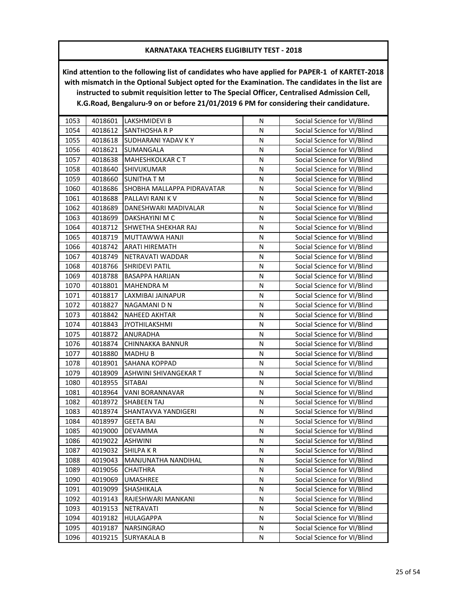| 1053 | 4018601 | <b>LAKSHMIDEVI B</b>       | N         | Social Science for VI/Blind |
|------|---------|----------------------------|-----------|-----------------------------|
| 1054 | 4018612 | <b>SANTHOSHA R P</b>       | N         | Social Science for VI/Blind |
| 1055 | 4018618 | SUDHARANI YADAV KY         | N         | Social Science for VI/Blind |
| 1056 | 4018621 | SUMANGALA                  | N         | Social Science for VI/Blind |
| 1057 | 4018638 | <b>MAHESHKOLKAR CT</b>     | N         | Social Science for VI/Blind |
| 1058 | 4018640 | SHIVUKUMAR                 | N         | Social Science for VI/Blind |
| 1059 | 4018660 | <b>SUNITHA T M</b>         | N         | Social Science for VI/Blind |
| 1060 | 4018686 | SHOBHA MALLAPPA PIDRAVATAR | N         | Social Science for VI/Blind |
| 1061 | 4018688 | PALLAVI RANI K V           | ${\sf N}$ | Social Science for VI/Blind |
| 1062 | 4018689 | DANESHWARI MADIVALAR       | N         | Social Science for VI/Blind |
| 1063 | 4018699 | DAKSHAYINI M C             | N         | Social Science for VI/Blind |
| 1064 | 4018712 | SHWETHA SHEKHAR RAJ        | N         | Social Science for VI/Blind |
| 1065 | 4018719 | MUTTAWWA HANJI             | N         | Social Science for VI/Blind |
| 1066 | 4018742 | ARATI HIREMATH             | N         | Social Science for VI/Blind |
| 1067 | 4018749 | NETRAVATI WADDAR           | N         | Social Science for VI/Blind |
| 1068 | 4018766 | <b>SHRIDEVI PATIL</b>      | N         | Social Science for VI/Blind |
| 1069 | 4018788 | <b>BASAPPA HARIJAN</b>     | N         | Social Science for VI/Blind |
| 1070 | 4018801 | <b>MAHENDRA M</b>          | N         | Social Science for VI/Blind |
| 1071 | 4018817 | LAXMIBAI JAINAPUR          | N         | Social Science for VI/Blind |
| 1072 | 4018827 | NAGAMANI D N               | N         | Social Science for VI/Blind |
| 1073 | 4018842 | <b>NAHEED AKHTAR</b>       | N         | Social Science for VI/Blind |
| 1074 | 4018843 | <b>JYOTHILAKSHMI</b>       | N         | Social Science for VI/Blind |
| 1075 | 4018872 | <b>ANURADHA</b>            | N         | Social Science for VI/Blind |
| 1076 | 4018874 | CHINNAKKA BANNUR           | N         | Social Science for VI/Blind |
| 1077 | 4018880 | <b>MADHUB</b>              | N         | Social Science for VI/Blind |
| 1078 | 4018901 | SAHANA KOPPAD              | N         | Social Science for VI/Blind |
| 1079 | 4018909 | ASHWINI SHIVANGEKAR T      | N         | Social Science for VI/Blind |
| 1080 | 4018955 | <b>SITABAI</b>             | N         | Social Science for VI/Blind |
| 1081 | 4018964 | VANI BORANNAVAR            | N         | Social Science for VI/Blind |
| 1082 | 4018972 | <b>SHABEEN TAJ</b>         | N         | Social Science for VI/Blind |
| 1083 | 4018974 | SHANTAVVA YANDIGERI        | N         | Social Science for VI/Blind |
| 1084 | 4018997 | <b>GEETA BAI</b>           | ${\sf N}$ | Social Science for VI/Blind |
| 1085 | 4019000 | <b>DEVAMMA</b>             | N         | Social Science for VI/Blind |
| 1086 | 4019022 | <b>ASHWINI</b>             | Ν         | Social Science for VI/Blind |
| 1087 | 4019032 | <b>SHILPAKR</b>            | N         | Social Science for VI/Blind |
| 1088 | 4019043 | MANJUNATHA NANDIHAL        | N         | Social Science for VI/Blind |
| 1089 | 4019056 | <b>CHAITHRA</b>            | N         | Social Science for VI/Blind |
| 1090 | 4019069 | UMASHREE                   | N         | Social Science for VI/Blind |
| 1091 | 4019099 | SHASHIKALA                 | N         | Social Science for VI/Blind |
| 1092 | 4019143 | RAJESHWARI MANKANI         | Ν         | Social Science for VI/Blind |
| 1093 | 4019153 | <b>NETRAVATI</b>           | N         | Social Science for VI/Blind |
| 1094 | 4019182 | HULAGAPPA                  | N         | Social Science for VI/Blind |
| 1095 | 4019187 | NARSINGRAO                 | N         | Social Science for VI/Blind |
| 1096 | 4019215 | <b>SURYAKALA B</b>         | N         | Social Science for VI/Blind |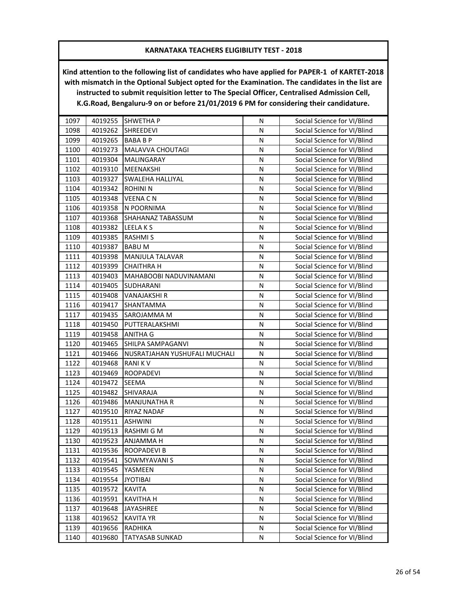| 4019255<br>1097<br><b>SHWETHAP</b><br>N                       | Social Science for VI/Blind |
|---------------------------------------------------------------|-----------------------------|
| 4019262<br>1098<br><b>SHREEDEVI</b><br>N                      | Social Science for VI/Blind |
| 1099<br>4019265<br>N<br><b>BABABP</b>                         | Social Science for VI/Blind |
| MALAVVA CHOUTAGI<br>1100<br>4019273<br>N                      | Social Science for VI/Blind |
| 1101<br>4019304<br>N<br>MALINGARAY                            | Social Science for VI/Blind |
| N<br>1102<br>4019310<br>MEENAKSHI                             | Social Science for VI/Blind |
| 1103<br>4019327<br>N<br>SWALEHA HALLIYAL                      | Social Science for VI/Blind |
| 1104<br>4019342<br><b>ROHINI N</b><br>N                       | Social Science for VI/Blind |
| 1105<br>4019348<br><b>VEENA CN</b><br>N                       | Social Science for VI/Blind |
| 1106<br>4019358<br>N POORNIMA<br>N                            | Social Science for VI/Blind |
| 1107<br>4019368<br>SHAHANAZ TABASSUM<br>N                     | Social Science for VI/Blind |
| 1108<br>N<br>4019382<br>LEELA K S                             | Social Science for VI/Blind |
| 1109<br>4019385<br><b>RASHMIS</b><br>N                        | Social Science for VI/Blind |
| 1110<br>4019387<br><b>BABUM</b><br>N                          | Social Science for VI/Blind |
| 1111<br>4019398<br>MANJULA TALAVAR<br>${\sf N}$               | Social Science for VI/Blind |
| 1112<br>4019399<br>N<br><b>CHAITHRA H</b>                     | Social Science for VI/Blind |
| 1113<br>4019403<br>MAHABOOBI NADUVINAMANI<br>N                | Social Science for VI/Blind |
| 1114<br>4019405<br>N<br>SUDHARANI                             | Social Science for VI/Blind |
| 1115<br>4019408<br>VANAJAKSHI R<br>N                          | Social Science for VI/Blind |
| 1116<br>4019417<br>SHANTAMMA<br>N                             | Social Science for VI/Blind |
| 1117<br>4019435<br>SAROJAMMA M<br>Ν                           | Social Science for VI/Blind |
| 1118<br>4019450<br>PUTTERALAKSHMI<br>N                        | Social Science for VI/Blind |
| 1119<br>4019458<br><b>ANITHA G</b><br>N                       | Social Science for VI/Blind |
| SHILPA SAMPAGANVI<br>N<br>1120<br>4019465                     | Social Science for VI/Blind |
| 1121<br>${\sf N}$<br>4019466<br>NUSRATJAHAN YUSHUFALI MUCHALI | Social Science for VI/Blind |
| 1122<br>4019468<br>RANI K V<br>N                              | Social Science for VI/Blind |
| 1123<br>4019469<br><b>ROOPADEVI</b><br>N                      | Social Science for VI/Blind |
| 1124<br>4019472<br><b>SEEMA</b><br>N                          | Social Science for VI/Blind |
| 1125<br>4019482<br>SHIVARAJA<br>N                             | Social Science for VI/Blind |
| 1126<br>4019486<br><b>MANJUNATHA R</b><br>N                   | Social Science for VI/Blind |
| 1127<br>4019510<br>RIYAZ NADAF<br>N                           | Social Science for VI/Blind |
| 1128<br>4019511<br><b>ASHWINI</b><br>N                        | Social Science for VI/Blind |
| 1129<br>4019513<br>RASHMI G M<br>N                            | Social Science for VI/Blind |
| 1130<br>4019523<br><b>ANJAMMA H</b><br>Ν                      | Social Science for VI/Blind |
| 4019536<br>N<br>1131<br><b>ROOPADEVI B</b>                    | Social Science for VI/Blind |
| 1132<br>4019541<br>N<br>SOWMYAVANI S                          | Social Science for VI/Blind |
| 1133<br>4019545<br>YASMEEN<br>N                               | Social Science for VI/Blind |
| 4019554<br>1134<br><b>JYOTIBAI</b><br>N                       | Social Science for VI/Blind |
| 1135<br>4019572<br><b>KAVITA</b><br>Ν                         | Social Science for VI/Blind |
| 4019591<br>1136<br><b>KAVITHA H</b><br>N                      | Social Science for VI/Blind |
| 1137<br>4019648<br>JAYASHREE<br>N                             | Social Science for VI/Blind |
| 1138<br>4019652<br>N<br><b>KAVITA YR</b>                      | Social Science for VI/Blind |
| 4019656<br>1139<br>RADHIKA<br>N                               | Social Science for VI/Blind |
| 4019680<br>TATYASAB SUNKAD<br>1140<br>N                       | Social Science for VI/Blind |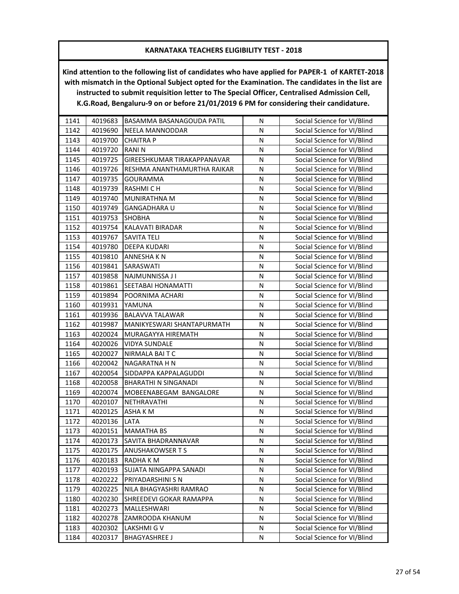| 1141 | 4019683 | BASAMMA BASANAGOUDA PATIL   | N | Social Science for VI/Blind |
|------|---------|-----------------------------|---|-----------------------------|
| 1142 | 4019690 | NEELA MANNODDAR             | N | Social Science for VI/Blind |
| 1143 | 4019700 | <b>CHAITRA P</b>            | N | Social Science for VI/Blind |
| 1144 | 4019720 | <b>RANIN</b>                | N | Social Science for VI/Blind |
| 1145 | 4019725 | GIREESHKUMAR TIRAKAPPANAVAR | N | Social Science for VI/Blind |
| 1146 | 4019726 | RESHMA ANANTHAMURTHA RAIKAR | N | Social Science for VI/Blind |
| 1147 | 4019735 | <b>GOURAMMA</b>             | N | Social Science for VI/Blind |
| 1148 | 4019739 | <b>RASHMICH</b>             | N | Social Science for VI/Blind |
| 1149 | 4019740 | MUNIRATHNA M                | N | Social Science for VI/Blind |
| 1150 | 4019749 | <b>GANGADHARA U</b>         | N | Social Science for VI/Blind |
| 1151 | 4019753 | <b>SHOBHA</b>               | N | Social Science for VI/Blind |
| 1152 | 4019754 | KALAVATI BIRADAR            | N | Social Science for VI/Blind |
| 1153 | 4019767 | SAVITA TELI                 | N | Social Science for VI/Blind |
| 1154 | 4019780 | <b>DEEPA KUDARI</b>         | N | Social Science for VI/Blind |
| 1155 | 4019810 | <b>ANNESHAKN</b>            | N | Social Science for VI/Blind |
| 1156 | 4019841 | SARASWATI                   | N | Social Science for VI/Blind |
| 1157 | 4019858 | NAJMUNNISSA J I             | N | Social Science for VI/Blind |
| 1158 | 4019861 | SEETABAI HONAMATTI          | N | Social Science for VI/Blind |
| 1159 | 4019894 | POORNIMA ACHARI             | N | Social Science for VI/Blind |
| 1160 | 4019931 | YAMUNA                      | N | Social Science for VI/Blind |
| 1161 | 4019936 | <b>BALAVVA TALAWAR</b>      | N | Social Science for VI/Blind |
| 1162 | 4019987 | MANIKYESWARI SHANTAPURMATH  | N | Social Science for VI/Blind |
| 1163 | 4020024 | MURAGAYYA HIREMATH          | N | Social Science for VI/Blind |
| 1164 | 4020026 | <b>VIDYA SUNDALE</b>        | N | Social Science for VI/Blind |
| 1165 | 4020027 | NIRMALA BAITC               | N | Social Science for VI/Blind |
| 1166 | 4020042 | NAGARATNA H N               | N | Social Science for VI/Blind |
| 1167 | 4020054 | SIDDAPPA KAPPALAGUDDI       | N | Social Science for VI/Blind |
| 1168 | 4020058 | <b>BHARATHI N SINGANADI</b> | N | Social Science for VI/Blind |
| 1169 | 4020074 | MOBEENABEGAM BANGALORE      | N | Social Science for VI/Blind |
| 1170 | 4020107 | NETHRAVATHI                 | N | Social Science for VI/Blind |
| 1171 | 4020125 | ASHA K M                    | N | Social Science for VI/Blind |
| 1172 | 4020136 | LATA                        | N | Social Science for VI/Blind |
| 1173 | 4020151 | <b>MAMATHA BS</b>           | N | Social Science for VI/Blind |
| 1174 | 4020173 | SAVITA BHADRANNAVAR         | N | Social Science for VI/Blind |
| 1175 | 4020175 | <b>ANUSHAKOWSER T S</b>     | N | Social Science for VI/Blind |
| 1176 | 4020183 | RADHA K M                   | N | Social Science for VI/Blind |
| 1177 | 4020193 | SUJATA NINGAPPA SANADI      | N | Social Science for VI/Blind |
| 1178 | 4020222 | PRIYADARSHINI S N           | N | Social Science for VI/Blind |
| 1179 | 4020225 | NILA BHAGYASHRI RAMRAO      | N | Social Science for VI/Blind |
| 1180 | 4020230 | SHREEDEVI GOKAR RAMAPPA     | Ν | Social Science for VI/Blind |
| 1181 | 4020273 | MALLESHWARI                 | N | Social Science for VI/Blind |
| 1182 | 4020278 | ZAMROODA KHANUM             | N | Social Science for VI/Blind |
| 1183 | 4020302 | LAKSHMI G V                 | N | Social Science for VI/Blind |
| 1184 | 4020317 | <b>BHAGYASHREE J</b>        | N | Social Science for VI/Blind |
|      |         |                             |   |                             |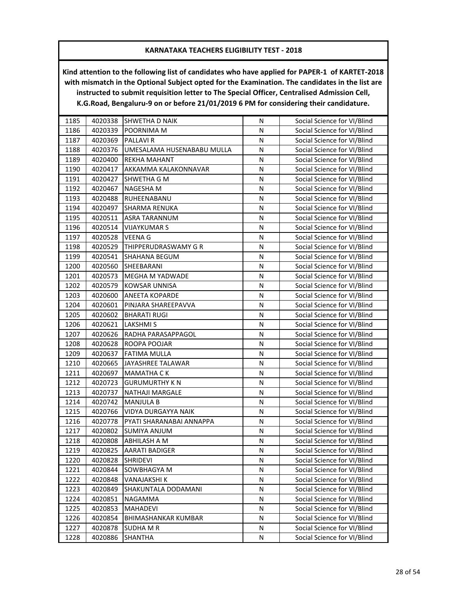| 1185 | 4020338 | SHWETHA D NAIK             | N         | Social Science for VI/Blind |
|------|---------|----------------------------|-----------|-----------------------------|
| 1186 | 4020339 | POORNIMA M                 | N         | Social Science for VI/Blind |
| 1187 | 4020369 | PALLAVI R                  | N         | Social Science for VI/Blind |
| 1188 | 4020376 | UMESALAMA HUSENABABU MULLA | N         | Social Science for VI/Blind |
| 1189 | 4020400 | REKHA MAHANT               | N         | Social Science for VI/Blind |
| 1190 | 4020417 | AKKAMMA KALAKONNAVAR       | N         | Social Science for VI/Blind |
| 1191 | 4020427 | SHWETHA G M                | N         | Social Science for VI/Blind |
| 1192 | 4020467 | NAGESHA M                  | N         | Social Science for VI/Blind |
| 1193 | 4020488 | RUHEENABANU                | ${\sf N}$ | Social Science for VI/Blind |
| 1194 | 4020497 | <b>SHARMA RENUKA</b>       | N         | Social Science for VI/Blind |
| 1195 | 4020511 | <b>ASRA TARANNUM</b>       | N         | Social Science for VI/Blind |
| 1196 | 4020514 | <b>VIJAYKUMAR S</b>        | N         | Social Science for VI/Blind |
| 1197 | 4020528 | VEENA G                    | N         | Social Science for VI/Blind |
| 1198 | 4020529 | THIPPERUDRASWAMY G R       | N         | Social Science for VI/Blind |
| 1199 | 4020541 | SHAHANA BEGUM              | N         | Social Science for VI/Blind |
| 1200 | 4020560 | SHEEBARANI                 | N         | Social Science for VI/Blind |
| 1201 | 4020573 | <b>MEGHA M YADWADE</b>     | N         | Social Science for VI/Blind |
| 1202 | 4020579 | KOWSAR UNNISA              | N         | Social Science for VI/Blind |
| 1203 | 4020600 | <b>ANEETA KOPARDE</b>      | N         | Social Science for VI/Blind |
| 1204 | 4020601 | PINJARA SHAREEPAVVA        | N         | Social Science for VI/Blind |
| 1205 | 4020602 | <b>BHARATI RUGI</b>        | N         | Social Science for VI/Blind |
| 1206 | 4020621 | <b>LAKSHMI S</b>           | N         | Social Science for VI/Blind |
| 1207 | 4020626 | RADHA PARASAPPAGOL         | N         | Social Science for VI/Blind |
| 1208 | 4020628 | ROOPA POOJAR               | N         | Social Science for VI/Blind |
| 1209 | 4020637 | <b>FATIMA MULLA</b>        | N         | Social Science for VI/Blind |
| 1210 | 4020665 | JAYASHREE TALAWAR          | N         | Social Science for VI/Blind |
| 1211 | 4020697 | <b>MAMATHA CK</b>          | N         | Social Science for VI/Blind |
| 1212 | 4020723 | <b>GURUMURTHY KN</b>       | N         | Social Science for VI/Blind |
| 1213 | 4020737 | NATHAJI MARGALE            | N         | Social Science for VI/Blind |
| 1214 | 4020742 | <b>MANJULA B</b>           | N         | Social Science for VI/Blind |
| 1215 | 4020766 | VIDYA DURGAYYA NAIK        | N         | Social Science for VI/Blind |
| 1216 | 4020778 | PYATI SHARANABAI ANNAPPA   | N         | Social Science for VI/Blind |
| 1217 | 4020802 | SUMIYA ANJUM               | N         | Social Science for VI/Blind |
| 1218 | 4020808 | <b>ABHILASH A M</b>        | N         | Social Science for VI/Blind |
| 1219 | 4020825 | <b>AARATI BADIGER</b>      | N         | Social Science for VI/Blind |
| 1220 | 4020828 | <b>SHRIDEVI</b>            | N         | Social Science for VI/Blind |
| 1221 | 4020844 | SOWBHAGYA M                | N         | Social Science for VI/Blind |
| 1222 | 4020848 | VANAJAKSHI K               | N         | Social Science for VI/Blind |
| 1223 | 4020849 | SHAKUNTALA DODAMANI        | N         | Social Science for VI/Blind |
| 1224 | 4020851 | NAGAMMA                    | Ν         | Social Science for VI/Blind |
| 1225 | 4020853 | <b>MAHADEVI</b>            | Ν         | Social Science for VI/Blind |
| 1226 | 4020854 | BHIMASHANKAR KUMBAR        | N         | Social Science for VI/Blind |
| 1227 | 4020878 | <b>SUDHA M R</b>           | N         | Social Science for VI/Blind |
| 1228 | 4020886 | SHANTHA                    | N         | Social Science for VI/Blind |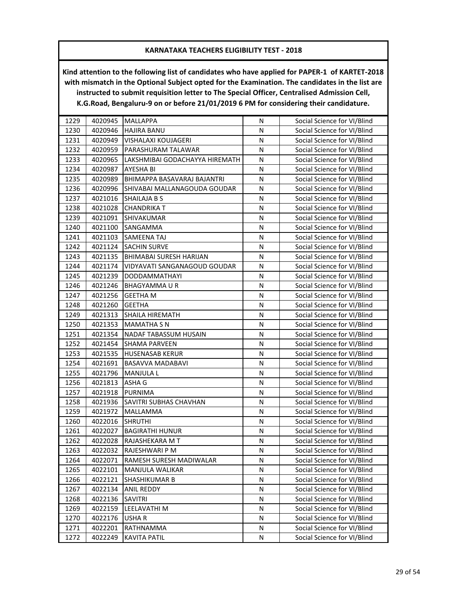| 1229 | 4020945 | <b>MALLAPPA</b>                | N         | Social Science for VI/Blind |
|------|---------|--------------------------------|-----------|-----------------------------|
| 1230 | 4020946 | <b>HAJIRA BANU</b>             | N         | Social Science for VI/Blind |
| 1231 | 4020949 | VISHALAXI KOUJAGERI            | N         | Social Science for VI/Blind |
| 1232 | 4020959 | PARASHURAM TALAWAR             | N         | Social Science for VI/Blind |
| 1233 | 4020965 | LAKSHMIBAI GODACHAYYA HIREMATH | N         | Social Science for VI/Blind |
| 1234 | 4020987 | AYESHA BI                      | ${\sf N}$ | Social Science for VI/Blind |
| 1235 | 4020989 | BHIMAPPA BASAVARAJ BAJANTRI    | N         | Social Science for VI/Blind |
| 1236 | 4020996 | SHIVABAI MALLANAGOUDA GOUDAR   | N         | Social Science for VI/Blind |
| 1237 | 4021016 | <b>SHAILAJA B S</b>            | N         | Social Science for VI/Blind |
| 1238 | 4021028 | <b>CHANDRIKA T</b>             | N         | Social Science for VI/Blind |
| 1239 | 4021091 | <b>SHIVAKUMAR</b>              | N         | Social Science for VI/Blind |
| 1240 | 4021100 | SANGAMMA                       | N         | Social Science for VI/Blind |
| 1241 | 4021103 | SAMEENA TAJ                    | N         | Social Science for VI/Blind |
| 1242 | 4021124 | <b>SACHIN SURVE</b>            | N         | Social Science for VI/Blind |
| 1243 | 4021135 | BHIMABAI SURESH HARIJAN        | N         | Social Science for VI/Blind |
| 1244 | 4021174 | VIDYAVATI SANGANAGOUD GOUDAR   | N         | Social Science for VI/Blind |
| 1245 | 4021239 | DODDAMMATHAYI                  | N         | Social Science for VI/Blind |
| 1246 | 4021246 | <b>BHAGYAMMAUR</b>             | N         | Social Science for VI/Blind |
| 1247 | 4021256 | <b>GEETHA M</b>                | N         | Social Science for VI/Blind |
| 1248 | 4021260 | <b>GEETHA</b>                  | N         | Social Science for VI/Blind |
| 1249 | 4021313 | <b>SHAILA HIREMATH</b>         | N         | Social Science for VI/Blind |
| 1250 | 4021353 | <b>MAMATHA S N</b>             | N         | Social Science for VI/Blind |
| 1251 | 4021354 | NADAF TABASSUM HUSAIN          | N         | Social Science for VI/Blind |
| 1252 | 4021454 | <b>SHAMA PARVEEN</b>           | N         | Social Science for VI/Blind |
| 1253 | 4021535 | <b>HUSENASAB KERUR</b>         | N         | Social Science for VI/Blind |
| 1254 | 4021691 | BASAVVA MADABAVI               | N         | Social Science for VI/Blind |
| 1255 | 4021796 | <b>MANJULA L</b>               | N         | Social Science for VI/Blind |
| 1256 | 4021813 | ASHA G                         | N         | Social Science for VI/Blind |
| 1257 | 4021918 | <b>PURNIMA</b>                 | N         | Social Science for VI/Blind |
| 1258 | 4021936 | SAVITRI SUBHAS CHAVHAN         | N         | Social Science for VI/Blind |
| 1259 | 4021972 | MALLAMMA                       | N         | Social Science for VI/Blind |
| 1260 | 4022016 | <b>SHRUTHI</b>                 | N         | Social Science for VI/Blind |
| 1261 | 4022027 | <b>BAGIRATHI HUNUR</b>         | N         | Social Science for VI/Blind |
| 1262 | 4022028 | RAJASHEKARA MT                 | N         | Social Science for VI/Blind |
| 1263 | 4022032 | RAJESHWARI P M                 | N         | Social Science for VI/Blind |
| 1264 | 4022071 | RAMESH SURESH MADIWALAR        | N         | Social Science for VI/Blind |
| 1265 | 4022101 | MANJULA WALIKAR                | N         | Social Science for VI/Blind |
| 1266 | 4022121 | SHASHIKUMAR B                  | N         | Social Science for VI/Blind |
| 1267 | 4022134 | <b>ANIL REDDY</b>              | N         | Social Science for VI/Blind |
| 1268 | 4022136 | SAVITRI                        | Ν         | Social Science for VI/Blind |
| 1269 | 4022159 | LEELAVATHI M                   | N         | Social Science for VI/Blind |
| 1270 | 4022176 | USHA R                         | N         | Social Science for VI/Blind |
| 1271 | 4022201 | RATHNAMMA                      | N         | Social Science for VI/Blind |
| 1272 | 4022249 | <b>KAVITA PATIL</b>            | N         | Social Science for VI/Blind |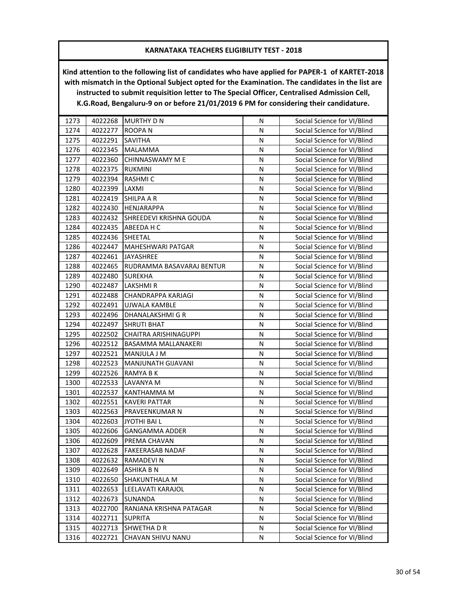| 1273 | 4022268 | <b>MURTHY D N</b>         | N | Social Science for VI/Blind |
|------|---------|---------------------------|---|-----------------------------|
| 1274 | 4022277 | <b>ROOPAN</b>             | N | Social Science for VI/Blind |
| 1275 | 4022291 | <b>SAVITHA</b>            | N | Social Science for VI/Blind |
| 1276 | 4022345 | <b>MALAMMA</b>            | N | Social Science for VI/Blind |
| 1277 | 4022360 | <b>CHINNASWAMY M E</b>    | N | Social Science for VI/Blind |
| 1278 | 4022375 | <b>RUKMINI</b>            | N | Social Science for VI/Blind |
| 1279 | 4022394 | <b>RASHMIC</b>            | N | Social Science for VI/Blind |
| 1280 | 4022399 | LAXMI                     | N | Social Science for VI/Blind |
| 1281 | 4022419 | <b>SHILPA A R</b>         | N | Social Science for VI/Blind |
| 1282 | 4022430 | <b>HENJARAPPA</b>         | N | Social Science for VI/Blind |
| 1283 | 4022432 | SHREEDEVI KRISHNA GOUDA   | N | Social Science for VI/Blind |
| 1284 | 4022435 | ABEEDA H C                | N | Social Science for VI/Blind |
| 1285 | 4022436 | SHEETAL                   | N | Social Science for VI/Blind |
| 1286 | 4022447 | MAHESHWARI PATGAR         | N | Social Science for VI/Blind |
| 1287 | 4022461 | JAYASHREE                 | N | Social Science for VI/Blind |
| 1288 | 4022465 | RUDRAMMA BASAVARAJ BENTUR | N | Social Science for VI/Blind |
| 1289 | 4022480 | <b>SUREKHA</b>            | N | Social Science for VI/Blind |
| 1290 | 4022487 | LAKSHMI R                 | N | Social Science for VI/Blind |
| 1291 | 4022488 | CHANDRAPPA KARJAGI        | N | Social Science for VI/Blind |
| 1292 | 4022491 | UJWALA KAMBLE             | N | Social Science for VI/Blind |
| 1293 | 4022496 | DHANALAKSHMI G R          | N | Social Science for VI/Blind |
| 1294 | 4022497 | <b>SHRUTI BHAT</b>        | N | Social Science for VI/Blind |
| 1295 | 4022502 | CHAITRA ARISHINAGUPPI     | N | Social Science for VI/Blind |
| 1296 | 4022512 | BASAMMA MALLANAKERI       | N | Social Science for VI/Blind |
| 1297 | 4022521 | MANJULA J M               | N | Social Science for VI/Blind |
| 1298 | 4022523 | MANJUNATH GIJAVANI        | N | Social Science for VI/Blind |
| 1299 | 4022526 | RAMYA B K                 | N | Social Science for VI/Blind |
| 1300 | 4022533 | LAVANYA M                 | N | Social Science for VI/Blind |
| 1301 | 4022537 | KANTHAMMA M               | N | Social Science for VI/Blind |
| 1302 | 4022551 | <b>KAVERI PATTAR</b>      | N | Social Science for VI/Blind |
| 1303 | 4022563 | PRAVEENKUMAR N            | N | Social Science for VI/Blind |
| 1304 | 4022603 | JYOTHI BAI L              | N | Social Science for VI/Blind |
| 1305 | 4022606 | <b>GANGAMMA ADDER</b>     | N | Social Science for VI/Blind |
| 1306 | 4022609 | PREMA CHAVAN              | Ν | Social Science for VI/Blind |
| 1307 | 4022628 | <b>FAKEERASAB NADAF</b>   | N | Social Science for VI/Blind |
| 1308 | 4022632 | RAMADEVI N                | N | Social Science for VI/Blind |
| 1309 | 4022649 | <b>ASHIKA B N</b>         | N | Social Science for VI/Blind |
| 1310 | 4022650 | SHAKUNTHALA M             | N | Social Science for VI/Blind |
| 1311 | 4022653 | LEELAVATI KARAJOL         | Ν | Social Science for VI/Blind |
| 1312 | 4022673 | SUNANDA                   | Ν | Social Science for VI/Blind |
| 1313 | 4022700 | RANJANA KRISHNA PATAGAR   | N | Social Science for VI/Blind |
| 1314 | 4022711 | <b>SUPRITA</b>            | N | Social Science for VI/Blind |
| 1315 | 4022713 | SHWETHA D R               | N | Social Science for VI/Blind |
| 1316 | 4022721 | CHAVAN SHIVU NANU         | N | Social Science for VI/Blind |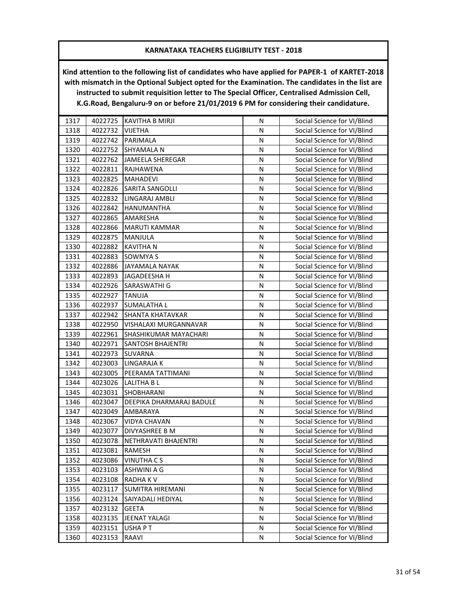| 1317 | 4022725 | KAVITHA B MIRJI          | N         | Social Science for VI/Blind |
|------|---------|--------------------------|-----------|-----------------------------|
| 1318 | 4022732 | <b>VIJETHA</b>           | N         | Social Science for VI/Blind |
| 1319 | 4022742 | PARIMALA                 | N         | Social Science for VI/Blind |
| 1320 | 4022752 | SHYAMALA N               | N         | Social Science for VI/Blind |
| 1321 | 4022762 | <b>JAMEELA SHEREGAR</b>  | N         | Social Science for VI/Blind |
| 1322 | 4022811 | <b>RAJHAWENA</b>         | N         | Social Science for VI/Blind |
| 1323 | 4022825 | <b>MAHADEVI</b>          | N         | Social Science for VI/Blind |
| 1324 | 4022826 | <b>SARITA SANGOLLI</b>   | N         | Social Science for VI/Blind |
| 1325 | 4022832 | LINGARAJ AMBLI           | ${\sf N}$ | Social Science for VI/Blind |
| 1326 | 4022842 | HANUMANTHA               | N         | Social Science for VI/Blind |
| 1327 | 4022865 | AMARESHA                 | N         | Social Science for VI/Blind |
| 1328 | 4022866 | MARUTI KAMMAR            | N         | Social Science for VI/Blind |
| 1329 | 4022875 | MANJULA                  | N         | Social Science for VI/Blind |
| 1330 | 4022882 | <b>KAVITHA N</b>         | N         | Social Science for VI/Blind |
| 1331 | 4022883 | SOWMYA S                 | N         | Social Science for VI/Blind |
| 1332 | 4022886 | <b>JAYAMALA NAYAK</b>    | N         | Social Science for VI/Blind |
| 1333 | 4022893 | JAGADEESHA H             | N         | Social Science for VI/Blind |
| 1334 | 4022926 | <b>SARASWATHI G</b>      | N         | Social Science for VI/Blind |
| 1335 | 4022927 | <b>TANUJA</b>            | N         | Social Science for VI/Blind |
| 1336 | 4022937 | <b>SUMALATHA L</b>       | Ν         | Social Science for VI/Blind |
| 1337 | 4022942 | <b>SHANTA KHATAVKAR</b>  | N         | Social Science for VI/Blind |
| 1338 | 4022950 | VISHALAXI MURGANNAVAR    | N         | Social Science for VI/Blind |
| 1339 | 4022961 | SHASHIKUMAR MAYACHARI    | N         | Social Science for VI/Blind |
| 1340 | 4022971 | <b>SANTOSH BHAJENTRI</b> | N         | Social Science for VI/Blind |
| 1341 | 4022973 | <b>SUVARNA</b>           | N         | Social Science for VI/Blind |
| 1342 | 4023003 | LINGARAJA K              | N         | Social Science for VI/Blind |
| 1343 | 4023005 | PEERAMA TATTIMANI        | N         | Social Science for VI/Blind |
| 1344 | 4023026 | LALITHA B L              | N         | Social Science for VI/Blind |
| 1345 | 4023031 | SHOBHARANI               | N         | Social Science for VI/Blind |
| 1346 | 4023047 | DEEPIKA DHARMARAJ BADULE | N         | Social Science for VI/Blind |
| 1347 | 4023049 | AMBARAYA                 | N         | Social Science for VI/Blind |
| 1348 | 4023067 | <b>VIDYA CHAVAN</b>      | N         | Social Science for VI/Blind |
| 1349 | 4023077 | DIVYASHREE B M           | N         | Social Science for VI/Blind |
| 1350 | 4023078 | NETHRAVATI BHAJENTRI     | N         | Social Science for VI/Blind |
| 1351 | 4023081 | RAMESH                   | Ν         | Social Science for VI/Blind |
| 1352 | 4023086 | <b>VINUTHA CS</b>        | N         | Social Science for VI/Blind |
| 1353 | 4023103 | ASHWINI A G              | Ν         | Social Science for VI/Blind |
| 1354 | 4023108 | RADHA K V                | N         | Social Science for VI/Blind |
| 1355 | 4023117 | SUMITRA HIREMANI         | N         | Social Science for VI/Blind |
| 1356 | 4023124 | SAIYADALI HEDIYAL        | Ν         | Social Science for VI/Blind |
| 1357 | 4023132 | <b>GEETA</b>             | N         | Social Science for VI/Blind |
| 1358 | 4023135 | JEENAT YALAGI            | N         | Social Science for VI/Blind |
| 1359 | 4023151 | <b>USHAPT</b>            | N         | Social Science for VI/Blind |
| 1360 | 4023153 | RAAVI                    | Ν         | Social Science for VI/Blind |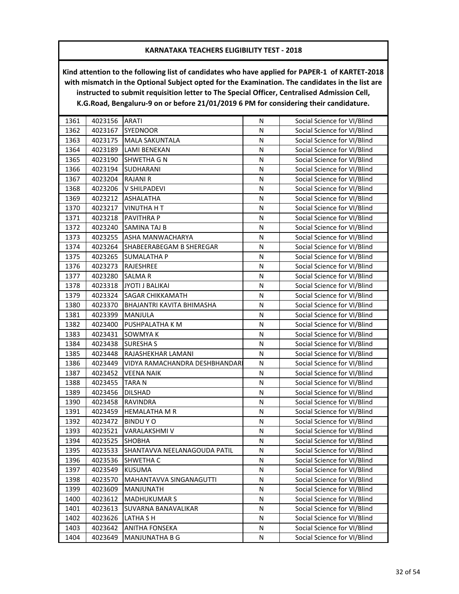| 1362<br><b>SYEDNOOR</b><br>4023167<br>N<br>Social Science for VI/Blind<br>1363<br>4023175<br><b>MALA SAKUNTALA</b><br>N<br>Social Science for VI/Blind<br>1364<br>4023189<br>N<br><b>LAMI BENEKAN</b><br>Social Science for VI/Blind<br>1365<br>4023190<br><b>SHWETHA G N</b><br>N<br>Social Science for VI/Blind<br>1366<br>${\sf N}$<br>4023194<br><b>SUDHARANI</b><br>Social Science for VI/Blind<br>1367<br>4023204<br><b>RAJANI R</b><br>N<br>Social Science for VI/Blind<br>Social Science for VI/Blind<br>1368<br>4023206<br>V SHILPADEVI<br>N<br>1369<br>4023212<br>${\sf N}$<br>Social Science for VI/Blind<br><b>ASHALATHA</b><br>1370<br>4023217<br>N<br>Social Science for VI/Blind<br><b>VINUTHA H T</b><br>1371<br>4023218<br>PAVITHRA P<br>N<br>Social Science for VI/Blind<br>1372<br>${\sf N}$<br>4023240<br>SAMINA TAJ B<br>Social Science for VI/Blind<br>1373<br>N<br>Social Science for VI/Blind<br>4023255<br>ASHA MANWACHARYA<br>1374<br>Social Science for VI/Blind<br>4023264<br>SHABEERABEGAM B SHEREGAR<br>N<br>1375<br>Social Science for VI/Blind<br>4023265<br><b>SUMALATHA P</b><br>N<br>1376<br>4023273<br>RAJESHREE<br>N<br>Social Science for VI/Blind<br>1377<br>4023280<br>N<br>SALMAR<br>Social Science for VI/Blind<br>1378<br>4023318<br><b>JYOTI J BALIKAI</b><br>N<br>Social Science for VI/Blind<br>1379<br>SAGAR CHIKKAMATH<br>N<br>4023324<br>Social Science for VI/Blind<br>1380<br>4023370<br><b>BHAJANTRI KAVITA BHIMASHA</b><br>Ν<br>Social Science for VI/Blind<br>1381<br>4023399<br>MANJULA<br>N<br>Social Science for VI/Blind<br>1382<br>4023400<br>PUSHPALATHA K M<br>N<br>Social Science for VI/Blind<br>1383<br>4023431<br>SOWMYA K<br>N<br>Social Science for VI/Blind<br>1384<br>4023438<br><b>SURESHA S</b><br>N<br>Social Science for VI/Blind<br>1385<br>N<br>4023448<br>RAJASHEKHAR LAMANI<br>Social Science for VI/Blind<br>1386<br>Social Science for VI/Blind<br>4023449<br>VIDYA RAMACHANDRA DESHBHANDARI<br>N<br>1387<br>Social Science for VI/Blind<br>4023452<br><b>VEENA NAIK</b><br>N<br>1388<br>4023455<br><b>TARAN</b><br>Social Science for VI/Blind<br>N<br>1389<br>4023456<br><b>DILSHAD</b><br>N<br>Social Science for VI/Blind<br>1390<br>4023458<br>N<br>RAVINDRA<br>Social Science for VI/Blind<br>1391<br><b>HEMALATHA M R</b><br>Social Science for VI/Blind<br>4023459<br>N<br>1392<br>N<br>4023472<br><b>BINDUYO</b><br>Social Science for VI/Blind<br>1393<br>4023521<br>VARALAKSHMI V<br>N<br>Social Science for VI/Blind<br>1394<br>4023525<br><b>SHOBHA</b><br>Social Science for VI/Blind<br>N<br>1395<br>4023533<br>SHANTAVVA NEELANAGOUDA PATIL<br>N<br>Social Science for VI/Blind<br>1396<br>4023536<br>N<br>Social Science for VI/Blind<br><b>SHWETHA C</b><br>1397<br>4023549<br><b>KUSUMA</b><br>Social Science for VI/Blind<br>N<br>1398<br>4023570<br>MAHANTAVVA SINGANAGUTTI<br>N<br>Social Science for VI/Blind<br>1399<br>Social Science for VI/Blind<br>4023609<br>MANJUNATH<br>N<br>1400<br>4023612<br><b>MADHUKUMAR S</b><br>N<br>Social Science for VI/Blind<br>1401<br>Social Science for VI/Blind<br>4023613<br>SUVARNA BANAVALIKAR<br>Ν<br>1402<br>4023626<br>N<br>Social Science for VI/Blind<br>LATHA S H<br>1403<br>4023642<br>N<br>Social Science for VI/Blind<br>ANITHA FONSEKA | 1361 | 4023156 | <b>ARATI</b>   | N | Social Science for VI/Blind |
|--------------------------------------------------------------------------------------------------------------------------------------------------------------------------------------------------------------------------------------------------------------------------------------------------------------------------------------------------------------------------------------------------------------------------------------------------------------------------------------------------------------------------------------------------------------------------------------------------------------------------------------------------------------------------------------------------------------------------------------------------------------------------------------------------------------------------------------------------------------------------------------------------------------------------------------------------------------------------------------------------------------------------------------------------------------------------------------------------------------------------------------------------------------------------------------------------------------------------------------------------------------------------------------------------------------------------------------------------------------------------------------------------------------------------------------------------------------------------------------------------------------------------------------------------------------------------------------------------------------------------------------------------------------------------------------------------------------------------------------------------------------------------------------------------------------------------------------------------------------------------------------------------------------------------------------------------------------------------------------------------------------------------------------------------------------------------------------------------------------------------------------------------------------------------------------------------------------------------------------------------------------------------------------------------------------------------------------------------------------------------------------------------------------------------------------------------------------------------------------------------------------------------------------------------------------------------------------------------------------------------------------------------------------------------------------------------------------------------------------------------------------------------------------------------------------------------------------------------------------------------------------------------------------------------------------------------------------------------------------------------------------------------------------------------------------------------------------------------------------------------------------------------------------------------------------------------------------------------------------------------------------------------------------------------|------|---------|----------------|---|-----------------------------|
|                                                                                                                                                                                                                                                                                                                                                                                                                                                                                                                                                                                                                                                                                                                                                                                                                                                                                                                                                                                                                                                                                                                                                                                                                                                                                                                                                                                                                                                                                                                                                                                                                                                                                                                                                                                                                                                                                                                                                                                                                                                                                                                                                                                                                                                                                                                                                                                                                                                                                                                                                                                                                                                                                                                                                                                                                                                                                                                                                                                                                                                                                                                                                                                                                                                                                                  |      |         |                |   |                             |
|                                                                                                                                                                                                                                                                                                                                                                                                                                                                                                                                                                                                                                                                                                                                                                                                                                                                                                                                                                                                                                                                                                                                                                                                                                                                                                                                                                                                                                                                                                                                                                                                                                                                                                                                                                                                                                                                                                                                                                                                                                                                                                                                                                                                                                                                                                                                                                                                                                                                                                                                                                                                                                                                                                                                                                                                                                                                                                                                                                                                                                                                                                                                                                                                                                                                                                  |      |         |                |   |                             |
|                                                                                                                                                                                                                                                                                                                                                                                                                                                                                                                                                                                                                                                                                                                                                                                                                                                                                                                                                                                                                                                                                                                                                                                                                                                                                                                                                                                                                                                                                                                                                                                                                                                                                                                                                                                                                                                                                                                                                                                                                                                                                                                                                                                                                                                                                                                                                                                                                                                                                                                                                                                                                                                                                                                                                                                                                                                                                                                                                                                                                                                                                                                                                                                                                                                                                                  |      |         |                |   |                             |
|                                                                                                                                                                                                                                                                                                                                                                                                                                                                                                                                                                                                                                                                                                                                                                                                                                                                                                                                                                                                                                                                                                                                                                                                                                                                                                                                                                                                                                                                                                                                                                                                                                                                                                                                                                                                                                                                                                                                                                                                                                                                                                                                                                                                                                                                                                                                                                                                                                                                                                                                                                                                                                                                                                                                                                                                                                                                                                                                                                                                                                                                                                                                                                                                                                                                                                  |      |         |                |   |                             |
|                                                                                                                                                                                                                                                                                                                                                                                                                                                                                                                                                                                                                                                                                                                                                                                                                                                                                                                                                                                                                                                                                                                                                                                                                                                                                                                                                                                                                                                                                                                                                                                                                                                                                                                                                                                                                                                                                                                                                                                                                                                                                                                                                                                                                                                                                                                                                                                                                                                                                                                                                                                                                                                                                                                                                                                                                                                                                                                                                                                                                                                                                                                                                                                                                                                                                                  |      |         |                |   |                             |
|                                                                                                                                                                                                                                                                                                                                                                                                                                                                                                                                                                                                                                                                                                                                                                                                                                                                                                                                                                                                                                                                                                                                                                                                                                                                                                                                                                                                                                                                                                                                                                                                                                                                                                                                                                                                                                                                                                                                                                                                                                                                                                                                                                                                                                                                                                                                                                                                                                                                                                                                                                                                                                                                                                                                                                                                                                                                                                                                                                                                                                                                                                                                                                                                                                                                                                  |      |         |                |   |                             |
|                                                                                                                                                                                                                                                                                                                                                                                                                                                                                                                                                                                                                                                                                                                                                                                                                                                                                                                                                                                                                                                                                                                                                                                                                                                                                                                                                                                                                                                                                                                                                                                                                                                                                                                                                                                                                                                                                                                                                                                                                                                                                                                                                                                                                                                                                                                                                                                                                                                                                                                                                                                                                                                                                                                                                                                                                                                                                                                                                                                                                                                                                                                                                                                                                                                                                                  |      |         |                |   |                             |
|                                                                                                                                                                                                                                                                                                                                                                                                                                                                                                                                                                                                                                                                                                                                                                                                                                                                                                                                                                                                                                                                                                                                                                                                                                                                                                                                                                                                                                                                                                                                                                                                                                                                                                                                                                                                                                                                                                                                                                                                                                                                                                                                                                                                                                                                                                                                                                                                                                                                                                                                                                                                                                                                                                                                                                                                                                                                                                                                                                                                                                                                                                                                                                                                                                                                                                  |      |         |                |   |                             |
|                                                                                                                                                                                                                                                                                                                                                                                                                                                                                                                                                                                                                                                                                                                                                                                                                                                                                                                                                                                                                                                                                                                                                                                                                                                                                                                                                                                                                                                                                                                                                                                                                                                                                                                                                                                                                                                                                                                                                                                                                                                                                                                                                                                                                                                                                                                                                                                                                                                                                                                                                                                                                                                                                                                                                                                                                                                                                                                                                                                                                                                                                                                                                                                                                                                                                                  |      |         |                |   |                             |
|                                                                                                                                                                                                                                                                                                                                                                                                                                                                                                                                                                                                                                                                                                                                                                                                                                                                                                                                                                                                                                                                                                                                                                                                                                                                                                                                                                                                                                                                                                                                                                                                                                                                                                                                                                                                                                                                                                                                                                                                                                                                                                                                                                                                                                                                                                                                                                                                                                                                                                                                                                                                                                                                                                                                                                                                                                                                                                                                                                                                                                                                                                                                                                                                                                                                                                  |      |         |                |   |                             |
|                                                                                                                                                                                                                                                                                                                                                                                                                                                                                                                                                                                                                                                                                                                                                                                                                                                                                                                                                                                                                                                                                                                                                                                                                                                                                                                                                                                                                                                                                                                                                                                                                                                                                                                                                                                                                                                                                                                                                                                                                                                                                                                                                                                                                                                                                                                                                                                                                                                                                                                                                                                                                                                                                                                                                                                                                                                                                                                                                                                                                                                                                                                                                                                                                                                                                                  |      |         |                |   |                             |
|                                                                                                                                                                                                                                                                                                                                                                                                                                                                                                                                                                                                                                                                                                                                                                                                                                                                                                                                                                                                                                                                                                                                                                                                                                                                                                                                                                                                                                                                                                                                                                                                                                                                                                                                                                                                                                                                                                                                                                                                                                                                                                                                                                                                                                                                                                                                                                                                                                                                                                                                                                                                                                                                                                                                                                                                                                                                                                                                                                                                                                                                                                                                                                                                                                                                                                  |      |         |                |   |                             |
|                                                                                                                                                                                                                                                                                                                                                                                                                                                                                                                                                                                                                                                                                                                                                                                                                                                                                                                                                                                                                                                                                                                                                                                                                                                                                                                                                                                                                                                                                                                                                                                                                                                                                                                                                                                                                                                                                                                                                                                                                                                                                                                                                                                                                                                                                                                                                                                                                                                                                                                                                                                                                                                                                                                                                                                                                                                                                                                                                                                                                                                                                                                                                                                                                                                                                                  |      |         |                |   |                             |
|                                                                                                                                                                                                                                                                                                                                                                                                                                                                                                                                                                                                                                                                                                                                                                                                                                                                                                                                                                                                                                                                                                                                                                                                                                                                                                                                                                                                                                                                                                                                                                                                                                                                                                                                                                                                                                                                                                                                                                                                                                                                                                                                                                                                                                                                                                                                                                                                                                                                                                                                                                                                                                                                                                                                                                                                                                                                                                                                                                                                                                                                                                                                                                                                                                                                                                  |      |         |                |   |                             |
|                                                                                                                                                                                                                                                                                                                                                                                                                                                                                                                                                                                                                                                                                                                                                                                                                                                                                                                                                                                                                                                                                                                                                                                                                                                                                                                                                                                                                                                                                                                                                                                                                                                                                                                                                                                                                                                                                                                                                                                                                                                                                                                                                                                                                                                                                                                                                                                                                                                                                                                                                                                                                                                                                                                                                                                                                                                                                                                                                                                                                                                                                                                                                                                                                                                                                                  |      |         |                |   |                             |
|                                                                                                                                                                                                                                                                                                                                                                                                                                                                                                                                                                                                                                                                                                                                                                                                                                                                                                                                                                                                                                                                                                                                                                                                                                                                                                                                                                                                                                                                                                                                                                                                                                                                                                                                                                                                                                                                                                                                                                                                                                                                                                                                                                                                                                                                                                                                                                                                                                                                                                                                                                                                                                                                                                                                                                                                                                                                                                                                                                                                                                                                                                                                                                                                                                                                                                  |      |         |                |   |                             |
|                                                                                                                                                                                                                                                                                                                                                                                                                                                                                                                                                                                                                                                                                                                                                                                                                                                                                                                                                                                                                                                                                                                                                                                                                                                                                                                                                                                                                                                                                                                                                                                                                                                                                                                                                                                                                                                                                                                                                                                                                                                                                                                                                                                                                                                                                                                                                                                                                                                                                                                                                                                                                                                                                                                                                                                                                                                                                                                                                                                                                                                                                                                                                                                                                                                                                                  |      |         |                |   |                             |
|                                                                                                                                                                                                                                                                                                                                                                                                                                                                                                                                                                                                                                                                                                                                                                                                                                                                                                                                                                                                                                                                                                                                                                                                                                                                                                                                                                                                                                                                                                                                                                                                                                                                                                                                                                                                                                                                                                                                                                                                                                                                                                                                                                                                                                                                                                                                                                                                                                                                                                                                                                                                                                                                                                                                                                                                                                                                                                                                                                                                                                                                                                                                                                                                                                                                                                  |      |         |                |   |                             |
|                                                                                                                                                                                                                                                                                                                                                                                                                                                                                                                                                                                                                                                                                                                                                                                                                                                                                                                                                                                                                                                                                                                                                                                                                                                                                                                                                                                                                                                                                                                                                                                                                                                                                                                                                                                                                                                                                                                                                                                                                                                                                                                                                                                                                                                                                                                                                                                                                                                                                                                                                                                                                                                                                                                                                                                                                                                                                                                                                                                                                                                                                                                                                                                                                                                                                                  |      |         |                |   |                             |
|                                                                                                                                                                                                                                                                                                                                                                                                                                                                                                                                                                                                                                                                                                                                                                                                                                                                                                                                                                                                                                                                                                                                                                                                                                                                                                                                                                                                                                                                                                                                                                                                                                                                                                                                                                                                                                                                                                                                                                                                                                                                                                                                                                                                                                                                                                                                                                                                                                                                                                                                                                                                                                                                                                                                                                                                                                                                                                                                                                                                                                                                                                                                                                                                                                                                                                  |      |         |                |   |                             |
|                                                                                                                                                                                                                                                                                                                                                                                                                                                                                                                                                                                                                                                                                                                                                                                                                                                                                                                                                                                                                                                                                                                                                                                                                                                                                                                                                                                                                                                                                                                                                                                                                                                                                                                                                                                                                                                                                                                                                                                                                                                                                                                                                                                                                                                                                                                                                                                                                                                                                                                                                                                                                                                                                                                                                                                                                                                                                                                                                                                                                                                                                                                                                                                                                                                                                                  |      |         |                |   |                             |
|                                                                                                                                                                                                                                                                                                                                                                                                                                                                                                                                                                                                                                                                                                                                                                                                                                                                                                                                                                                                                                                                                                                                                                                                                                                                                                                                                                                                                                                                                                                                                                                                                                                                                                                                                                                                                                                                                                                                                                                                                                                                                                                                                                                                                                                                                                                                                                                                                                                                                                                                                                                                                                                                                                                                                                                                                                                                                                                                                                                                                                                                                                                                                                                                                                                                                                  |      |         |                |   |                             |
|                                                                                                                                                                                                                                                                                                                                                                                                                                                                                                                                                                                                                                                                                                                                                                                                                                                                                                                                                                                                                                                                                                                                                                                                                                                                                                                                                                                                                                                                                                                                                                                                                                                                                                                                                                                                                                                                                                                                                                                                                                                                                                                                                                                                                                                                                                                                                                                                                                                                                                                                                                                                                                                                                                                                                                                                                                                                                                                                                                                                                                                                                                                                                                                                                                                                                                  |      |         |                |   |                             |
|                                                                                                                                                                                                                                                                                                                                                                                                                                                                                                                                                                                                                                                                                                                                                                                                                                                                                                                                                                                                                                                                                                                                                                                                                                                                                                                                                                                                                                                                                                                                                                                                                                                                                                                                                                                                                                                                                                                                                                                                                                                                                                                                                                                                                                                                                                                                                                                                                                                                                                                                                                                                                                                                                                                                                                                                                                                                                                                                                                                                                                                                                                                                                                                                                                                                                                  |      |         |                |   |                             |
|                                                                                                                                                                                                                                                                                                                                                                                                                                                                                                                                                                                                                                                                                                                                                                                                                                                                                                                                                                                                                                                                                                                                                                                                                                                                                                                                                                                                                                                                                                                                                                                                                                                                                                                                                                                                                                                                                                                                                                                                                                                                                                                                                                                                                                                                                                                                                                                                                                                                                                                                                                                                                                                                                                                                                                                                                                                                                                                                                                                                                                                                                                                                                                                                                                                                                                  |      |         |                |   |                             |
|                                                                                                                                                                                                                                                                                                                                                                                                                                                                                                                                                                                                                                                                                                                                                                                                                                                                                                                                                                                                                                                                                                                                                                                                                                                                                                                                                                                                                                                                                                                                                                                                                                                                                                                                                                                                                                                                                                                                                                                                                                                                                                                                                                                                                                                                                                                                                                                                                                                                                                                                                                                                                                                                                                                                                                                                                                                                                                                                                                                                                                                                                                                                                                                                                                                                                                  |      |         |                |   |                             |
|                                                                                                                                                                                                                                                                                                                                                                                                                                                                                                                                                                                                                                                                                                                                                                                                                                                                                                                                                                                                                                                                                                                                                                                                                                                                                                                                                                                                                                                                                                                                                                                                                                                                                                                                                                                                                                                                                                                                                                                                                                                                                                                                                                                                                                                                                                                                                                                                                                                                                                                                                                                                                                                                                                                                                                                                                                                                                                                                                                                                                                                                                                                                                                                                                                                                                                  |      |         |                |   |                             |
|                                                                                                                                                                                                                                                                                                                                                                                                                                                                                                                                                                                                                                                                                                                                                                                                                                                                                                                                                                                                                                                                                                                                                                                                                                                                                                                                                                                                                                                                                                                                                                                                                                                                                                                                                                                                                                                                                                                                                                                                                                                                                                                                                                                                                                                                                                                                                                                                                                                                                                                                                                                                                                                                                                                                                                                                                                                                                                                                                                                                                                                                                                                                                                                                                                                                                                  |      |         |                |   |                             |
|                                                                                                                                                                                                                                                                                                                                                                                                                                                                                                                                                                                                                                                                                                                                                                                                                                                                                                                                                                                                                                                                                                                                                                                                                                                                                                                                                                                                                                                                                                                                                                                                                                                                                                                                                                                                                                                                                                                                                                                                                                                                                                                                                                                                                                                                                                                                                                                                                                                                                                                                                                                                                                                                                                                                                                                                                                                                                                                                                                                                                                                                                                                                                                                                                                                                                                  |      |         |                |   |                             |
|                                                                                                                                                                                                                                                                                                                                                                                                                                                                                                                                                                                                                                                                                                                                                                                                                                                                                                                                                                                                                                                                                                                                                                                                                                                                                                                                                                                                                                                                                                                                                                                                                                                                                                                                                                                                                                                                                                                                                                                                                                                                                                                                                                                                                                                                                                                                                                                                                                                                                                                                                                                                                                                                                                                                                                                                                                                                                                                                                                                                                                                                                                                                                                                                                                                                                                  |      |         |                |   |                             |
|                                                                                                                                                                                                                                                                                                                                                                                                                                                                                                                                                                                                                                                                                                                                                                                                                                                                                                                                                                                                                                                                                                                                                                                                                                                                                                                                                                                                                                                                                                                                                                                                                                                                                                                                                                                                                                                                                                                                                                                                                                                                                                                                                                                                                                                                                                                                                                                                                                                                                                                                                                                                                                                                                                                                                                                                                                                                                                                                                                                                                                                                                                                                                                                                                                                                                                  |      |         |                |   |                             |
|                                                                                                                                                                                                                                                                                                                                                                                                                                                                                                                                                                                                                                                                                                                                                                                                                                                                                                                                                                                                                                                                                                                                                                                                                                                                                                                                                                                                                                                                                                                                                                                                                                                                                                                                                                                                                                                                                                                                                                                                                                                                                                                                                                                                                                                                                                                                                                                                                                                                                                                                                                                                                                                                                                                                                                                                                                                                                                                                                                                                                                                                                                                                                                                                                                                                                                  |      |         |                |   |                             |
|                                                                                                                                                                                                                                                                                                                                                                                                                                                                                                                                                                                                                                                                                                                                                                                                                                                                                                                                                                                                                                                                                                                                                                                                                                                                                                                                                                                                                                                                                                                                                                                                                                                                                                                                                                                                                                                                                                                                                                                                                                                                                                                                                                                                                                                                                                                                                                                                                                                                                                                                                                                                                                                                                                                                                                                                                                                                                                                                                                                                                                                                                                                                                                                                                                                                                                  |      |         |                |   |                             |
|                                                                                                                                                                                                                                                                                                                                                                                                                                                                                                                                                                                                                                                                                                                                                                                                                                                                                                                                                                                                                                                                                                                                                                                                                                                                                                                                                                                                                                                                                                                                                                                                                                                                                                                                                                                                                                                                                                                                                                                                                                                                                                                                                                                                                                                                                                                                                                                                                                                                                                                                                                                                                                                                                                                                                                                                                                                                                                                                                                                                                                                                                                                                                                                                                                                                                                  |      |         |                |   |                             |
|                                                                                                                                                                                                                                                                                                                                                                                                                                                                                                                                                                                                                                                                                                                                                                                                                                                                                                                                                                                                                                                                                                                                                                                                                                                                                                                                                                                                                                                                                                                                                                                                                                                                                                                                                                                                                                                                                                                                                                                                                                                                                                                                                                                                                                                                                                                                                                                                                                                                                                                                                                                                                                                                                                                                                                                                                                                                                                                                                                                                                                                                                                                                                                                                                                                                                                  |      |         |                |   |                             |
|                                                                                                                                                                                                                                                                                                                                                                                                                                                                                                                                                                                                                                                                                                                                                                                                                                                                                                                                                                                                                                                                                                                                                                                                                                                                                                                                                                                                                                                                                                                                                                                                                                                                                                                                                                                                                                                                                                                                                                                                                                                                                                                                                                                                                                                                                                                                                                                                                                                                                                                                                                                                                                                                                                                                                                                                                                                                                                                                                                                                                                                                                                                                                                                                                                                                                                  |      |         |                |   |                             |
|                                                                                                                                                                                                                                                                                                                                                                                                                                                                                                                                                                                                                                                                                                                                                                                                                                                                                                                                                                                                                                                                                                                                                                                                                                                                                                                                                                                                                                                                                                                                                                                                                                                                                                                                                                                                                                                                                                                                                                                                                                                                                                                                                                                                                                                                                                                                                                                                                                                                                                                                                                                                                                                                                                                                                                                                                                                                                                                                                                                                                                                                                                                                                                                                                                                                                                  |      |         |                |   |                             |
|                                                                                                                                                                                                                                                                                                                                                                                                                                                                                                                                                                                                                                                                                                                                                                                                                                                                                                                                                                                                                                                                                                                                                                                                                                                                                                                                                                                                                                                                                                                                                                                                                                                                                                                                                                                                                                                                                                                                                                                                                                                                                                                                                                                                                                                                                                                                                                                                                                                                                                                                                                                                                                                                                                                                                                                                                                                                                                                                                                                                                                                                                                                                                                                                                                                                                                  |      |         |                |   |                             |
|                                                                                                                                                                                                                                                                                                                                                                                                                                                                                                                                                                                                                                                                                                                                                                                                                                                                                                                                                                                                                                                                                                                                                                                                                                                                                                                                                                                                                                                                                                                                                                                                                                                                                                                                                                                                                                                                                                                                                                                                                                                                                                                                                                                                                                                                                                                                                                                                                                                                                                                                                                                                                                                                                                                                                                                                                                                                                                                                                                                                                                                                                                                                                                                                                                                                                                  |      |         |                |   |                             |
|                                                                                                                                                                                                                                                                                                                                                                                                                                                                                                                                                                                                                                                                                                                                                                                                                                                                                                                                                                                                                                                                                                                                                                                                                                                                                                                                                                                                                                                                                                                                                                                                                                                                                                                                                                                                                                                                                                                                                                                                                                                                                                                                                                                                                                                                                                                                                                                                                                                                                                                                                                                                                                                                                                                                                                                                                                                                                                                                                                                                                                                                                                                                                                                                                                                                                                  |      |         |                |   |                             |
|                                                                                                                                                                                                                                                                                                                                                                                                                                                                                                                                                                                                                                                                                                                                                                                                                                                                                                                                                                                                                                                                                                                                                                                                                                                                                                                                                                                                                                                                                                                                                                                                                                                                                                                                                                                                                                                                                                                                                                                                                                                                                                                                                                                                                                                                                                                                                                                                                                                                                                                                                                                                                                                                                                                                                                                                                                                                                                                                                                                                                                                                                                                                                                                                                                                                                                  |      |         |                |   |                             |
|                                                                                                                                                                                                                                                                                                                                                                                                                                                                                                                                                                                                                                                                                                                                                                                                                                                                                                                                                                                                                                                                                                                                                                                                                                                                                                                                                                                                                                                                                                                                                                                                                                                                                                                                                                                                                                                                                                                                                                                                                                                                                                                                                                                                                                                                                                                                                                                                                                                                                                                                                                                                                                                                                                                                                                                                                                                                                                                                                                                                                                                                                                                                                                                                                                                                                                  |      |         |                |   |                             |
|                                                                                                                                                                                                                                                                                                                                                                                                                                                                                                                                                                                                                                                                                                                                                                                                                                                                                                                                                                                                                                                                                                                                                                                                                                                                                                                                                                                                                                                                                                                                                                                                                                                                                                                                                                                                                                                                                                                                                                                                                                                                                                                                                                                                                                                                                                                                                                                                                                                                                                                                                                                                                                                                                                                                                                                                                                                                                                                                                                                                                                                                                                                                                                                                                                                                                                  | 1404 | 4023649 | MANJUNATHA B G | N | Social Science for VI/Blind |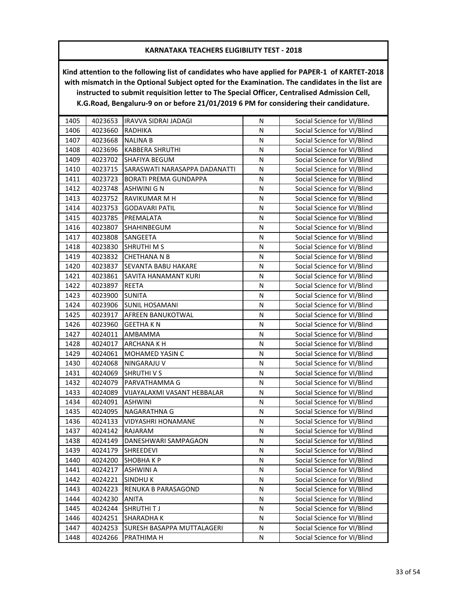| 1405 | 4023653 | IRAVVA SIDRAI JADAGI          | N | Social Science for VI/Blind |
|------|---------|-------------------------------|---|-----------------------------|
| 1406 | 4023660 | <b>RADHIKA</b>                | N | Social Science for VI/Blind |
| 1407 | 4023668 | <b>NALINA B</b>               | N | Social Science for VI/Blind |
| 1408 | 4023696 | <b>KABBERA SHRUTHI</b>        | N | Social Science for VI/Blind |
| 1409 | 4023702 | <b>SHAFIYA BEGUM</b>          | N | Social Science for VI/Blind |
| 1410 | 4023715 | SARASWATI NARASAPPA DADANATTI | N | Social Science for VI/Blind |
| 1411 | 4023723 | <b>BORATI PREMA GUNDAPPA</b>  | N | Social Science for VI/Blind |
| 1412 | 4023748 | <b>ASHWINI G N</b>            | N | Social Science for VI/Blind |
| 1413 | 4023752 | RAVIKUMAR M H                 | N | Social Science for VI/Blind |
| 1414 | 4023753 | <b>GODAVARI PATIL</b>         | N | Social Science for VI/Blind |
| 1415 | 4023785 | PREMALATA                     | N | Social Science for VI/Blind |
| 1416 | 4023807 | SHAHINBEGUM                   | N | Social Science for VI/Blind |
| 1417 | 4023808 | SANGEETA                      | N | Social Science for VI/Blind |
| 1418 | 4023830 | <b>SHRUTHI M S</b>            | N | Social Science for VI/Blind |
| 1419 | 4023832 | <b>CHETHANA N B</b>           | N | Social Science for VI/Blind |
| 1420 | 4023837 | SEVANTA BABU HAKARE           | N | Social Science for VI/Blind |
| 1421 | 4023861 | SAVITA HANAMANT KURI          | N | Social Science for VI/Blind |
| 1422 | 4023897 | REETA                         | N | Social Science for VI/Blind |
| 1423 | 4023900 | <b>SUNITA</b>                 | N | Social Science for VI/Blind |
| 1424 | 4023906 | SUNIL HOSAMANI                | N | Social Science for VI/Blind |
| 1425 | 4023917 | AFREEN BANUKOTWAL             | Ν | Social Science for VI/Blind |
| 1426 | 4023960 | <b>GEETHAKN</b>               | N | Social Science for VI/Blind |
| 1427 | 4024011 | AMBAMMA                       | N | Social Science for VI/Blind |
| 1428 | 4024017 | <b>ARCHANA K H</b>            | N | Social Science for VI/Blind |
| 1429 | 4024061 | MOHAMED YASIN C               | N | Social Science for VI/Blind |
| 1430 | 4024068 | NINGARAJU V                   | N | Social Science for VI/Blind |
| 1431 | 4024069 | <b>SHRUTHIVS</b>              | N | Social Science for VI/Blind |
| 1432 | 4024079 | PARVATHAMMA G                 | N | Social Science for VI/Blind |
| 1433 | 4024089 | VIJAYALAXMI VASANT HEBBALAR   | N | Social Science for VI/Blind |
| 1434 | 4024091 | <b>ASHWINI</b>                | N | Social Science for VI/Blind |
| 1435 | 4024095 | NAGARATHNA G                  | N | Social Science for VI/Blind |
| 1436 | 4024133 | VIDYASHRI HONAMANE            | N | Social Science for VI/Blind |
| 1437 | 4024142 | RAJARAM                       | N | Social Science for VI/Blind |
| 1438 | 4024149 | DANESHWARI SAMPAGAON          | Ν | Social Science for VI/Blind |
| 1439 | 4024179 | SHREEDEVI                     | N | Social Science for VI/Blind |
| 1440 | 4024200 | SHOBHA K P                    | N | Social Science for VI/Blind |
| 1441 | 4024217 | <b>ASHWINI A</b>              | N | Social Science for VI/Blind |
| 1442 | 4024221 | <b>SINDHUK</b>                | N | Social Science for VI/Blind |
| 1443 | 4024223 | RENUKA B PARASAGOND           | Ν | Social Science for VI/Blind |
| 1444 | 4024230 | <b>ANITA</b>                  | N | Social Science for VI/Blind |
| 1445 | 4024244 | <b>SHRUTHITJ</b>              | N | Social Science for VI/Blind |
| 1446 | 4024251 | SHARADHA K                    | N | Social Science for VI/Blind |
| 1447 | 4024253 | SURESH BASAPPA MUTTALAGERI    | N | Social Science for VI/Blind |
| 1448 | 4024266 | PRATHIMA H                    | N | Social Science for VI/Blind |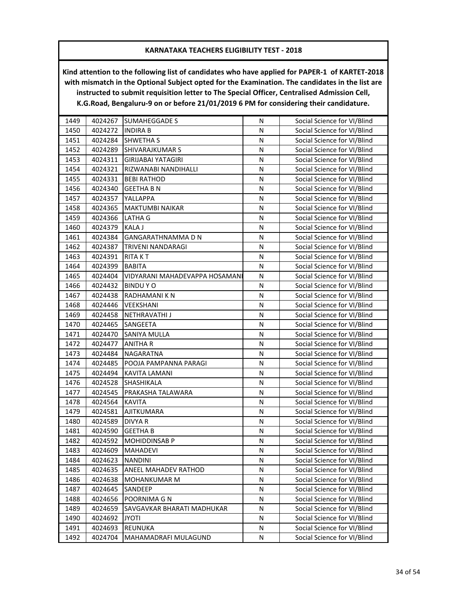| 1449 | 4024267 | <b>SUMAHEGGADE S</b>           | N         | Social Science for VI/Blind |
|------|---------|--------------------------------|-----------|-----------------------------|
| 1450 | 4024272 | <b>INDIRA B</b>                | N         | Social Science for VI/Blind |
| 1451 | 4024284 | <b>SHWETHA S</b>               | N         | Social Science for VI/Blind |
| 1452 | 4024289 | <b>SHIVARAJKUMAR S</b>         | N         | Social Science for VI/Blind |
| 1453 | 4024311 | GIRIJABAI YATAGIRI             | N         | Social Science for VI/Blind |
| 1454 | 4024321 | RIZWANABI NANDIHALLI           | N         | Social Science for VI/Blind |
| 1455 | 4024331 | <b>BEBI RATHOD</b>             | N         | Social Science for VI/Blind |
| 1456 | 4024340 | <b>GEETHA B N</b>              | N         | Social Science for VI/Blind |
| 1457 | 4024357 | YALLAPPA                       | ${\sf N}$ | Social Science for VI/Blind |
| 1458 | 4024365 | MAKTUMBI NAIKAR                | N         | Social Science for VI/Blind |
| 1459 | 4024366 | LATHA G                        | N         | Social Science for VI/Blind |
| 1460 | 4024379 | <b>KALA J</b>                  | N         | Social Science for VI/Blind |
| 1461 | 4024384 | GANGARATHNAMMA D N             | N         | Social Science for VI/Blind |
| 1462 | 4024387 | TRIVENI NANDARAGI              | N         | Social Science for VI/Blind |
| 1463 | 4024391 | <b>RITA K T</b>                | N         | Social Science for VI/Blind |
| 1464 | 4024399 | <b>BABITA</b>                  | N         | Social Science for VI/Blind |
| 1465 | 4024404 | VIDYARANI MAHADEVAPPA HOSAMANI | N         | Social Science for VI/Blind |
| 1466 | 4024432 | <b>BINDUYO</b>                 | N         | Social Science for VI/Blind |
| 1467 | 4024438 | RADHAMANI K N                  | N         | Social Science for VI/Blind |
| 1468 | 4024446 | <b>VEEKSHANI</b>               | Ν         | Social Science for VI/Blind |
| 1469 | 4024458 | <b>NETHRAVATHI J</b>           | N         | Social Science for VI/Blind |
| 1470 | 4024465 | <b>SANGEETA</b>                | N         | Social Science for VI/Blind |
| 1471 | 4024470 | <b>SANIYA MULLA</b>            | N         | Social Science for VI/Blind |
| 1472 | 4024477 | <b>ANITHA R</b>                | N         | Social Science for VI/Blind |
| 1473 | 4024484 | NAGARATNA                      | N         | Social Science for VI/Blind |
| 1474 | 4024485 | POOJA PAMPANNA PARAGI          | N         | Social Science for VI/Blind |
| 1475 | 4024494 | KAVITA LAMANI                  | N         | Social Science for VI/Blind |
| 1476 | 4024528 | SHASHIKALA                     | N         | Social Science for VI/Blind |
| 1477 | 4024545 | PRAKASHA TALAWARA              | N         | Social Science for VI/Blind |
| 1478 | 4024564 | KAVITA                         | N         | Social Science for VI/Blind |
| 1479 | 4024581 | AJITKUMARA                     | N         | Social Science for VI/Blind |
| 1480 | 4024589 | DIVYA R                        | N         | Social Science for VI/Blind |
| 1481 | 4024590 | <b>GEETHA B</b>                | Ν         | Social Science for VI/Blind |
| 1482 | 4024592 | MOHIDDINSAB P                  | N         | Social Science for VI/Blind |
| 1483 | 4024609 | MAHADEVI                       | Ν         | Social Science for VI/Blind |
| 1484 | 4024623 | <b>NANDINI</b>                 | N         | Social Science for VI/Blind |
| 1485 | 4024635 | ANEEL MAHADEV RATHOD           | N         | Social Science for VI/Blind |
| 1486 | 4024638 | <b>MOHANKUMAR M</b>            | N         | Social Science for VI/Blind |
| 1487 | 4024645 | SANDEEP                        | N         | Social Science for VI/Blind |
| 1488 | 4024656 | POORNIMA G N                   | N         | Social Science for VI/Blind |
| 1489 | 4024659 | SAVGAVKAR BHARATI MADHUKAR     | Ν         | Social Science for VI/Blind |
| 1490 | 4024692 | <b>JYOTI</b>                   | Ν         | Social Science for VI/Blind |
| 1491 | 4024693 | REUNUKA                        | N         | Social Science for VI/Blind |
| 1492 | 4024704 | MAHAMADRAFI MULAGUND           | N         | Social Science for VI/Blind |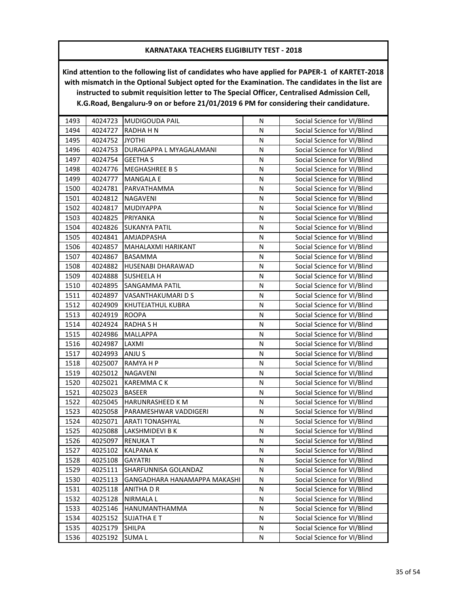| 1493 | 4024723 | <b>MUDIGOUDA PAIL</b>        | N         | Social Science for VI/Blind |
|------|---------|------------------------------|-----------|-----------------------------|
| 1494 | 4024727 | RADHA H N                    | N         | Social Science for VI/Blind |
| 1495 | 4024752 | <b>JYOTHI</b>                | N         | Social Science for VI/Blind |
| 1496 | 4024753 | DURAGAPPA L MYAGALAMANI      | N         | Social Science for VI/Blind |
| 1497 | 4024754 | <b>GEETHA S</b>              | N         | Social Science for VI/Blind |
| 1498 | 4024776 | <b>MEGHASHREE BS</b>         | N         | Social Science for VI/Blind |
| 1499 | 4024777 | MANGALA E                    | N         | Social Science for VI/Blind |
| 1500 | 4024781 | PARVATHAMMA                  | N         | Social Science for VI/Blind |
| 1501 | 4024812 | <b>NAGAVENI</b>              | ${\sf N}$ | Social Science for VI/Blind |
| 1502 | 4024817 | MUDIYAPPA                    | N         | Social Science for VI/Blind |
| 1503 | 4024825 | PRIYANKA                     | N         | Social Science for VI/Blind |
| 1504 | 4024826 | <b>SUKANYA PATIL</b>         | N         | Social Science for VI/Blind |
| 1505 | 4024841 | AMJADPASHA                   | N         | Social Science for VI/Blind |
| 1506 | 4024857 | MAHALAXMI HARIKANT           | N         | Social Science for VI/Blind |
| 1507 | 4024867 | BASAMMA                      | N         | Social Science for VI/Blind |
| 1508 | 4024882 | HUSENABI DHARAWAD            | N         | Social Science for VI/Blind |
| 1509 | 4024888 | SUSHEELA H                   | N         | Social Science for VI/Blind |
| 1510 | 4024895 | SANGAMMA PATIL               | N         | Social Science for VI/Blind |
| 1511 | 4024897 | VASANTHAKUMARI D S           | N         | Social Science for VI/Blind |
| 1512 | 4024909 | KHUTEJATHUL KUBRA            | Ν         | Social Science for VI/Blind |
| 1513 | 4024919 | <b>ROOPA</b>                 | N         | Social Science for VI/Blind |
| 1514 | 4024924 | <b>RADHA SH</b>              | N         | Social Science for VI/Blind |
| 1515 | 4024986 | MALLAPPA                     | N         | Social Science for VI/Blind |
| 1516 | 4024987 | LAXMI                        | N         | Social Science for VI/Blind |
| 1517 | 4024993 | ANJU S                       | N         | Social Science for VI/Blind |
| 1518 | 4025007 | RAMYA H P                    | N         | Social Science for VI/Blind |
| 1519 | 4025012 | NAGAVENI                     | N         | Social Science for VI/Blind |
| 1520 | 4025021 | <b>KAREMMACK</b>             | N         | Social Science for VI/Blind |
| 1521 | 4025023 | <b>BASEER</b>                | N         | Social Science for VI/Blind |
| 1522 | 4025045 | HARUNRASHEED K M             | N         | Social Science for VI/Blind |
| 1523 | 4025058 | PARAMESHWAR VADDIGERI        | N         | Social Science for VI/Blind |
| 1524 | 4025071 | ARATI TONASHYAL              | N         | Social Science for VI/Blind |
| 1525 | 4025088 | LAKSHMIDEVI B K              | N         | Social Science for VI/Blind |
| 1526 | 4025097 | <b>RENUKAT</b>               | N         | Social Science for VI/Blind |
| 1527 | 4025102 | KALPANA K                    | N         | Social Science for VI/Blind |
| 1528 | 4025108 | <b>GAYATRI</b>               | N         | Social Science for VI/Blind |
| 1529 | 4025111 | SHARFUNNISA GOLANDAZ         | Ν         | Social Science for VI/Blind |
| 1530 | 4025113 | GANGADHARA HANAMAPPA MAKASHI | N         | Social Science for VI/Blind |
| 1531 | 4025118 | ANITHA D R                   | N         | Social Science for VI/Blind |
| 1532 | 4025128 | NIRMALA L                    | Ν         | Social Science for VI/Blind |
| 1533 | 4025146 | HANUMANTHAMMA                | Ν         | Social Science for VI/Blind |
| 1534 | 4025152 | <b>SUJATHA E T</b>           | Ν         | Social Science for VI/Blind |
| 1535 | 4025179 | SHILPA                       | Ν         | Social Science for VI/Blind |
| 1536 | 4025192 | <b>SUMAL</b>                 | N         | Social Science for VI/Blind |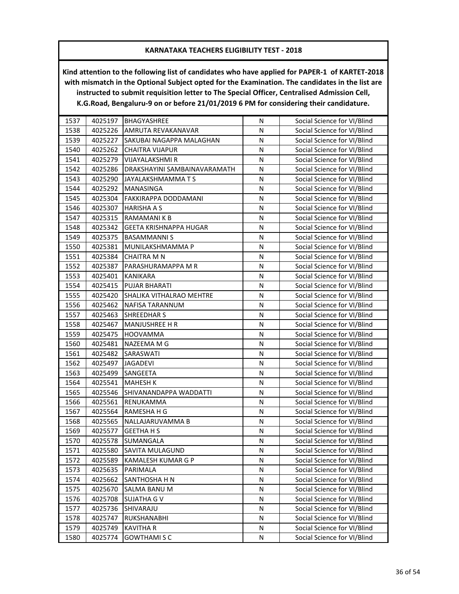| 1537 | 4025197 | <b>BHAGYASHREE</b>           | N         | Social Science for VI/Blind |
|------|---------|------------------------------|-----------|-----------------------------|
| 1538 | 4025226 | AMRUTA REVAKANAVAR           | N         | Social Science for VI/Blind |
| 1539 | 4025227 | SAKUBAI NAGAPPA MALAGHAN     | N         | Social Science for VI/Blind |
| 1540 | 4025262 | <b>CHAITRA VIJAPUR</b>       | N         | Social Science for VI/Blind |
| 1541 | 4025279 | VIJAYALAKSHMI R              | N         | Social Science for VI/Blind |
| 1542 | 4025286 | DRAKSHAYINI SAMBAINAVARAMATH | N         | Social Science for VI/Blind |
| 1543 | 4025290 | JAYALAKSHMAMMA T S           | N         | Social Science for VI/Blind |
| 1544 | 4025292 | MANASINGA                    | N         | Social Science for VI/Blind |
| 1545 | 4025304 | FAKKIRAPPA DODDAMANI         | N         | Social Science for VI/Blind |
| 1546 | 4025307 | <b>HARISHA A S</b>           | N         | Social Science for VI/Blind |
| 1547 | 4025315 | RAMAMANI K B                 | N         | Social Science for VI/Blind |
| 1548 | 4025342 | GEETA KRISHNAPPA HUGAR       | N         | Social Science for VI/Blind |
| 1549 | 4025375 | <b>BASAMMANNIS</b>           | N         | Social Science for VI/Blind |
| 1550 | 4025381 | MUNILAKSHMAMMA P             | N         | Social Science for VI/Blind |
| 1551 | 4025384 | <b>CHAITRA M N</b>           | N         | Social Science for VI/Blind |
| 1552 | 4025387 | PARASHURAMAPPA M R           | N         | Social Science for VI/Blind |
| 1553 | 4025401 | KANIKARA                     | N         | Social Science for VI/Blind |
| 1554 | 4025415 | PUJAR BHARATI                | N         | Social Science for VI/Blind |
| 1555 | 4025420 | SHALIKA VITHALRAO MEHTRE     | ${\sf N}$ | Social Science for VI/Blind |
| 1556 | 4025462 | NAFISA TARANNUM              | N         | Social Science for VI/Blind |
| 1557 | 4025463 | <b>SHREEDHAR S</b>           | ${\sf N}$ | Social Science for VI/Blind |
| 1558 | 4025467 | MANJUSHREE H R               | N         | Social Science for VI/Blind |
| 1559 | 4025475 | <b>HOOVAMMA</b>              | N         | Social Science for VI/Blind |
| 1560 | 4025481 | NAZEEMA M G                  | N         | Social Science for VI/Blind |
| 1561 | 4025482 | SARASWATI                    | N         | Social Science for VI/Blind |
| 1562 | 4025497 | <b>JAGADEVI</b>              | N         | Social Science for VI/Blind |
| 1563 | 4025499 | SANGEETA                     | N         | Social Science for VI/Blind |
| 1564 | 4025541 | <b>MAHESH K</b>              | N         | Social Science for VI/Blind |
| 1565 | 4025546 | SHIVANANDAPPA WADDATTI       | N         | Social Science for VI/Blind |
| 1566 | 4025561 | RENUKAMMA                    | N         | Social Science for VI/Blind |
| 1567 | 4025564 | RAMESHA H G                  | N         | Social Science for VI/Blind |
| 1568 | 4025565 | NALLAJARUVAMMA B             | N         | Social Science for VI/Blind |
| 1569 | 4025577 | <b>GEETHAHS</b>              | N         | Social Science for VI/Blind |
| 1570 | 4025578 | SUMANGALA                    | N         | Social Science for VI/Blind |
| 1571 | 4025580 | SAVITA MULAGUND              | N         | Social Science for VI/Blind |
| 1572 | 4025589 | KAMALESH KUMAR G P           | N         | Social Science for VI/Blind |
| 1573 | 4025635 | PARIMALA                     | N         | Social Science for VI/Blind |
| 1574 | 4025662 | SANTHOSHA H N                | ${\sf N}$ | Social Science for VI/Blind |
| 1575 | 4025670 | SALMA BANU M                 | N         | Social Science for VI/Blind |
| 1576 | 4025708 | <b>SUJATHA G V</b>           | N         | Social Science for VI/Blind |
| 1577 | 4025736 | SHIVARAJU                    | N         | Social Science for VI/Blind |
| 1578 | 4025747 | RUKSHANABHI                  | Ν         | Social Science for VI/Blind |
| 1579 | 4025749 | <b>KAVITHA R</b>             | N         | Social Science for VI/Blind |
| 1580 | 4025774 | <b>GOWTHAMISC</b>            | N         | Social Science for VI/Blind |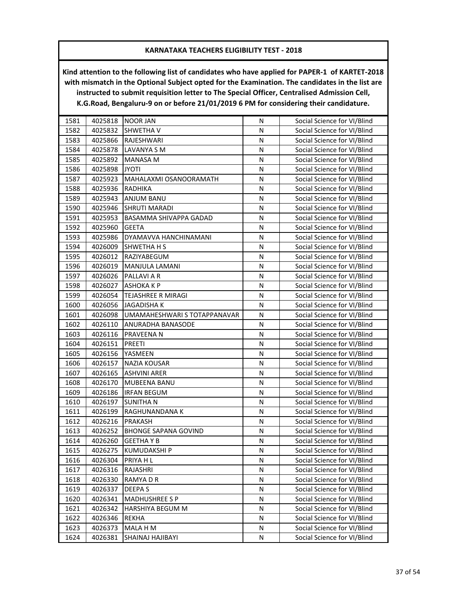| 1581 | 4025818 | <b>NOOR JAN</b>              | N         | Social Science for VI/Blind |
|------|---------|------------------------------|-----------|-----------------------------|
| 1582 | 4025832 | <b>SHWETHAV</b>              | N         | Social Science for VI/Blind |
| 1583 | 4025866 | RAJESHWARI                   | N         | Social Science for VI/Blind |
| 1584 | 4025878 | LAVANYA S M                  | N         | Social Science for VI/Blind |
| 1585 | 4025892 | MANASA M                     | N         | Social Science for VI/Blind |
| 1586 | 4025898 | <b>JYOTI</b>                 | N         | Social Science for VI/Blind |
| 1587 | 4025923 | MAHALAXMI OSANOORAMATH       | N         | Social Science for VI/Blind |
| 1588 | 4025936 | <b>RADHIKA</b>               | N         | Social Science for VI/Blind |
| 1589 | 4025943 | ANJUM BANU                   | N         | Social Science for VI/Blind |
| 1590 | 4025946 | <b>SHRUTI MARADI</b>         | N         | Social Science for VI/Blind |
| 1591 | 4025953 | BASAMMA SHIVAPPA GADAD       | N         | Social Science for VI/Blind |
| 1592 | 4025960 | <b>GEETA</b>                 | N         | Social Science for VI/Blind |
| 1593 | 4025986 | DYAMAVVA HANCHINAMANI        | N         | Social Science for VI/Blind |
| 1594 | 4026009 | <b>SHWETHA H S</b>           | N         | Social Science for VI/Blind |
| 1595 | 4026012 | RAZIYABEGUM                  | N         | Social Science for VI/Blind |
| 1596 | 4026019 | MANJULA LAMANI               | N         | Social Science for VI/Blind |
| 1597 | 4026026 | PALLAVI A R                  | N         | Social Science for VI/Blind |
| 1598 | 4026027 | ASHOKA K P                   | N         | Social Science for VI/Blind |
| 1599 | 4026054 | TEJASHREE R MIRAGI           | ${\sf N}$ | Social Science for VI/Blind |
| 1600 | 4026056 | <b>JAGADISHAK</b>            | N         | Social Science for VI/Blind |
| 1601 | 4026098 | UMAMAHESHWARI S TOTAPPANAVAR | N         | Social Science for VI/Blind |
| 1602 | 4026110 | ANURADHA BANASODE            | N         | Social Science for VI/Blind |
| 1603 | 4026116 | PRAVEENA N                   | N         | Social Science for VI/Blind |
| 1604 | 4026151 | <b>PREETI</b>                | N         | Social Science for VI/Blind |
| 1605 | 4026156 | YASMEEN                      | N         | Social Science for VI/Blind |
| 1606 | 4026157 | NAZIA KOUSAR                 | N         | Social Science for VI/Blind |
| 1607 | 4026165 | <b>ASHVINI ARER</b>          | N         | Social Science for VI/Blind |
| 1608 | 4026170 | MUBEENA BANU                 | N         | Social Science for VI/Blind |
| 1609 | 4026186 | <b>IRFAN BEGUM</b>           | N         | Social Science for VI/Blind |
| 1610 | 4026197 | <b>SUNITHAN</b>              | N         | Social Science for VI/Blind |
| 1611 | 4026199 | RAGHUNANDANA K               | N         | Social Science for VI/Blind |
| 1612 | 4026216 | PRAKASH                      | ${\sf N}$ | Social Science for VI/Blind |
| 1613 | 4026252 | <b>BHONGE SAPANA GOVIND</b>  | N         | Social Science for VI/Blind |
| 1614 | 4026260 | <b>GEETHAYB</b>              | N         | Social Science for VI/Blind |
| 1615 | 4026275 | KUMUDAKSHI P                 | N         | Social Science for VI/Blind |
| 1616 | 4026304 | PRIYA H L                    | N         | Social Science for VI/Blind |
| 1617 | 4026316 | RAJASHRI                     | N         | Social Science for VI/Blind |
| 1618 | 4026330 | RAMYA D R                    | ${\sf N}$ | Social Science for VI/Blind |
| 1619 | 4026337 | DEEPA S                      | N         | Social Science for VI/Blind |
| 1620 | 4026341 | <b>MADHUSHREE S P</b>        | N         | Social Science for VI/Blind |
| 1621 | 4026342 | HARSHIYA BEGUM M             | N         | Social Science for VI/Blind |
| 1622 | 4026346 | <b>REKHA</b>                 | Ν         | Social Science for VI/Blind |
| 1623 | 4026373 | MALA H M                     | N         | Social Science for VI/Blind |
| 1624 | 4026381 | SHAINAJ HAJIBAYI             | N         | Social Science for VI/Blind |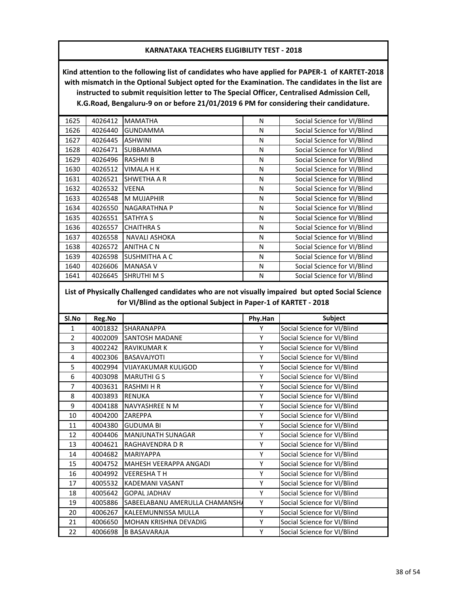**Kind attention to the following list of candidates who have applied for PAPER-1 of KARTET-2018 with mismatch in the Optional Subject opted for the Examination. The candidates in the list are instructed to submit requisition letter to The Special Officer, Centralised Admission Cell, K.G.Road, Bengaluru-9 on or before 21/01/2019 6 PM for considering their candidature.**

| 1625 | 4026412 | <b>MAMATHA</b>       | N | Social Science for VI/Blind |
|------|---------|----------------------|---|-----------------------------|
| 1626 | 4026440 | <b>GUNDAMMA</b>      | N | Social Science for VI/Blind |
| 1627 | 4026445 | <b>ASHWINI</b>       | N | Social Science for VI/Blind |
| 1628 | 4026471 | <b>SUBBAMMA</b>      | N | Social Science for VI/Blind |
| 1629 | 4026496 | <b>RASHMIB</b>       | N | Social Science for VI/Blind |
| 1630 | 4026512 | <b>VIMALA H K</b>    | N | Social Science for VI/Blind |
| 1631 | 4026521 | SHWETHA A R          | N | Social Science for VI/Blind |
| 1632 | 4026532 | <b>VEENA</b>         | N | Social Science for VI/Blind |
| 1633 | 4026548 | <b>M MUJAPHIR</b>    | N | Social Science for VI/Blind |
| 1634 | 4026550 | <b>NAGARATHNA P</b>  | N | Social Science for VI/Blind |
| 1635 | 4026551 | <b>SATHYA S</b>      | N | Social Science for VI/Blind |
| 1636 | 4026557 | <b>CHAITHRA S</b>    | N | Social Science for VI/Blind |
| 1637 | 4026558 | <b>NAVALI ASHOKA</b> | N | Social Science for VI/Blind |
| 1638 | 4026572 | <b>ANITHA C N</b>    | N | Social Science for VI/Blind |
| 1639 | 4026598 | <b>SUSHMITHA A C</b> | N | Social Science for VI/Blind |
| 1640 | 4026606 | <b>MANASA V</b>      | N | Social Science for VI/Blind |
| 1641 | 4026645 | <b>SHRUTHI M S</b>   | N | Social Science for VI/Blind |

# **List of Physically Challenged candidates who are not visually impaired but opted Social Science for VI/Blind as the optional Subject in Paper-1 of KARTET - 2018**

| Sl.No          | Reg.No  |                                | Phy.Han | <b>Subject</b>              |
|----------------|---------|--------------------------------|---------|-----------------------------|
| $\mathbf{1}$   | 4001832 | SHARANAPPA                     | Y       | Social Science for VI/Blind |
| $\overline{2}$ | 4002009 | <b>SANTOSH MADANE</b>          | Υ       | Social Science for VI/Blind |
| 3              | 4002242 | <b>RAVIKUMAR K</b>             | Υ       | Social Science for VI/Blind |
| 4              | 4002306 | <b>BASAVAJYOTI</b>             | Υ       | Social Science for VI/Blind |
| 5              | 4002994 | <b>VIJAYAKUMAR KULIGOD</b>     | Υ       | Social Science for VI/Blind |
| 6              | 4003098 | <b>MARUTHI G S</b>             | Υ       | Social Science for VI/Blind |
| $\overline{7}$ | 4003631 | <b>RASHMIHR</b>                | Υ       | Social Science for VI/Blind |
| 8              | 4003893 | <b>RENUKA</b>                  | Υ       | Social Science for VI/Blind |
| 9              | 4004188 | NAVYASHREE N M                 | Υ       | Social Science for VI/Blind |
| 10             | 4004200 | <b>ZAREPPA</b>                 | Υ       | Social Science for VI/Blind |
| 11             | 4004380 | <b>GUDUMA BI</b>               | Υ       | Social Science for VI/Blind |
| 12             | 4004406 | <b>MANJUNATH SUNAGAR</b>       | Υ       | Social Science for VI/Blind |
| 13             | 4004621 | <b>RAGHAVENDRA D R</b>         | Υ       | Social Science for VI/Blind |
| 14             | 4004682 | <b>MARIYAPPA</b>               | Y       | Social Science for VI/Blind |
| 15             | 4004752 | MAHESH VEERAPPA ANGADI         | Υ       | Social Science for VI/Blind |
| 16             | 4004992 | <b>VEERESHATH</b>              | Υ       | Social Science for VI/Blind |
| 17             | 4005532 | <b>KADEMANI VASANT</b>         | Υ       | Social Science for VI/Blind |
| 18             | 4005642 | <b>GOPAL JADHAV</b>            | Υ       | Social Science for VI/Blind |
| 19             | 4005886 | SABEELABANU AMERULLA CHAMANSHA | Υ       | Social Science for VI/Blind |
| 20             | 4006267 | KALEEMUNNISSA MULLA            | Υ       | Social Science for VI/Blind |
| 21             | 4006650 | MOHAN KRISHNA DEVADIG          | Υ       | Social Science for VI/Blind |
| 22             | 4006698 | <b>B BASAVARAJA</b>            | Υ       | Social Science for VI/Blind |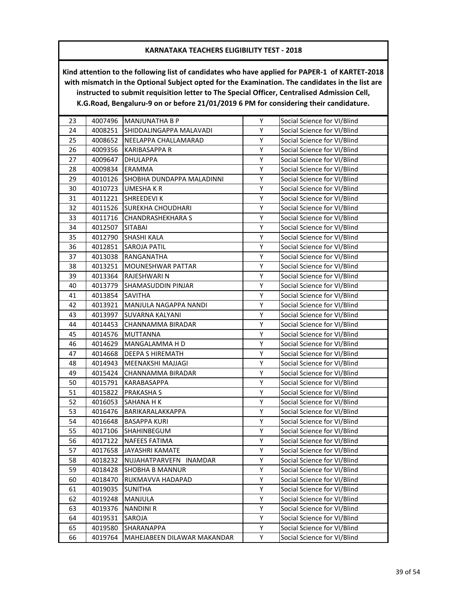| 23 | 4007496 | MANJUNATHA B P              | Υ | Social Science for VI/Blind |
|----|---------|-----------------------------|---|-----------------------------|
| 24 | 4008251 | SHIDDALINGAPPA MALAVADI     | Υ | Social Science for VI/Blind |
| 25 | 4008652 | NEELAPPA CHALLAMARAD        | Υ | Social Science for VI/Blind |
| 26 | 4009356 | KARIBASAPPA R               | Υ | Social Science for VI/Blind |
| 27 | 4009647 | <b>DHULAPPA</b>             | Υ | Social Science for VI/Blind |
| 28 | 4009834 | ERAMMA                      | Υ | Social Science for VI/Blind |
| 29 | 4010126 | SHOBHA DUNDAPPA MALADINNI   | Υ | Social Science for VI/Blind |
| 30 | 4010723 | UMESHA K R                  | Υ | Social Science for VI/Blind |
| 31 | 4011221 | <b>SHREEDEVIK</b>           | Υ | Social Science for VI/Blind |
| 32 | 4011526 | SUREKHA CHOUDHARI           | Υ | Social Science for VI/Blind |
| 33 | 4011716 | <b>CHANDRASHEKHARA S</b>    | Υ | Social Science for VI/Blind |
| 34 | 4012507 | <b>SITABAI</b>              | Υ | Social Science for VI/Blind |
| 35 | 4012790 | SHASHI KALA                 | Υ | Social Science for VI/Blind |
| 36 | 4012851 | <b>SAROJA PATIL</b>         | Υ | Social Science for VI/Blind |
| 37 | 4013038 | RANGANATHA                  | Υ | Social Science for VI/Blind |
| 38 | 4013251 | MOUNESHWAR PATTAR           | Υ | Social Science for VI/Blind |
| 39 | 4013364 | RAJESHWARI N                | Υ | Social Science for VI/Blind |
| 40 | 4013779 | SHAMASUDDIN PINJAR          | Υ | Social Science for VI/Blind |
| 41 | 4013854 | <b>SAVITHA</b>              | Υ | Social Science for VI/Blind |
| 42 | 4013921 | MANJULA NAGAPPA NANDI       | Υ | Social Science for VI/Blind |
| 43 | 4013997 | SUVARNA KALYANI             | Υ | Social Science for VI/Blind |
| 44 | 4014453 | CHANNAMMA BIRADAR           | Υ | Social Science for VI/Blind |
| 45 | 4014576 | <b>MUTTANNA</b>             | Υ | Social Science for VI/Blind |
| 46 | 4014629 | MANGALAMMA H D              | Υ | Social Science for VI/Blind |
| 47 | 4014668 | DEEPA S HIREMATH            | Υ | Social Science for VI/Blind |
| 48 | 4014943 | MEENAKSHI MAJJAGI           | Υ | Social Science for VI/Blind |
| 49 | 4015424 | CHANNAMMA BIRADAR           | Υ | Social Science for VI/Blind |
| 50 | 4015791 | KARABASAPPA                 | Υ | Social Science for VI/Blind |
| 51 | 4015822 | PRAKASHA S                  | Y | Social Science for VI/Blind |
| 52 | 4016053 | SAHANA H K                  | Υ | Social Science for VI/Blind |
| 53 | 4016476 | BARIKARALAKKAPPA            | Υ | Social Science for VI/Blind |
| 54 | 4016648 | <b>BASAPPA KURI</b>         | Υ | Social Science for VI/Blind |
| 55 | 4017106 | SHAHINBEGUM                 | Υ | Social Science for VI/Blind |
| 56 | 4017122 | <b>NAFEES FATIMA</b>        | Υ | Social Science for VI/Blind |
| 57 | 4017658 | JAYASHRI KAMATE             | Υ | Social Science for VI/Blind |
| 58 | 4018232 | NUJAHATPARVEFN INAMDAR      | Υ | Social Science for VI/Blind |
| 59 | 4018428 | <b>SHOBHA B MANNUR</b>      | Υ | Social Science for VI/Blind |
| 60 | 4018470 | RUKMAVVA HADAPAD            | Υ | Social Science for VI/Blind |
| 61 | 4019035 | <b>SUNITHA</b>              | Υ | Social Science for VI/Blind |
| 62 | 4019248 | <b>MANJULA</b>              | Υ | Social Science for VI/Blind |
| 63 | 4019376 | <b>NANDINI R</b>            | Υ | Social Science for VI/Blind |
| 64 | 4019531 | SAROJA                      | Υ | Social Science for VI/Blind |
| 65 | 4019580 | SHARANAPPA                  | Υ | Social Science for VI/Blind |
| 66 | 4019764 | MAHEJABEEN DILAWAR MAKANDAR | Υ | Social Science for VI/Blind |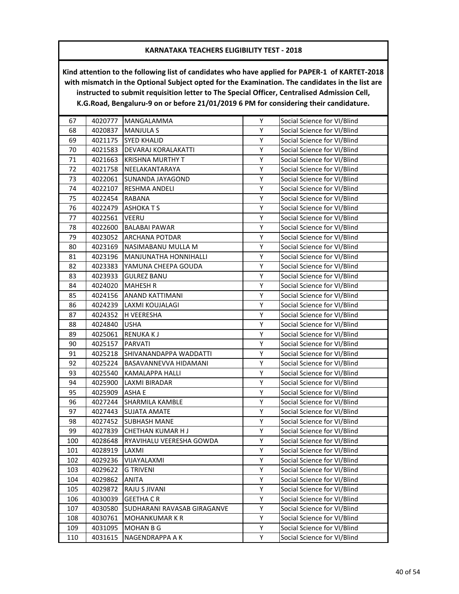| 67  | 4020777 | MANGALAMMA                  | Υ | Social Science for VI/Blind |
|-----|---------|-----------------------------|---|-----------------------------|
| 68  | 4020837 | <b>MANJULA S</b>            | Υ | Social Science for VI/Blind |
| 69  | 4021175 | <b>SYED KHALID</b>          | Υ | Social Science for VI/Blind |
| 70  | 4021583 | DEVARAJ KORALAKATTI         | Υ | Social Science for VI/Blind |
| 71  | 4021663 | <b>KRISHNA MURTHY T</b>     | Υ | Social Science for VI/Blind |
| 72  | 4021758 | NEELAKANTARAYA              | Υ | Social Science for VI/Blind |
| 73  | 4022061 | SUNANDA JAYAGOND            | Υ | Social Science for VI/Blind |
| 74  | 4022107 | <b>RESHMA ANDELI</b>        | Υ | Social Science for VI/Blind |
| 75  | 4022454 | <b>RABANA</b>               | Υ | Social Science for VI/Blind |
| 76  | 4022479 | <b>ASHOKATS</b>             | Υ | Social Science for VI/Blind |
| 77  | 4022561 | <b>VEERU</b>                | Υ | Social Science for VI/Blind |
| 78  | 4022600 | <b>BALABAI PAWAR</b>        | Υ | Social Science for VI/Blind |
| 79  | 4023052 | ARCHANA POTDAR              | Υ | Social Science for VI/Blind |
| 80  | 4023169 | NASIMABANU MULLA M          | Υ | Social Science for VI/Blind |
| 81  | 4023196 | MANJUNATHA HONNIHALLI       | Υ | Social Science for VI/Blind |
| 82  | 4023383 | YAMUNA CHEEPA GOUDA         | Y | Social Science for VI/Blind |
| 83  | 4023933 | <b>GULREZ BANU</b>          | Υ | Social Science for VI/Blind |
| 84  | 4024020 | <b>MAHESH R</b>             | Υ | Social Science for VI/Blind |
| 85  | 4024156 | ANAND KATTIMANI             | Υ | Social Science for VI/Blind |
| 86  | 4024239 | LAXMI KOUJALAGI             | Υ | Social Science for VI/Blind |
| 87  | 4024352 | H VEERESHA                  | Υ | Social Science for VI/Blind |
| 88  | 4024840 | <b>USHA</b>                 | Υ | Social Science for VI/Blind |
| 89  | 4025061 | <b>RENUKAKJ</b>             | Υ | Social Science for VI/Blind |
| 90  | 4025157 | <b>PARVATI</b>              | Υ | Social Science for VI/Blind |
| 91  | 4025218 | SHIVANANDAPPA WADDATTI      | Υ | Social Science for VI/Blind |
| 92  | 4025224 | BASAVANNEVVA HIDAMANI       | Υ | Social Science for VI/Blind |
| 93  | 4025540 | KAMALAPPA HALLI             | Υ | Social Science for VI/Blind |
| 94  | 4025900 | LAXMI BIRADAR               | Υ | Social Science for VI/Blind |
| 95  | 4025909 | <b>ASHA E</b>               | Y | Social Science for VI/Blind |
| 96  | 4027244 | SHARMILA KAMBLE             | Υ | Social Science for VI/Blind |
| 97  | 4027443 | <b>SUJATA AMATE</b>         | Υ | Social Science for VI/Blind |
| 98  | 4027452 | <b>SUBHASH MANE</b>         | Υ | Social Science for VI/Blind |
| 99  | 4027839 | CHETHAN KUMAR HJ            | Υ | Social Science for VI/Blind |
| 100 | 4028648 | RYAVIHALU VEERESHA GOWDA    | Υ | Social Science for VI/Blind |
| 101 | 4028919 | LAXMI                       | Υ | Social Science for VI/Blind |
| 102 | 4029236 | VIJAYALAXMI                 | Υ | Social Science for VI/Blind |
| 103 | 4029622 | <b>G TRIVENI</b>            | Υ | Social Science for VI/Blind |
| 104 | 4029862 | ANITA                       | Υ | Social Science for VI/Blind |
| 105 | 4029872 | RAJU S JIVANI               | Υ | Social Science for VI/Blind |
| 106 | 4030039 | <b>GEETHA CR</b>            | Υ | Social Science for VI/Blind |
| 107 | 4030580 | SUDHARANI RAVASAB GIRAGANVE | Υ | Social Science for VI/Blind |
| 108 | 4030761 | <b>MOHANKUMAR K R</b>       | Υ | Social Science for VI/Blind |
| 109 | 4031095 | MOHAN B G                   | Υ | Social Science for VI/Blind |
| 110 | 4031615 | NAGENDRAPPA A K             | Υ | Social Science for VI/Blind |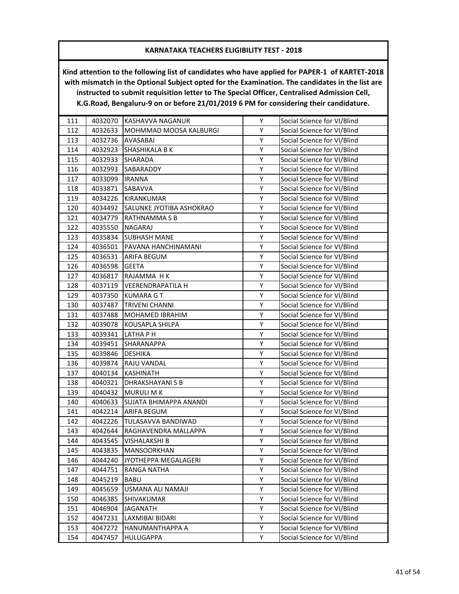| 111 | 4032070 | KASHAVVA NAGANUR         | Υ | Social Science for VI/Blind |
|-----|---------|--------------------------|---|-----------------------------|
| 112 | 4032633 | MOHMMAD MOOSA KALBURGI   | Υ | Social Science for VI/Blind |
| 113 | 4032736 | AVASABAI                 | Υ | Social Science for VI/Blind |
| 114 | 4032923 | <b>SHASHIKALA B K</b>    | Υ | Social Science for VI/Blind |
| 115 | 4032933 | <b>SHARADA</b>           | Υ | Social Science for VI/Blind |
| 116 | 4032993 | SABARADDY                | Υ | Social Science for VI/Blind |
| 117 | 4033099 | <b>IRANNA</b>            | Υ | Social Science for VI/Blind |
| 118 | 4033871 | SABAVVA                  | Υ | Social Science for VI/Blind |
| 119 | 4034226 | KIRANKUMAR               | Υ | Social Science for VI/Blind |
| 120 | 4034492 | SALUNKE JYOTIBA ASHOKRAO | Υ | Social Science for VI/Blind |
| 121 | 4034779 | RATHNAMMA S B            | Υ | Social Science for VI/Blind |
| 122 | 4035550 | NAGARAJ                  | Υ | Social Science for VI/Blind |
| 123 | 4035834 | <b>SUBHASH MANE</b>      | Υ | Social Science for VI/Blind |
| 124 | 4036501 | PAVANA HANCHINAMANI      | Υ | Social Science for VI/Blind |
| 125 | 4036531 | <b>ARIFA BEGUM</b>       | Υ | Social Science for VI/Blind |
| 126 | 4036598 | <b>GEETA</b>             | Υ | Social Science for VI/Blind |
| 127 | 4036817 | RAJAMMA HK               | Υ | Social Science for VI/Blind |
| 128 | 4037119 | <b>VEERENDRAPATILA H</b> | Υ | Social Science for VI/Blind |
| 129 | 4037350 | <b>KUMARA G T</b>        | Υ | Social Science for VI/Blind |
| 130 | 4037487 | <b>TRIVENI CHANNI</b>    | Υ | Social Science for VI/Blind |
| 131 | 4037488 | MOHAMED IBRAHIM          | Υ | Social Science for VI/Blind |
| 132 | 4039078 | KOUSAPLA SHILPA          | Υ | Social Science for VI/Blind |
| 133 | 4039341 | LATHA P H                | Υ | Social Science for VI/Blind |
| 134 | 4039451 | <b>SHARANAPPA</b>        | Υ | Social Science for VI/Blind |
| 135 | 4039846 | <b>DESHIKA</b>           | Υ | Social Science for VI/Blind |
| 136 | 4039874 | RAJU VANDAL              | Υ | Social Science for VI/Blind |
| 137 | 4040134 | <b>KASHINATH</b>         | Υ | Social Science for VI/Blind |
| 138 | 4040321 | DHRAKSHAYANI S B         | Υ | Social Science for VI/Blind |
| 139 | 4040432 | <b>MURULI MK</b>         | Υ | Social Science for VI/Blind |
| 140 | 4040633 | SUJATA BHIMAPPA ANANDI   | Υ | Social Science for VI/Blind |
| 141 | 4042214 | ARIFA BEGUM              | Υ | Social Science for VI/Blind |
| 142 | 4042226 | TULASAVVA BANDIWAD       | Υ | Social Science for VI/Blind |
| 143 | 4042644 | RAGHAVENDRA MALLAPPA     | Υ | Social Science for VI/Blind |
| 144 | 4043545 | <b>VISHALAKSHI B</b>     | Υ | Social Science for VI/Blind |
| 145 | 4043835 | MANSOORKHAN              | Υ | Social Science for VI/Blind |
| 146 | 4044240 | JYOTHEPPA MEGALAGERI     | Υ | Social Science for VI/Blind |
| 147 | 4044751 | RANGA NATHA              | Υ | Social Science for VI/Blind |
| 148 | 4045219 | BABU                     | Υ | Social Science for VI/Blind |
| 149 | 4045659 | USMANA ALI NAMAJI        | Υ | Social Science for VI/Blind |
| 150 | 4046385 | SHIVAKUMAR               | Υ | Social Science for VI/Blind |
| 151 | 4046904 | <b>JAGANATH</b>          | Υ | Social Science for VI/Blind |
| 152 | 4047231 | LAXMIBAI BIDARI          | Υ | Social Science for VI/Blind |
| 153 | 4047272 | HANUMANTHAPPA A          | Υ | Social Science for VI/Blind |
| 154 | 4047457 | HULUGAPPA                | Υ | Social Science for VI/Blind |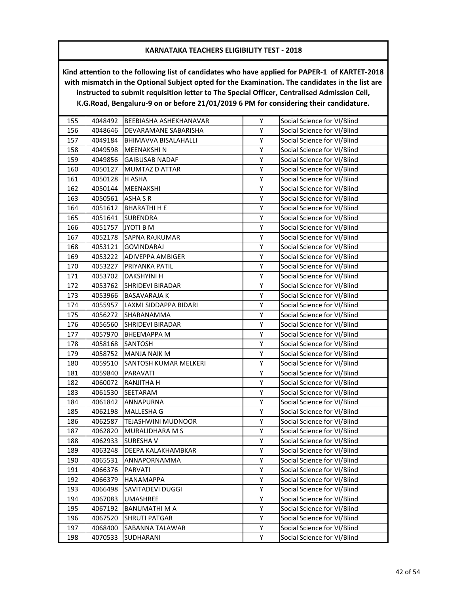| 155 | 4048492 | BEEBIASHA ASHEKHANAVAR  | Y | Social Science for VI/Blind |
|-----|---------|-------------------------|---|-----------------------------|
| 156 | 4048646 | DEVARAMANE SABARISHA    | Υ | Social Science for VI/Blind |
| 157 | 4049184 | BHIMAVVA BISALAHALLI    | Υ | Social Science for VI/Blind |
| 158 | 4049598 | <b>MEENAKSHIN</b>       | Υ | Social Science for VI/Blind |
| 159 | 4049856 | <b>GAIBUSAB NADAF</b>   | Υ | Social Science for VI/Blind |
| 160 | 4050127 | MUMTAZ D ATTAR          | Υ | Social Science for VI/Blind |
| 161 | 4050128 | H ASHA                  | Υ | Social Science for VI/Blind |
| 162 | 4050144 | MEENAKSHI               | Υ | Social Science for VI/Blind |
| 163 | 4050561 | ASHA S R                | Υ | Social Science for VI/Blind |
| 164 | 4051612 | <b>BHARATHI H E</b>     | Υ | Social Science for VI/Blind |
| 165 | 4051641 | <b>SURENDRA</b>         | Υ | Social Science for VI/Blind |
| 166 | 4051757 | JYOTI B M               | Υ | Social Science for VI/Blind |
| 167 | 4052178 | SAPNA RAJKUMAR          | Υ | Social Science for VI/Blind |
| 168 | 4053121 | <b>GOVINDARAJ</b>       | Υ | Social Science for VI/Blind |
| 169 | 4053222 | <b>ADIVEPPA AMBIGER</b> | Υ | Social Science for VI/Blind |
| 170 | 4053227 | PRIYANKA PATIL          | Υ | Social Science for VI/Blind |
| 171 | 4053702 | <b>DAKSHYINI H</b>      | Υ | Social Science for VI/Blind |
| 172 | 4053762 | <b>SHRIDEVI BIRADAR</b> | Υ | Social Science for VI/Blind |
| 173 | 4053966 | <b>BASAVARAJA K</b>     | Υ | Social Science for VI/Blind |
| 174 | 4055957 | LAXMI SIDDAPPA BIDARI   | Υ | Social Science for VI/Blind |
| 175 | 4056272 | SHARANAMMA              | Υ | Social Science for VI/Blind |
| 176 | 4056560 | <b>SHRIDEVI BIRADAR</b> | Υ | Social Science for VI/Blind |
| 177 | 4057970 | <b>BHEEMAPPA M</b>      | Υ | Social Science for VI/Blind |
| 178 | 4058168 | <b>SANTOSH</b>          | Υ | Social Science for VI/Blind |
| 179 | 4058752 | MANJA NAIK M            | Υ | Social Science for VI/Blind |
| 180 | 4059510 | SANTOSH KUMAR MELKERI   | Υ | Social Science for VI/Blind |
| 181 | 4059840 | PARAVATI                | Υ | Social Science for VI/Blind |
| 182 | 4060072 | RANJITHA H              | Υ | Social Science for VI/Blind |
| 183 | 4061530 | SEETARAM                | Υ | Social Science for VI/Blind |
| 184 | 4061842 | ANNAPURNA               | Υ | Social Science for VI/Blind |
| 185 | 4062198 | MALLESHA G              | Υ | Social Science for VI/Blind |
| 186 | 4062587 | TEJASHWINI MUDNOOR      | Υ | Social Science for VI/Blind |
| 187 | 4062820 | MURALIDHARA M S         | Υ | Social Science for VI/Blind |
| 188 | 4062933 | <b>SURESHAV</b>         | Υ | Social Science for VI/Blind |
| 189 | 4063248 | DEEPA KALAKHAMBKAR      | Υ | Social Science for VI/Blind |
| 190 | 4065531 | ANNAPORNAMMA            | Υ | Social Science for VI/Blind |
| 191 | 4066376 | PARVATI                 | Υ | Social Science for VI/Blind |
| 192 | 4066379 | HANAMAPPA               | Υ | Social Science for VI/Blind |
| 193 | 4066498 | SAVITADEVI DUGGI        | Υ | Social Science for VI/Blind |
| 194 | 4067083 | UMASHREE                | Υ | Social Science for VI/Blind |
| 195 | 4067192 | BANUMATHI M A           | Υ | Social Science for VI/Blind |
| 196 | 4067520 | <b>SHRUTI PATGAR</b>    | Υ | Social Science for VI/Blind |
| 197 | 4068400 | SABANNA TALAWAR         | Υ | Social Science for VI/Blind |
| 198 | 4070533 | <b>SUDHARANI</b>        | Υ | Social Science for VI/Blind |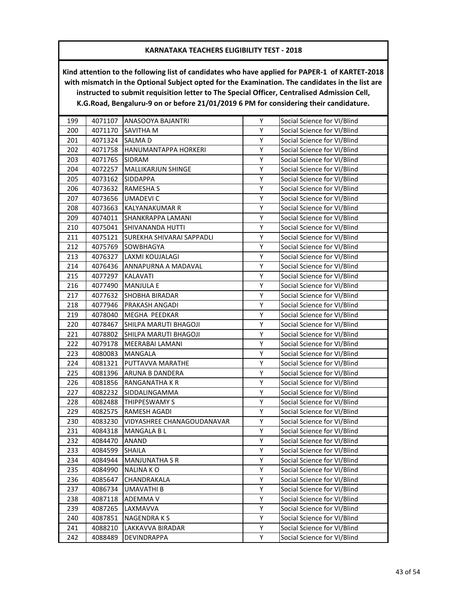| 199 | 4071107 | ANASOOYA BAJANTRI          | Υ | Social Science for VI/Blind |
|-----|---------|----------------------------|---|-----------------------------|
| 200 | 4071170 | SAVITHA M                  | Υ | Social Science for VI/Blind |
| 201 | 4071324 | <b>SALMAD</b>              | Υ | Social Science for VI/Blind |
| 202 | 4071758 | HANUMANTAPPA HORKERI       | Υ | Social Science for VI/Blind |
| 203 | 4071765 | SIDRAM                     | Υ | Social Science for VI/Blind |
| 204 | 4072257 | <b>MALLIKARJUN SHINGE</b>  | Υ | Social Science for VI/Blind |
| 205 | 4073162 | SIDDAPPA                   | Υ | Social Science for VI/Blind |
| 206 | 4073632 | <b>RAMESHA S</b>           | Υ | Social Science for VI/Blind |
| 207 | 4073656 | <b>UMADEVIC</b>            | Υ | Social Science for VI/Blind |
| 208 | 4073663 | KALYANAKUMAR R             | Υ | Social Science for VI/Blind |
| 209 | 4074011 | SHANKRAPPA LAMANI          | Υ | Social Science for VI/Blind |
| 210 | 4075041 | SHIVANANDA HUTTI           | Υ | Social Science for VI/Blind |
| 211 | 4075121 | SUREKHA SHIVARAI SAPPADLI  | Υ | Social Science for VI/Blind |
| 212 | 4075769 | SOWBHAGYA                  | Υ | Social Science for VI/Blind |
| 213 | 4076327 | LAXMI KOUJALAGI            | Υ | Social Science for VI/Blind |
| 214 | 4076436 | ANNAPURNA A MADAVAL        | Υ | Social Science for VI/Blind |
| 215 | 4077297 | KALAVATI                   | Υ | Social Science for VI/Blind |
| 216 | 4077490 | <b>MANJULA E</b>           | Υ | Social Science for VI/Blind |
| 217 | 4077632 | SHOBHA BIRADAR             | Υ | Social Science for VI/Blind |
| 218 | 4077946 | PRAKASH ANGADI             | Υ | Social Science for VI/Blind |
| 219 | 4078040 | MEGHA PEEDKAR              | Υ | Social Science for VI/Blind |
| 220 | 4078467 | SHILPA MARUTI BHAGOJI      | Υ | Social Science for VI/Blind |
| 221 | 4078802 | SHILPA MARUTI BHAGOJI      | Υ | Social Science for VI/Blind |
| 222 | 4079178 | MEERABAI LAMANI            | Υ | Social Science for VI/Blind |
| 223 | 4080083 | MANGALA                    | Υ | Social Science for VI/Blind |
| 224 | 4081321 | PUTTAVVA MARATHE           | Υ | Social Science for VI/Blind |
| 225 | 4081396 | ARUNA B DANDERA            | Υ | Social Science for VI/Blind |
| 226 | 4081856 | RANGANATHA K R             | Υ | Social Science for VI/Blind |
| 227 | 4082232 | SIDDALINGAMMA              | Υ | Social Science for VI/Blind |
| 228 | 4082488 | THIPPESWAMY S              | Υ | Social Science for VI/Blind |
| 229 | 4082575 | RAMESH AGADI               | Υ | Social Science for VI/Blind |
| 230 | 4083230 | VIDYASHREE CHANAGOUDANAVAR | Υ | Social Science for VI/Blind |
| 231 | 4084318 | MANGALA B L                | Υ | Social Science for VI/Blind |
| 232 | 4084470 | <b>ANAND</b>               | Υ | Social Science for VI/Blind |
| 233 | 4084599 | <b>SHAILA</b>              | Υ | Social Science for VI/Blind |
| 234 | 4084944 | <b>MANJUNATHA S R</b>      | Υ | Social Science for VI/Blind |
| 235 | 4084990 | <b>NALINAKO</b>            | Υ | Social Science for VI/Blind |
| 236 | 4085647 | CHANDRAKALA                | Υ | Social Science for VI/Blind |
| 237 | 4086734 | UMAVATHI B                 | Υ | Social Science for VI/Blind |
| 238 | 4087118 | <b>ADEMMA V</b>            | Υ | Social Science for VI/Blind |
| 239 | 4087265 | LAXMAVVA                   | Υ | Social Science for VI/Blind |
| 240 | 4087851 | NAGENDRA K S               | Υ | Social Science for VI/Blind |
| 241 | 4088210 | LAKKAVVA BIRADAR           | Υ | Social Science for VI/Blind |
| 242 | 4088489 | DEVINDRAPPA                | Υ | Social Science for VI/Blind |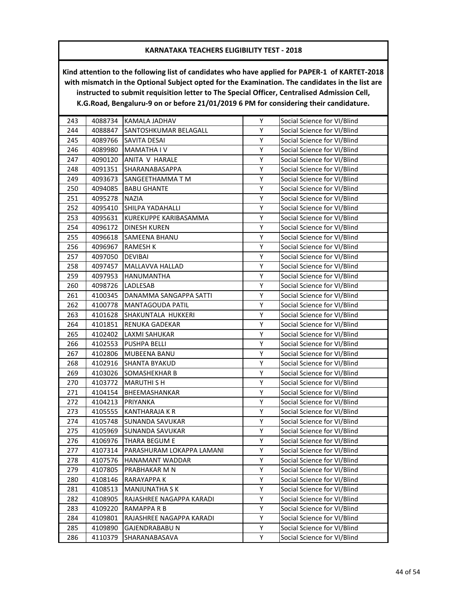| 243 | 4088734 | KAMALA JADHAV             | Υ | Social Science for VI/Blind |
|-----|---------|---------------------------|---|-----------------------------|
| 244 | 4088847 | SANTOSHKUMAR BELAGALL     | Υ | Social Science for VI/Blind |
| 245 | 4089766 | SAVITA DESAI              | Υ | Social Science for VI/Blind |
| 246 | 4089980 | <b>MAMATHA IV</b>         | Υ | Social Science for VI/Blind |
| 247 | 4090120 | ANITA V HARALE            | Υ | Social Science for VI/Blind |
| 248 | 4091351 | SHARANABASAPPA            | Υ | Social Science for VI/Blind |
| 249 | 4093673 | SANGEETHAMMA T M          | Υ | Social Science for VI/Blind |
| 250 | 4094085 | <b>BABU GHANTE</b>        | Υ | Social Science for VI/Blind |
| 251 | 4095278 | <b>NAZIA</b>              | Υ | Social Science for VI/Blind |
| 252 | 4095410 | <b>SHILPA YADAHALLI</b>   | Υ | Social Science for VI/Blind |
| 253 | 4095631 | KUREKUPPE KARIBASAMMA     | Υ | Social Science for VI/Blind |
| 254 | 4096172 | <b>DINESH KUREN</b>       | Υ | Social Science for VI/Blind |
| 255 | 4096618 | SAMEENA BHANU             | Υ | Social Science for VI/Blind |
| 256 | 4096967 | <b>RAMESH K</b>           | Υ | Social Science for VI/Blind |
| 257 | 4097050 | <b>DEVIBAI</b>            | Υ | Social Science for VI/Blind |
| 258 | 4097457 | MALLAVVA HALLAD           | Υ | Social Science for VI/Blind |
| 259 | 4097953 | HANUMANTHA                | Υ | Social Science for VI/Blind |
| 260 | 4098726 | LADLESAB                  | Υ | Social Science for VI/Blind |
| 261 | 4100345 | DANAMMA SANGAPPA SATTI    | Υ | Social Science for VI/Blind |
| 262 | 4100778 | MANTAGOUDA PATIL          | Υ | Social Science for VI/Blind |
| 263 | 4101628 | SHAKUNTALA HUKKERI        | Υ | Social Science for VI/Blind |
| 264 | 4101851 | <b>RENUKA GADEKAR</b>     | Υ | Social Science for VI/Blind |
| 265 | 4102402 | LAXMI SAHUKAR             | Υ | Social Science for VI/Blind |
| 266 | 4102553 | <b>PUSHPA BELLI</b>       | Υ | Social Science for VI/Blind |
| 267 | 4102806 | MUBEENA BANU              | Υ | Social Science for VI/Blind |
| 268 | 4102916 | <b>SHANTA BYAKUD</b>      | Υ | Social Science for VI/Blind |
| 269 | 4103026 | SOMASHEKHAR B             | Υ | Social Science for VI/Blind |
| 270 | 4103772 | <b>MARUTHI S H</b>        | Υ | Social Science for VI/Blind |
| 271 | 4104154 | BHEEMASHANKAR             | Υ | Social Science for VI/Blind |
| 272 | 4104213 | PRIYANKA                  | Υ | Social Science for VI/Blind |
| 273 | 4105555 | <b>KANTHARAJA K R</b>     | Υ | Social Science for VI/Blind |
| 274 | 4105748 | SUNANDA SAVUKAR           | Υ | Social Science for VI/Blind |
| 275 | 4105969 | <b>SUNANDA SAVUKAR</b>    | Υ | Social Science for VI/Blind |
| 276 | 4106976 | <b>THARA BEGUM E</b>      | Υ | Social Science for VI/Blind |
| 277 | 4107314 | PARASHURAM LOKAPPA LAMANI | Υ | Social Science for VI/Blind |
| 278 | 4107576 | HANAMANT WADDAR           | Υ | Social Science for VI/Blind |
| 279 | 4107805 | PRABHAKAR M N             | Υ | Social Science for VI/Blind |
| 280 | 4108146 | RARAYAPPA K               | Υ | Social Science for VI/Blind |
| 281 | 4108513 | <b>MANJUNATHA S K</b>     | Υ | Social Science for VI/Blind |
| 282 | 4108905 | RAJASHREE NAGAPPA KARADI  | Υ | Social Science for VI/Blind |
| 283 | 4109220 | RAMAPPA R B               | Υ | Social Science for VI/Blind |
| 284 | 4109801 | RAJASHREE NAGAPPA KARADI  | Υ | Social Science for VI/Blind |
| 285 | 4109890 | GAJENDRABABU N            | Υ | Social Science for VI/Blind |
| 286 | 4110379 | SHARANABASAVA             | Υ | Social Science for VI/Blind |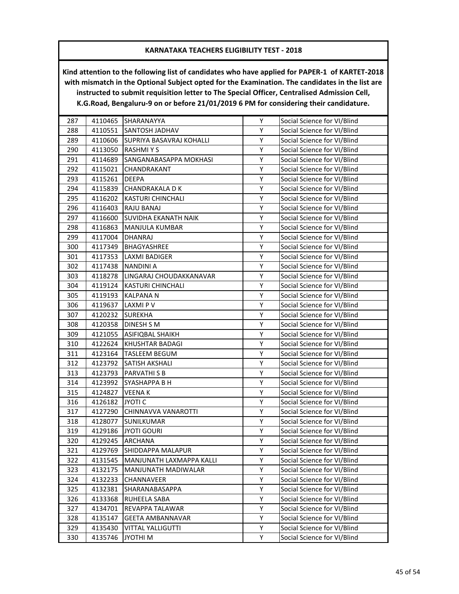| 287 | 4110465 | SHARANAYYA               | Υ | Social Science for VI/Blind |
|-----|---------|--------------------------|---|-----------------------------|
| 288 | 4110551 | <b>SANTOSH JADHAV</b>    | Υ | Social Science for VI/Blind |
| 289 | 4110606 | SUPRIYA BASAVRAJ KOHALLI | Υ | Social Science for VI/Blind |
| 290 | 4113050 | <b>RASHMIYS</b>          | Υ | Social Science for VI/Blind |
| 291 | 4114689 | SANGANABASAPPA MOKHASI   | Υ | Social Science for VI/Blind |
| 292 | 4115021 | CHANDRAKANT              | Υ | Social Science for VI/Blind |
| 293 | 4115261 | DEEPA                    | Υ | Social Science for VI/Blind |
| 294 | 4115839 | CHANDRAKALA D K          | Υ | Social Science for VI/Blind |
| 295 | 4116202 | KASTURI CHINCHALI        | Υ | Social Science for VI/Blind |
| 296 | 4116403 | RAJU BANAJ               | Υ | Social Science for VI/Blind |
| 297 | 4116600 | SUVIDHA EKANATH NAIK     | Υ | Social Science for VI/Blind |
| 298 |         |                          | Υ |                             |
| 299 | 4116863 | MANJULA KUMBAR           | Υ | Social Science for VI/Blind |
|     | 4117004 | DHANRAJ                  |   | Social Science for VI/Blind |
| 300 | 4117349 | BHAGYASHREE              | Υ | Social Science for VI/Blind |
| 301 | 4117353 | LAXMI BADIGER            | Υ | Social Science for VI/Blind |
| 302 | 4117438 | <b>NANDINI A</b>         | Υ | Social Science for VI/Blind |
| 303 | 4118278 | LINGARAJ CHOUDAKKANAVAR  | Υ | Social Science for VI/Blind |
| 304 | 4119124 | KASTURI CHINCHALI        | Υ | Social Science for VI/Blind |
| 305 | 4119193 | KALPANA N                | Υ | Social Science for VI/Blind |
| 306 | 4119637 | LAXMI P V                | Υ | Social Science for VI/Blind |
| 307 | 4120232 | <b>SUREKHA</b>           | Υ | Social Science for VI/Blind |
| 308 | 4120358 | DINESH S M               | Υ | Social Science for VI/Blind |
| 309 | 4121055 | ASIFIQBAL SHAIKH         | Υ | Social Science for VI/Blind |
| 310 | 4122624 | KHUSHTAR BADAGI          | Υ | Social Science for VI/Blind |
| 311 | 4123164 | <b>TASLEEM BEGUM</b>     | Υ | Social Science for VI/Blind |
| 312 | 4123792 | SATISH AKSHALI           | Υ | Social Science for VI/Blind |
| 313 | 4123793 | PARVATHI S B             | Υ | Social Science for VI/Blind |
| 314 | 4123992 | SYASHAPPA B H            | Υ | Social Science for VI/Blind |
| 315 | 4124827 | VEENA K                  | Υ | Social Science for VI/Blind |
| 316 | 4126182 | <b>JYOTI C</b>           | Υ | Social Science for VI/Blind |
| 317 | 4127290 | CHINNAVVA VANAROTTI      | Υ | Social Science for VI/Blind |
| 318 | 4128077 | SUNILKUMAR               | Υ | Social Science for VI/Blind |
| 319 | 4129186 | <b>JYOTI GOURI</b>       | Υ | Social Science for VI/Blind |
| 320 | 4129245 | <b>ARCHANA</b>           | Υ | Social Science for VI/Blind |
| 321 | 4129769 | SHIDDAPPA MALAPUR        | Υ | Social Science for VI/Blind |
| 322 | 4131545 | MANJUNATH LAXMAPPA KALLI | Υ | Social Science for VI/Blind |
| 323 | 4132175 | MANJUNATH MADIWALAR      | Υ | Social Science for VI/Blind |
| 324 | 4132233 | CHANNAVEER               | Υ | Social Science for VI/Blind |
| 325 | 4132381 | SHARANABASAPPA           | Υ | Social Science for VI/Blind |
| 326 | 4133368 | RUHEELA SABA             | Υ | Social Science for VI/Blind |
| 327 | 4134701 | REVAPPA TALAWAR          | Υ | Social Science for VI/Blind |
| 328 | 4135147 | <b>GEETA AMBANNAVAR</b>  | Υ | Social Science for VI/Blind |
| 329 | 4135430 | VITTAL YALLIGUTTI        | Υ | Social Science for VI/Blind |
| 330 | 4135746 | <b>N IHTOYL</b>          | Υ | Social Science for VI/Blind |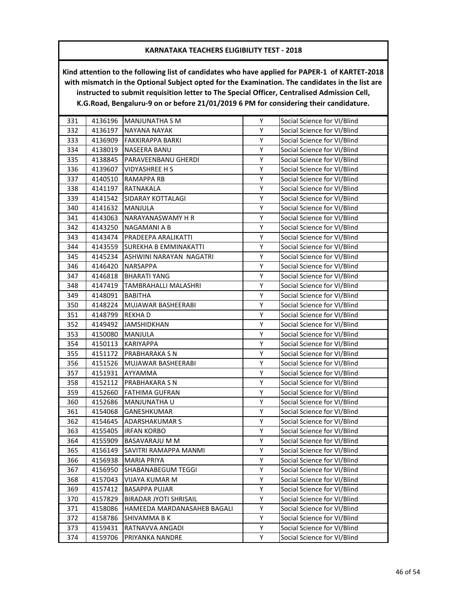| 331 | 4136196 | <b>MANJUNATHA S M</b>       | Υ | Social Science for VI/Blind |
|-----|---------|-----------------------------|---|-----------------------------|
| 332 | 4136197 | <b>NAYANA NAYAK</b>         | Υ | Social Science for VI/Blind |
| 333 | 4136909 | FAKKIRAPPA BARKI            | Υ | Social Science for VI/Blind |
| 334 | 4138019 | <b>NASEERA BANU</b>         | Υ | Social Science for VI/Blind |
| 335 | 4138845 | PARAVEENBANU GHERDI         | Υ | Social Science for VI/Blind |
| 336 | 4139607 | VIDYASHREE H S              | Υ | Social Science for VI/Blind |
| 337 | 4140510 | RAMAPPA RB                  | Υ | Social Science for VI/Blind |
| 338 | 4141197 | RATNAKALA                   | Υ | Social Science for VI/Blind |
| 339 | 4141542 | SIDARAY KOTTALAGI           | Υ | Social Science for VI/Blind |
| 340 | 4141632 | MANJULA                     | Υ | Social Science for VI/Blind |
| 341 | 4143063 | NARAYANASWAMY H R           | Υ | Social Science for VI/Blind |
| 342 | 4143250 | NAGAMANI A B                | Υ | Social Science for VI/Blind |
| 343 | 4143474 | PRADEEPA ARALIKATTI         | Υ | Social Science for VI/Blind |
| 344 | 4143559 | SUREKHA B EMMINAKATTI       | Υ | Social Science for VI/Blind |
| 345 | 4145234 | ASHWINI NARAYAN NAGATRI     | Υ | Social Science for VI/Blind |
| 346 | 4146420 | NARSAPPA                    | Υ | Social Science for VI/Blind |
| 347 | 4146818 | <b>BHARATI YANG</b>         | Υ | Social Science for VI/Blind |
| 348 | 4147419 | TAMBRAHALLI MALASHRI        | Υ | Social Science for VI/Blind |
| 349 | 4148091 | BABITHA                     | Υ | Social Science for VI/Blind |
| 350 | 4148224 | MUJAWAR BASHEERABI          | Υ | Social Science for VI/Blind |
| 351 | 4148799 | <b>REKHAD</b>               | Υ | Social Science for VI/Blind |
| 352 | 4149492 | <b>JAMSHIDKHAN</b>          | Υ | Social Science for VI/Blind |
| 353 | 4150080 | MANJULA                     | Υ | Social Science for VI/Blind |
| 354 | 4150113 | KARIYAPPA                   | Υ | Social Science for VI/Blind |
| 355 | 4151172 | PRABHARAKA S N              | Υ | Social Science for VI/Blind |
| 356 | 4151526 | MUJAWAR BASHEERABI          | Υ | Social Science for VI/Blind |
| 357 | 4151931 | AYYAMMA                     | Υ | Social Science for VI/Blind |
| 358 | 4152112 | PRABHAKARA S N              | Υ | Social Science for VI/Blind |
| 359 | 4152660 | FATHIMA GUFRAN              | Υ | Social Science for VI/Blind |
| 360 | 4152686 | MANJUNATHA U                | Υ | Social Science for VI/Blind |
| 361 | 4154068 | GANESHKUMAR                 | Υ | Social Science for VI/Blind |
| 362 | 4154645 | ADARSHAKUMAR S              | Υ | Social Science for VI/Blind |
| 363 | 4155405 | <b>IRFAN KORBO</b>          | Υ | Social Science for VI/Blind |
| 364 | 4155909 | <b>BASAVARAJU M M</b>       | Υ | Social Science for VI/Blind |
| 365 | 4156149 | SAVITRI RAMAPPA MANMI       | Υ | Social Science for VI/Blind |
| 366 | 4156938 | <b>MARIA PRIYA</b>          | Υ | Social Science for VI/Blind |
| 367 | 4156950 | SHABANABEGUM TEGGI          | Υ | Social Science for VI/Blind |
| 368 | 4157043 | VIJAYA KUMAR M              | Υ | Social Science for VI/Blind |
| 369 | 4157412 | BASAPPA PUJAR               | Υ | Social Science for VI/Blind |
| 370 | 4157829 | BIRADAR JYOTI SHRISAIL      | Υ | Social Science for VI/Blind |
| 371 | 4158086 | HAMEEDA MARDANASAHEB BAGALI | Υ | Social Science for VI/Blind |
| 372 | 4158786 | SHIVAMMA B K                | Υ | Social Science for VI/Blind |
| 373 | 4159431 | RATNAVVA ANGADI             | Υ | Social Science for VI/Blind |
| 374 | 4159706 | PRIYANKA NANDRE             | Υ | Social Science for VI/Blind |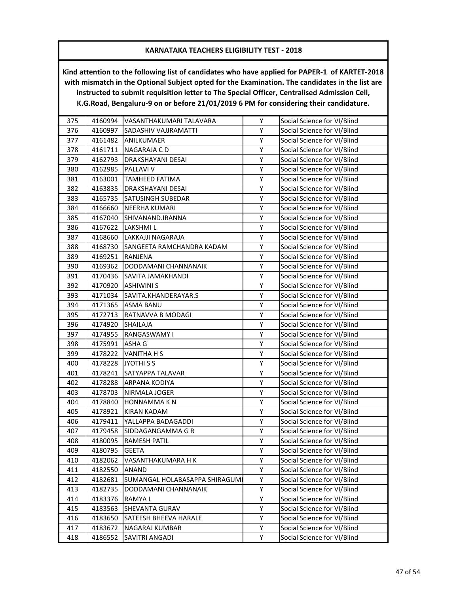| 375 | 4160994 | VASANTHAKUMARI TALAVARA        | Υ | Social Science for VI/Blind |
|-----|---------|--------------------------------|---|-----------------------------|
| 376 | 4160997 | SADASHIV VAJJRAMATTI           | Υ | Social Science for VI/Blind |
| 377 | 4161482 | <b>ANILKUMAER</b>              | Υ | Social Science for VI/Blind |
| 378 | 4161711 | NAGARAJA C D                   | Υ | Social Science for VI/Blind |
| 379 | 4162793 | DRAKSHAYANI DESAI              | Υ | Social Science for VI/Blind |
| 380 | 4162985 | PALLAVI V                      | Υ | Social Science for VI/Blind |
| 381 | 4163001 | TAMHEED FATIMA                 | Υ | Social Science for VI/Blind |
| 382 | 4163835 | DRAKSHAYANI DESAI              | Υ | Social Science for VI/Blind |
| 383 | 4165735 | SATUSINGH SUBEDAR              | Υ | Social Science for VI/Blind |
| 384 | 4166660 | NEERHA KUMARI                  | Υ | Social Science for VI/Blind |
| 385 | 4167040 | SHIVANAND.IRANNA               | Υ | Social Science for VI/Blind |
| 386 | 4167622 | LAKSHMI L                      | Υ | Social Science for VI/Blind |
| 387 | 4168660 | LAKKAJJI NAGARAJA              | Υ | Social Science for VI/Blind |
| 388 | 4168730 | SANGEETA RAMCHANDRA KADAM      | Υ | Social Science for VI/Blind |
| 389 | 4169251 | RANJENA                        | Υ | Social Science for VI/Blind |
| 390 | 4169362 | DODDAMANI CHANNANAIK           | Υ | Social Science for VI/Blind |
| 391 | 4170436 | SAVITA JAMAKHANDI              | Υ | Social Science for VI/Blind |
| 392 | 4170920 | <b>ASHIWINI S</b>              | Υ | Social Science for VI/Blind |
| 393 | 4171034 | SAVITA.KHANDERAYAR.S           | Υ | Social Science for VI/Blind |
| 394 | 4171365 | <b>ASMA BANU</b>               | Υ | Social Science for VI/Blind |
| 395 | 4172713 | RATNAVVA B MODAGI              | Υ | Social Science for VI/Blind |
| 396 | 4174920 | <b>SHAILAJA</b>                | Υ | Social Science for VI/Blind |
| 397 | 4174955 | RANGASWAMY I                   | Υ | Social Science for VI/Blind |
| 398 | 4175991 | ASHA G                         | Υ | Social Science for VI/Blind |
| 399 | 4178222 | VANITHA H S                    | Υ | Social Science for VI/Blind |
| 400 | 4178228 | JYOTHI S S                     | Υ | Social Science for VI/Blind |
| 401 | 4178241 | SATYAPPA TALAVAR               | Υ | Social Science for VI/Blind |
| 402 | 4178288 | ARPANA KODIYA                  | Υ | Social Science for VI/Blind |
| 403 | 4178703 | NIRMALA JOGER                  | Υ | Social Science for VI/Blind |
| 404 | 4178840 | HONNAMMA K N                   | Υ | Social Science for VI/Blind |
| 405 | 4178921 | KIRAN KADAM                    | Υ | Social Science for VI/Blind |
| 406 | 4179411 | YALLAPPA BADAGADDI             | Υ | Social Science for VI/Blind |
| 407 | 4179458 | SIDDAGANGAMMA G R              | Υ | Social Science for VI/Blind |
| 408 | 4180095 | <b>RAMESH PATIL</b>            | Υ | Social Science for VI/Blind |
| 409 | 4180795 | <b>GEETA</b>                   | Υ | Social Science for VI/Blind |
| 410 | 4182062 | VASANTHAKUMARA H K             | Υ | Social Science for VI/Blind |
| 411 | 4182550 | ANAND                          | Υ | Social Science for VI/Blind |
| 412 | 4182681 | SUMANGAL HOLABASAPPA SHIRAGUMI | Υ | Social Science for VI/Blind |
| 413 | 4182735 | DODDAMANI CHANNANAIK           | Υ | Social Science for VI/Blind |
| 414 | 4183376 | RAMYA L                        | Υ | Social Science for VI/Blind |
| 415 | 4183563 | SHEVANTA GURAV                 | Υ | Social Science for VI/Blind |
| 416 | 4183650 | SATEESH BHEEVA HARALE          | Υ | Social Science for VI/Blind |
| 417 | 4183672 | <b>NAGARAJ KUMBAR</b>          | Υ | Social Science for VI/Blind |
| 418 | 4186552 | SAVITRI ANGADI                 | Υ | Social Science for VI/Blind |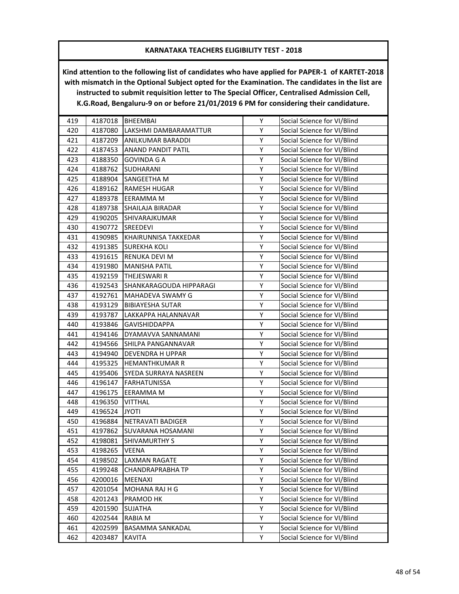| 419 | 4187018 | <b>BHEEMBAI</b>           | Υ | Social Science for VI/Blind |
|-----|---------|---------------------------|---|-----------------------------|
| 420 | 4187080 | LAKSHMI DAMBARAMATTUR     | Υ | Social Science for VI/Blind |
| 421 | 4187209 | <b>ANILKUMAR BARADDI</b>  | Υ | Social Science for VI/Blind |
| 422 | 4187453 | <b>ANAND PANDIT PATIL</b> | Υ | Social Science for VI/Blind |
| 423 | 4188350 | GOVINDA G A               | Υ | Social Science for VI/Blind |
| 424 | 4188762 | SUDHARANI                 | Υ | Social Science for VI/Blind |
| 425 | 4188904 | SANGEETHA M               | Υ | Social Science for VI/Blind |
| 426 | 4189162 | <b>RAMESH HUGAR</b>       | Υ | Social Science for VI/Blind |
| 427 | 4189378 | EERAMMA M                 | Υ | Social Science for VI/Blind |
| 428 | 4189738 | SHAILAJA BIRADAR          | Υ | Social Science for VI/Blind |
| 429 | 4190205 | SHIVARAJKUMAR             | Υ | Social Science for VI/Blind |
| 430 | 4190772 | SREEDEVI                  | Υ | Social Science for VI/Blind |
| 431 | 4190985 | KHAIRUNNISA TAKKEDAR      | Υ | Social Science for VI/Blind |
| 432 | 4191385 | <b>SUREKHA KOLI</b>       | Υ | Social Science for VI/Blind |
| 433 | 4191615 | RENUKA DEVI M             | Υ | Social Science for VI/Blind |
| 434 | 4191980 | <b>MANISHA PATIL</b>      | Υ | Social Science for VI/Blind |
| 435 | 4192159 | THEJESWARI R              | Υ | Social Science for VI/Blind |
| 436 | 4192543 | SHANKARAGOUDA HIPPARAGI   | Υ | Social Science for VI/Blind |
| 437 | 4192761 | MAHADEVA SWAMY G          | Υ | Social Science for VI/Blind |
| 438 | 4193129 | <b>BIBIAYESHA SUTAR</b>   | Υ | Social Science for VI/Blind |
| 439 | 4193787 | LAKKAPPA HALANNAVAR       | Υ | Social Science for VI/Blind |
| 440 | 4193846 | <b>GAVISHIDDAPPA</b>      | Υ | Social Science for VI/Blind |
| 441 | 4194146 | DYAMAVVA SANNAMANI        | Υ | Social Science for VI/Blind |
| 442 | 4194566 | SHILPA PANGANNAVAR        | Υ | Social Science for VI/Blind |
| 443 | 4194940 | DEVENDRA H UPPAR          | Υ | Social Science for VI/Blind |
| 444 | 4195325 | <b>HEMANTHKUMAR R</b>     | Υ | Social Science for VI/Blind |
| 445 | 4195406 | SYEDA SURRAYA NASREEN     | Υ | Social Science for VI/Blind |
| 446 | 4196147 | <b>FARHATUNISSA</b>       | Υ | Social Science for VI/Blind |
| 447 | 4196175 | EERAMMA M                 | Υ | Social Science for VI/Blind |
| 448 | 4196350 | <b>VITTHAL</b>            | Υ | Social Science for VI/Blind |
| 449 | 4196524 | ITOYL                     | Υ | Social Science for VI/Blind |
| 450 | 4196884 | NETRAVATI BADIGER         | Υ | Social Science for VI/Blind |
| 451 | 4197862 | SUVARANA HOSAMANI         | Υ | Social Science for VI/Blind |
| 452 | 4198081 | <b>SHIVAMURTHY S</b>      | Υ | Social Science for VI/Blind |
| 453 | 4198265 | VEENA                     | Υ | Social Science for VI/Blind |
| 454 | 4198502 | LAXMAN RAGATE             | Υ | Social Science for VI/Blind |
| 455 | 4199248 | <b>CHANDRAPRABHA TP</b>   | Υ | Social Science for VI/Blind |
| 456 | 4200016 | MEENAXI                   | Υ | Social Science for VI/Blind |
| 457 | 4201054 | MOHANA RAJ H G            | Υ | Social Science for VI/Blind |
| 458 | 4201243 | PRAMOD HK                 | Υ | Social Science for VI/Blind |
| 459 | 4201590 | <b>SUJATHA</b>            | Υ | Social Science for VI/Blind |
| 460 | 4202544 | RABIA M                   | Υ | Social Science for VI/Blind |
| 461 | 4202599 | BASAMMA SANKADAL          | Υ | Social Science for VI/Blind |
| 462 | 4203487 | <b>KAVITA</b>             | Υ | Social Science for VI/Blind |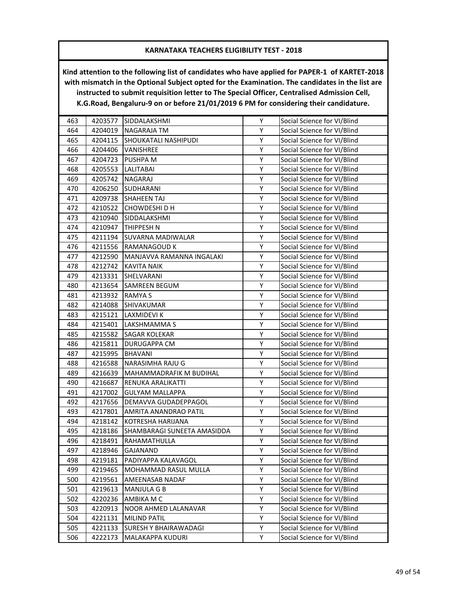| 463 | 4203577 | SIDDALAKSHMI                 | Υ | Social Science for VI/Blind |
|-----|---------|------------------------------|---|-----------------------------|
| 464 | 4204019 | <b>NAGARAJA TM</b>           | Υ | Social Science for VI/Blind |
| 465 | 4204115 | <b>SHOUKATALI NASHIPUDI</b>  | Y | Social Science for VI/Blind |
| 466 | 4204406 | VANISHREE                    | Υ | Social Science for VI/Blind |
| 467 | 4204723 | <b>PUSHPA M</b>              | Υ | Social Science for VI/Blind |
| 468 | 4205553 | LALITABAI                    | Υ | Social Science for VI/Blind |
| 469 | 4205742 | NAGARAJ                      | Υ | Social Science for VI/Blind |
| 470 | 4206250 | <b>SUDHARANI</b>             | Υ | Social Science for VI/Blind |
| 471 | 4209738 | <b>SHAHEEN TAJ</b>           | Υ | Social Science for VI/Blind |
| 472 | 4210522 | CHOWDESHI D H                | Υ | Social Science for VI/Blind |
| 473 | 4210940 | SIDDALAKSHMI                 | Υ | Social Science for VI/Blind |
| 474 | 4210947 | <b>THIPPESH N</b>            | Υ | Social Science for VI/Blind |
| 475 | 4211194 | SUVARNA MADIWALAR            | Υ | Social Science for VI/Blind |
| 476 | 4211556 | RAMANAGOUD K                 | Υ | Social Science for VI/Blind |
| 477 | 4212590 | MANJAVVA RAMANNA INGALAKI    | Υ | Social Science for VI/Blind |
| 478 | 4212742 | <b>KAVITA NAIK</b>           | Y | Social Science for VI/Blind |
| 479 | 4213331 | SHELVARANI                   | Υ | Social Science for VI/Blind |
| 480 | 4213654 | SAMREEN BEGUM                | Υ | Social Science for VI/Blind |
| 481 | 4213932 | <b>RAMYAS</b>                | Υ | Social Science for VI/Blind |
| 482 | 4214088 | SHIVAKUMAR                   | Υ | Social Science for VI/Blind |
| 483 | 4215121 | LAXMIDEVI K                  | Υ | Social Science for VI/Blind |
| 484 | 4215401 | LAKSHMAMMA S                 | Υ | Social Science for VI/Blind |
| 485 | 4215582 | <b>SAGAR KOLEKAR</b>         | Υ | Social Science for VI/Blind |
| 486 | 4215811 | <b>DURUGAPPA CM</b>          | Υ | Social Science for VI/Blind |
| 487 | 4215995 | <b>BHAVANI</b>               | Υ | Social Science for VI/Blind |
| 488 | 4216588 | NARASIMHA RAJU G             | Υ | Social Science for VI/Blind |
| 489 | 4216639 | MAHAMMADRAFIK M BUDIHAL      | Υ | Social Science for VI/Blind |
| 490 | 4216687 | RENUKA ARALIKATTI            | Υ | Social Science for VI/Blind |
| 491 | 4217002 | <b>GULYAM MALLAPPA</b>       | Y | Social Science for VI/Blind |
| 492 | 4217656 | DEMAVVA GUDADEPPAGOL         | Υ | Social Science for VI/Blind |
| 493 | 4217801 | AMRITA ANANDRAO PATIL        | Υ | Social Science for VI/Blind |
| 494 | 4218142 | KOTRESHA HARIJANA            | Υ | Social Science for VI/Blind |
| 495 | 4218186 | SHAMBARAGI SUNEETA AMASIDDA  | Υ | Social Science for VI/Blind |
| 496 | 4218491 | RAHAMATHULLA                 | Υ | Social Science for VI/Blind |
| 497 | 4218946 | <b>GAJANAND</b>              | Υ | Social Science for VI/Blind |
| 498 | 4219181 | PADIYAPPA KALAVAGOL          | Υ | Social Science for VI/Blind |
| 499 | 4219465 | MOHAMMAD RASUL MULLA         | Υ | Social Science for VI/Blind |
| 500 | 4219561 | AMEENASAB NADAF              | Υ | Social Science for VI/Blind |
| 501 | 4219613 | MANJULA G B                  | Υ | Social Science for VI/Blind |
| 502 | 4220236 | AMBIKA M C                   | Υ | Social Science for VI/Blind |
| 503 | 4220913 | NOOR AHMED LALANAVAR         | Υ | Social Science for VI/Blind |
| 504 | 4221131 | MILIND PATIL                 | Υ | Social Science for VI/Blind |
| 505 | 4221133 | <b>SURESH Y BHAIRAWADAGI</b> | Υ | Social Science for VI/Blind |
| 506 | 4222173 | MALAKAPPA KUDURI             | Υ | Social Science for VI/Blind |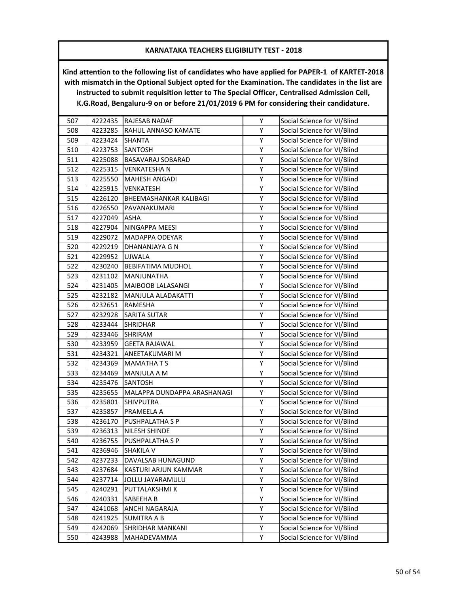| 507 | 4222435 | <b>RAJESAB NADAF</b>        | Υ | Social Science for VI/Blind |
|-----|---------|-----------------------------|---|-----------------------------|
| 508 | 4223285 | RAHUL ANNASO KAMATE         | Υ | Social Science for VI/Blind |
| 509 | 4223424 | SHANTA                      | Υ | Social Science for VI/Blind |
| 510 | 4223753 | SANTOSH                     | Υ | Social Science for VI/Blind |
| 511 | 4225088 | BASAVARAJ SOBARAD           | Υ | Social Science for VI/Blind |
| 512 | 4225315 | VENKATESHA N                | Υ | Social Science for VI/Blind |
| 513 | 4225550 | MAHESH ANGADI               | Υ | Social Science for VI/Blind |
| 514 | 4225915 | <b>VENKATESH</b>            | Υ | Social Science for VI/Blind |
| 515 | 4226120 | BHEEMASHANKAR KALIBAGI      | Υ | Social Science for VI/Blind |
| 516 | 4226550 | PAVANAKUMARI                | Υ | Social Science for VI/Blind |
| 517 | 4227049 | <b>ASHA</b>                 | Υ | Social Science for VI/Blind |
| 518 | 4227904 | NINGAPPA MEESI              | Υ | Social Science for VI/Blind |
| 519 | 4229072 | MADAPPA ODEYAR              | Υ | Social Science for VI/Blind |
| 520 | 4229219 | DHANANJAYA G N              | Υ | Social Science for VI/Blind |
| 521 | 4229952 | <b>UJWALA</b>               | Υ | Social Science for VI/Blind |
| 522 | 4230240 | <b>BEBIFATIMA MUDHOL</b>    | Υ | Social Science for VI/Blind |
| 523 | 4231102 | MANJUNATHA                  | Υ | Social Science for VI/Blind |
| 524 | 4231405 | MAIBOOB LALASANGI           | Υ | Social Science for VI/Blind |
| 525 | 4232182 | MANJULA ALADAKATTI          | Υ | Social Science for VI/Blind |
| 526 | 4232651 | <b>RAMESHA</b>              | Υ | Social Science for VI/Blind |
| 527 | 4232928 | SARITA SUTAR                | Υ | Social Science for VI/Blind |
| 528 | 4233444 | <b>SHRIDHAR</b>             | Υ | Social Science for VI/Blind |
| 529 | 4233446 | SHRIRAM                     | Υ | Social Science for VI/Blind |
| 530 | 4233959 | <b>GEETA RAJAWAL</b>        | Υ | Social Science for VI/Blind |
| 531 | 4234321 | ANEETAKUMARI M              | Υ | Social Science for VI/Blind |
| 532 | 4234369 | <b>MAMATHATS</b>            | Υ | Social Science for VI/Blind |
| 533 | 4234469 | MANJULA A M                 | Υ | Social Science for VI/Blind |
| 534 | 4235476 | SANTOSH                     | Υ | Social Science for VI/Blind |
| 535 | 4235655 | MALAPPA DUNDAPPA ARASHANAGI | Υ | Social Science for VI/Blind |
| 536 | 4235801 | SHIVPUTRA                   | Υ | Social Science for VI/Blind |
| 537 | 4235857 | PRAMEELA A                  | Υ | Social Science for VI/Blind |
| 538 | 4236170 | PUSHPALATHA S P             | Υ | Social Science for VI/Blind |
| 539 | 4236313 | NILESH SHINDE               | Υ | Social Science for VI/Blind |
| 540 | 4236755 | PUSHPALATHA S P             | Υ | Social Science for VI/Blind |
| 541 | 4236946 | <b>SHAKILA V</b>            | Υ | Social Science for VI/Blind |
| 542 | 4237233 | DAVALSAB HUNAGUND           | Υ | Social Science for VI/Blind |
| 543 | 4237684 | KASTURI ARJUN KAMMAR        | Υ | Social Science for VI/Blind |
| 544 | 4237714 | JOLLU JAYARAMULU            | Υ | Social Science for VI/Blind |
| 545 | 4240291 | PUTTALAKSHMI K              | Υ | Social Science for VI/Blind |
| 546 | 4240331 | SABEEHA B                   | Υ | Social Science for VI/Blind |
| 547 | 4241068 | ANCHI NAGARAJA              | Υ | Social Science for VI/Blind |
| 548 | 4241925 | <b>SUMITRA A B</b>          | Υ | Social Science for VI/Blind |
| 549 | 4242069 | SHRIDHAR MANKANI            | Υ | Social Science for VI/Blind |
| 550 | 4243988 | MAHADEVAMMA                 | Υ | Social Science for VI/Blind |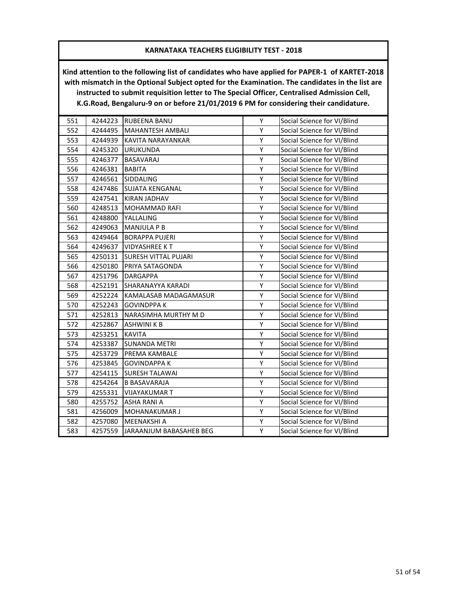| 551 | 4244223 | <b>RUBEENA BANU</b>         | Y | Social Science for VI/Blind |
|-----|---------|-----------------------------|---|-----------------------------|
| 552 | 4244495 | <b>MAHANTESH AMBALI</b>     | Υ | Social Science for VI/Blind |
| 553 | 4244939 | KAVITA NARAYANKAR           | Υ | Social Science for VI/Blind |
| 554 | 4245320 | <b>URUKUNDA</b>             | Υ | Social Science for VI/Blind |
| 555 | 4246377 | <b>BASAVARAJ</b>            | Υ | Social Science for VI/Blind |
| 556 | 4246381 | <b>BABITA</b>               | Υ | Social Science for VI/Blind |
| 557 | 4246561 | SIDDALING                   | Υ | Social Science for VI/Blind |
| 558 | 4247486 | <b>SUJATA KENGANAL</b>      | Υ | Social Science for VI/Blind |
| 559 | 4247541 | <b>KIRAN JADHAV</b>         | Υ | Social Science for VI/Blind |
| 560 | 4248513 | <b>MOHAMMAD RAFI</b>        | Υ | Social Science for VI/Blind |
| 561 | 4248800 | YALLALING                   | Υ | Social Science for VI/Blind |
| 562 | 4249063 | <b>MANJULA P B</b>          | Υ | Social Science for VI/Blind |
| 563 | 4249464 | <b>BORAPPA PUJERI</b>       | Y | Social Science for VI/Blind |
| 564 | 4249637 | <b>VIDYASHREE KT</b>        | Υ | Social Science for VI/Blind |
| 565 | 4250131 | <b>SURESH VITTAL PUJARI</b> | Υ | Social Science for VI/Blind |
| 566 | 4250180 | PRIYA SATAGONDA             | Υ | Social Science for VI/Blind |
| 567 | 4251796 | <b>DARGAPPA</b>             | Υ | Social Science for VI/Blind |
| 568 | 4252191 | SHARANAYYA KARADI           | Υ | Social Science for VI/Blind |
| 569 | 4252224 | KAMALASAB MADAGAMASUR       | Υ | Social Science for VI/Blind |
| 570 | 4252243 | <b>GOVINDPPAK</b>           | Υ | Social Science for VI/Blind |
| 571 | 4252813 | NARASIMHA MURTHY M D        | Υ | Social Science for VI/Blind |
| 572 | 4252867 | <b>ASHWINI K B</b>          | Υ | Social Science for VI/Blind |
| 573 | 4253251 | <b>KAVITA</b>               | Υ | Social Science for VI/Blind |
| 574 | 4253387 | <b>SUNANDA METRI</b>        | Υ | Social Science for VI/Blind |
| 575 | 4253729 | PREMA KAMBALE               | Υ | Social Science for VI/Blind |
| 576 | 4253845 | <b>GOVINDAPPA K</b>         | Υ | Social Science for VI/Blind |
| 577 | 4254115 | <b>SURESH TALAWAI</b>       | Υ | Social Science for VI/Blind |
| 578 | 4254264 | <b>B BASAVARAJA</b>         | Υ | Social Science for VI/Blind |
| 579 | 4255331 | <b>VIJAYAKUMAR T</b>        | Y | Social Science for VI/Blind |
| 580 | 4255752 | <b>ASHA RANI A</b>          | Υ | Social Science for VI/Blind |
| 581 | 4256009 | <b>MOHANAKUMAR J</b>        | Υ | Social Science for VI/Blind |
| 582 | 4257080 | <b>MEENAKSHI A</b>          | Υ | Social Science for VI/Blind |
| 583 | 4257559 | JARAANJUM BABASAHEB BEG     | Υ | Social Science for VI/Blind |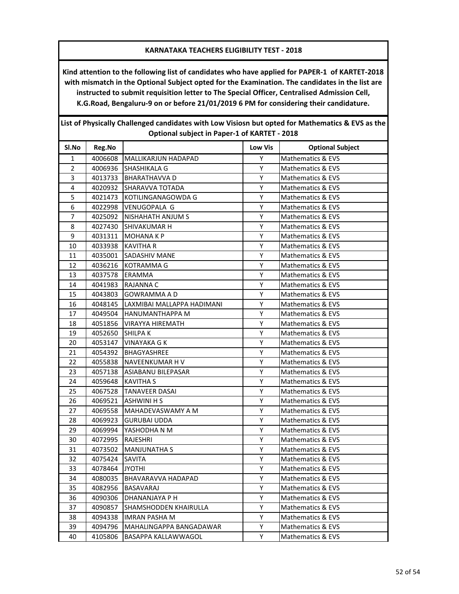**Kind attention to the following list of candidates who have applied for PAPER-1 of KARTET-2018 with mismatch in the Optional Subject opted for the Examination. The candidates in the list are instructed to submit requisition letter to The Special Officer, Centralised Admission Cell, K.G.Road, Bengaluru-9 on or before 21/01/2019 6 PM for considering their candidature.**

| Optional subject in Paper-1 of KARTET - 2018 |         |                            |                |                              |  |
|----------------------------------------------|---------|----------------------------|----------------|------------------------------|--|
| SI.No                                        | Reg.No  |                            | <b>Low Vis</b> | <b>Optional Subject</b>      |  |
| 1                                            | 4006608 | MALLIKARJUN HADAPAD        | Y              | Mathematics & EVS            |  |
| $\overline{2}$                               | 4006936 | <b>SHASHIKALA G</b>        | Υ              | Mathematics & EVS            |  |
| 3                                            | 4013733 | <b>BHARATHAVVA D</b>       | Y              | <b>Mathematics &amp; EVS</b> |  |
| $\overline{4}$                               | 4020932 | SHARAVVA TOTADA            | Y              | Mathematics & EVS            |  |
| 5                                            | 4021473 | KOTILINGANAGOWDA G         | Υ              | Mathematics & EVS            |  |
| 6                                            | 4022998 | VENUGOPALA G               | Υ              | Mathematics & EVS            |  |
| 7                                            | 4025092 | <b>NISHAHATH ANJUM S</b>   | Υ              | Mathematics & EVS            |  |
| 8                                            | 4027430 | <b>SHIVAKUMAR H</b>        | Υ              | Mathematics & EVS            |  |
| 9                                            | 4031311 | <b>MOHANA K P</b>          | Y              | Mathematics & EVS            |  |
| 10                                           | 4033938 | <b>KAVITHA R</b>           | Υ              | Mathematics & EVS            |  |
| 11                                           | 4035001 | <b>SADASHIV MANE</b>       | Υ              | Mathematics & EVS            |  |
| 12                                           | 4036216 | IKOTRAMMA G                | Y              | <b>Mathematics &amp; EVS</b> |  |
| 13                                           | 4037578 | <b>ERAMMA</b>              | Υ              | Mathematics & EVS            |  |
| 14                                           | 4041983 | <b>RAJANNA C</b>           | Y              | Mathematics & EVS            |  |
| 15                                           | 4043803 | <b>GOWRAMMA A D</b>        | Υ              | Mathematics & EVS            |  |
| 16                                           | 4048145 | LAXMIBAI MALLAPPA HADIMANI | Y              | Mathematics & EVS            |  |
| 17                                           | 4049504 | <b>HANUMANTHAPPA M</b>     | Y              | Mathematics & EVS            |  |
| 18                                           | 4051856 | <b>VIRAYYA HIREMATH</b>    | Υ              | Mathematics & EVS            |  |
| 19                                           | 4052650 | <b>SHILPAK</b>             | Υ              | <b>Mathematics &amp; EVS</b> |  |
| 20                                           | 4053147 | <b>VINAYAKA G K</b>        | Υ              | Mathematics & EVS            |  |
| 21                                           | 4054392 | BHAGYASHREE                | Υ              | Mathematics & EVS            |  |
| 22                                           | 4055838 | NAVEENKUMAR H V            | Y              | Mathematics & EVS            |  |
| 23                                           | 4057138 | ASIABANU BILEPASAR         | Υ              | Mathematics & EVS            |  |
| 24                                           | 4059648 | <b>KAVITHA S</b>           | Υ              | Mathematics & EVS            |  |
| 25                                           | 4067528 | <b>TANAVEER DASAI</b>      | Y              | <b>Mathematics &amp; EVS</b> |  |
| 26                                           | 4069521 | <b>ASHWINI H S</b>         | Υ              | Mathematics & EVS            |  |
| 27                                           | 4069558 | MAHADEVASWAMY A M          | Y              | Mathematics & EVS            |  |
| 28                                           | 4069923 | <b>GURUBAI UDDA</b>        | Y              | Mathematics & EVS            |  |
| 29                                           | 4069994 | YASHODHA N M               | Y              | Mathematics & EVS            |  |
| 30                                           | 4072995 | <b>RAJESHRI</b>            | Υ              | <b>Mathematics &amp; EVS</b> |  |
| 31                                           | 4073502 | <b>MANJUNATHA S</b>        | Υ              | Mathematics & EVS            |  |
| 32                                           | 4075424 | <b>SAVITA</b>              | Υ              | <b>Mathematics &amp; EVS</b> |  |
| 33                                           | 4078464 | <b>JYOTHI</b>              | Υ              | <b>Mathematics &amp; EVS</b> |  |
| 34                                           | 4080035 | BHAVARAVVA HADAPAD         | Υ              | <b>Mathematics &amp; EVS</b> |  |
| 35                                           | 4082956 | <b>BASAVARAJ</b>           | Υ              | Mathematics & EVS            |  |
| 36                                           | 4090306 | DHANANJAYA P H             | Υ              | Mathematics & EVS            |  |
| 37                                           | 4090857 | SHAMSHODDEN KHAIRULLA      | Υ              | Mathematics & EVS            |  |
| 38                                           | 4094338 | <b>IMRAN PASHA M</b>       | Υ              | Mathematics & EVS            |  |
| 39                                           | 4094796 | MAHALINGAPPA BANGADAWAR    | Υ              | Mathematics & EVS            |  |
| 40                                           | 4105806 | BASAPPA KALLAWWAGOL        | Y              | Mathematics & EVS            |  |

**List of Physically Challenged candidates with Low Visiosn but opted for Mathematics & EVS as the**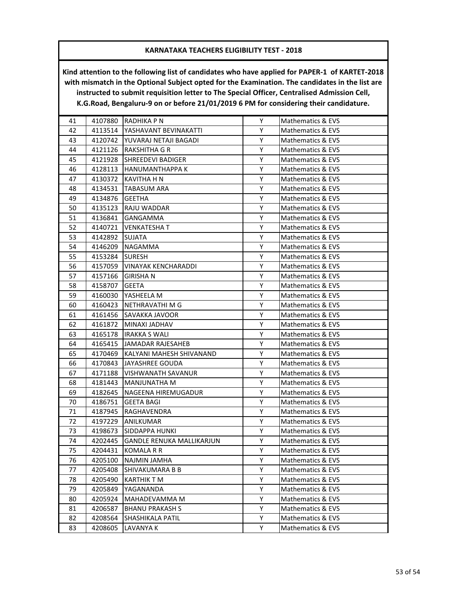| 41 | 4107880 | RADHIKA P N                      | Y. | <b>Mathematics &amp; EVS</b> |
|----|---------|----------------------------------|----|------------------------------|
| 42 | 4113514 | YASHAVANT BEVINAKATTI            | Y  | Mathematics & EVS            |
| 43 | 4120742 | YUVARAJ NETAJI BAGADI            | Y  | Mathematics & EVS            |
| 44 | 4121126 | <b>RAKSHITHA G R</b>             | Y  | Mathematics & EVS            |
| 45 | 4121928 | <b>SHREEDEVI BADIGER</b>         | Υ  | Mathematics & EVS            |
| 46 | 4128113 | HANUMANTHAPPA K                  | Y  | Mathematics & EVS            |
| 47 | 4130372 | KAVITHA H N                      | Y  | Mathematics & EVS            |
| 48 | 4134531 | <b>TABASUM ARA</b>               | Υ  | Mathematics & EVS            |
| 49 | 4134876 | <b>GEETHA</b>                    | Y  | Mathematics & EVS            |
| 50 | 4135123 | RAJU WADDAR                      | Y  | Mathematics & EVS            |
| 51 | 4136841 | <b>GANGAMMA</b>                  | Y  | Mathematics & EVS            |
| 52 | 4140721 | VENKATESHA T                     | Y  | Mathematics & EVS            |
| 53 | 4142892 | SUJATA                           | Υ  | Mathematics & EVS            |
| 54 | 4146209 | <b>NAGAMMA</b>                   | Υ  | Mathematics & EVS            |
| 55 | 4153284 | <b>SURESH</b>                    | Y  | Mathematics & EVS            |
| 56 | 4157059 | <b>VINAYAK KENCHARADDI</b>       | Y  | Mathematics & EVS            |
| 57 | 4157166 | <b>GIRISHAN</b>                  | Y  | Mathematics & EVS            |
| 58 | 4158707 | GEETA                            | Y  | Mathematics & EVS            |
| 59 | 4160030 | YASHEELA M                       | Y  | <b>Mathematics &amp; EVS</b> |
| 60 | 4160423 | INETHRAVATHI M G                 | Y  | Mathematics & EVS            |
| 61 | 4161456 | SAVAKKA JAVOOR                   | Υ  | Mathematics & EVS            |
| 62 | 4161872 | MINAXI JADHAV                    | Y  | Mathematics & EVS            |
| 63 | 4165178 | IRAKKA S WALI                    | Y  | Mathematics & EVS            |
| 64 | 4165415 | JJAMADAR RAJESAHEB               | Y  | Mathematics & EVS            |
| 65 | 4170469 | KALYANI MAHESH SHIVANAND         | Y  | Mathematics & EVS            |
| 66 | 4170843 | JAYASHREE GOUDA                  | Υ  | Mathematics & EVS            |
| 67 | 4171188 | IVISHWANATH SAVANUR              | Υ  | Mathematics & EVS            |
| 68 | 4181443 | MANJUNATHA M                     | Y  | Mathematics & EVS            |
| 69 | 4182645 | NAGEENA HIREMUGADUR              | Y  | Mathematics & EVS            |
| 70 | 4186751 | <b>GEETA BAGI</b>                | Y  | Mathematics & EVS            |
| 71 | 4187945 | RAGHAVENDRA                      | Y  | Mathematics & EVS            |
| 72 | 4197229 | ANILKUMAR                        | Y  | Mathematics & EVS            |
| 73 | 4198673 | <b>SIDDAPPA HUNKI</b>            | Y  | Mathematics & EVS            |
| 74 | 4202445 | <b>GANDLE RENUKA MALLIKARJUN</b> | Υ  | Mathematics & EVS            |
| 75 | 4204431 | <b>KOMALA R R</b>                | Υ  | Mathematics & EVS            |
| 76 | 4205100 | NAJMIN JAMHA                     | Y  | Mathematics & EVS            |
| 77 | 4205408 | SHIVAKUMARA B B                  | Υ  | Mathematics & EVS            |
| 78 | 4205490 | KARTHIK T M                      | Υ  | Mathematics & EVS            |
| 79 | 4205849 | YAGANANDA                        | Y  | Mathematics & EVS            |
| 80 | 4205924 | MAHADEVAMMA M                    | Υ  | Mathematics & EVS            |
| 81 | 4206587 | <b>BHANU PRAKASH S</b>           | Y  | Mathematics & EVS            |
| 82 | 4208564 | SHASHIKALA PATIL                 | Y  | Mathematics & EVS            |
| 83 | 4208605 | LAVANYA K                        | Υ  | Mathematics & EVS            |
|    |         |                                  |    |                              |